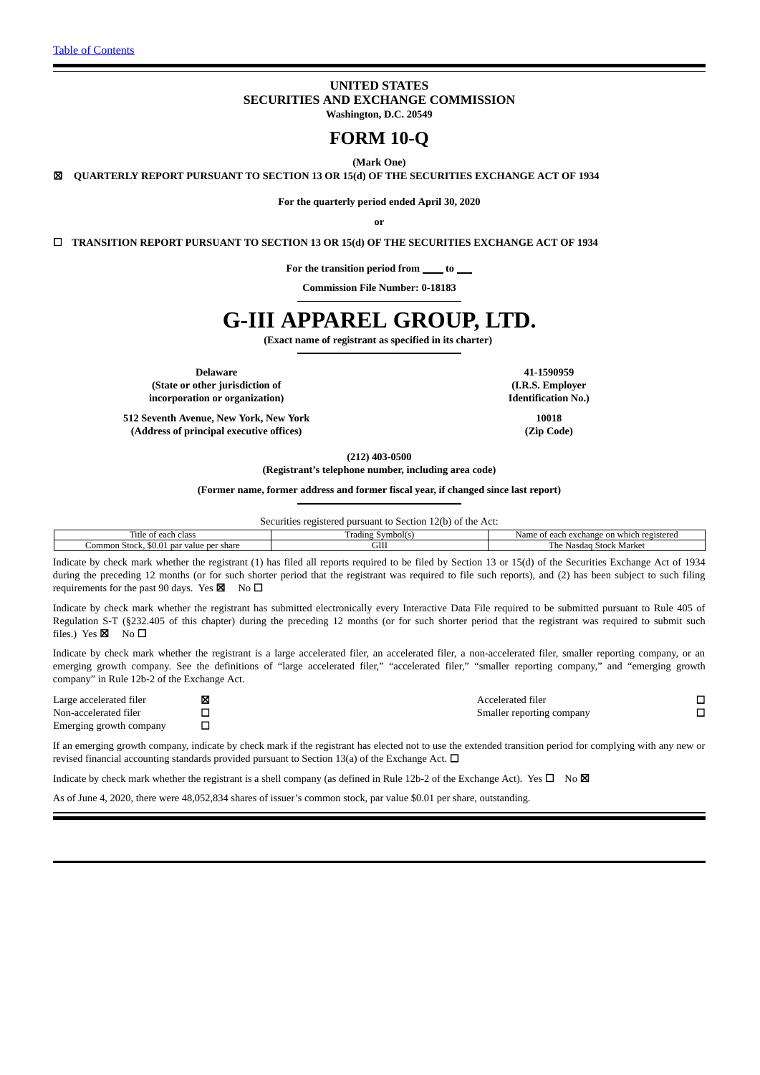# **UNITED STATES SECURITIES AND EXCHANGE COMMISSION**

**Washington, D.C. 20549**

# **FORM 10-Q**

**(Mark One)**

☒ **QUARTERLY REPORT PURSUANT TO SECTION 13 OR 15(d) OF THE SECURITIES EXCHANGE ACT OF 1934**

**For the quarterly period ended April 30, 2020**

**or**

☐ **TRANSITION REPORT PURSUANT TO SECTION 13 OR 15(d) OF THE SECURITIES EXCHANGE ACT OF 1934**

For the transition period from \_\_\_\_\_ to \_

**Commission File Number: 0-18183**

# **G-III APPAREL GROUP, LTD.**

**(Exact name of registrant as specified in its charter)** 

**Delaware 41-1590959 (State or other jurisdiction of (I.R.S. Employer incorporation or organization) Identification No.)**

**512 Seventh Avenue, New York, New York 10018 (Address of principal executive offices) (Zip Code)**

**(212) 403-0500**

**(Registrant's telephone number, including area code)**

**(Former name, former address and former fiscal year, if changed since last report)**

| $12(b)$ of $\iota$<br>Section<br>Act:<br>Securities registered pursuant to<br>the |                    |                                                |  |  |  |  |  |  |  |
|-----------------------------------------------------------------------------------|--------------------|------------------------------------------------|--|--|--|--|--|--|--|
| h class<br>l'itle of each                                                         | Symbol(s<br>radıng | e of each exchange on which registered<br>Name |  |  |  |  |  |  |  |
| Common Stock. \$0.01 ·<br>l par value per share                                   | JШ                 | Nasdag Stock Market<br>1 he                    |  |  |  |  |  |  |  |

Indicate by check mark whether the registrant (1) has filed all reports required to be filed by Section 13 or 15(d) of the Securities Exchange Act of 1934 during the preceding 12 months (or for such shorter period that the registrant was required to file such reports), and (2) has been subject to such filing requirements for the past 90 days. Yes  $\boxtimes$  No  $\Box$ 

Indicate by check mark whether the registrant has submitted electronically every Interactive Data File required to be submitted pursuant to Rule 405 of Regulation S-T (§232.405 of this chapter) during the preceding 12 months (or for such shorter period that the registrant was required to submit such files.) Yes ⊠ No □

Indicate by check mark whether the registrant is a large accelerated filer, an accelerated filer, a non-accelerated filer, smaller reporting company, or an emerging growth company. See the definitions of "large accelerated filer," "accelerated filer," "smaller reporting company," and "emerging growth company" in Rule 12b-2 of the Exchange Act.

| Large accelerated filer | Accelerated filer         |  |
|-------------------------|---------------------------|--|
| Non-accelerated filer   | Smaller reporting company |  |
| Emerging growth company |                           |  |

If an emerging growth company, indicate by check mark if the registrant has elected not to use the extended transition period for complying with any new or revised financial accounting standards provided pursuant to Section 13(a) of the Exchange Act. □

Indicate by check mark whether the registrant is a shell company (as defined in Rule 12b-2 of the Exchange Act). Yes  $\Box$  No  $\boxtimes$ 

As of June 4, 2020, there were 48,052,834 shares of issuer's common stock, par value \$0.01 per share, outstanding.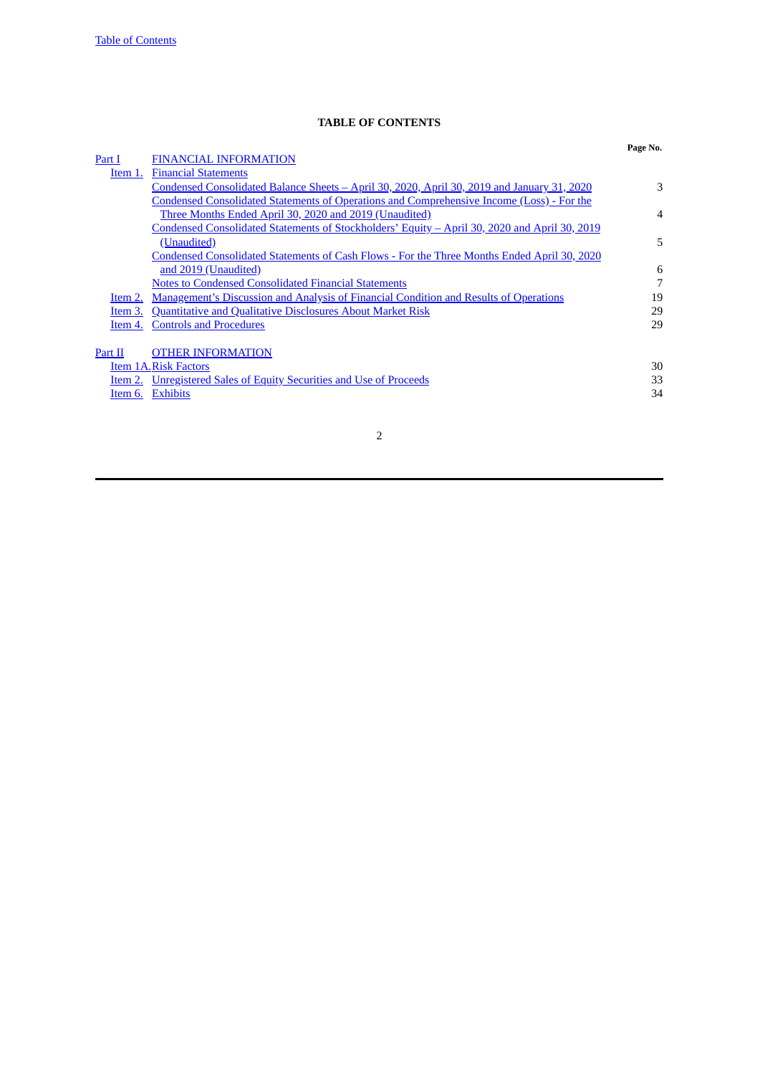# **TABLE OF CONTENTS**

<span id="page-1-0"></span>

|         |                                                                                                  | Page No. |
|---------|--------------------------------------------------------------------------------------------------|----------|
| Part I  | <b>FINANCIAL INFORMATION</b>                                                                     |          |
| Item 1. | <b>Financial Statements</b>                                                                      |          |
|         | Condensed Consolidated Balance Sheets - April 30, 2020, April 30, 2019 and January 31, 2020      | 3        |
|         | <b>Condensed Consolidated Statements of Operations and Comprehensive Income (Loss) - For the</b> |          |
|         | Three Months Ended April 30, 2020 and 2019 (Unaudited)                                           | 4        |
|         | Condensed Consolidated Statements of Stockholders' Equity - April 30, 2020 and April 30, 2019    |          |
|         | (Unaudited)                                                                                      | 5        |
|         | Condensed Consolidated Statements of Cash Flows - For the Three Months Ended April 30, 2020      |          |
|         | and 2019 (Unaudited)                                                                             | 6        |
|         | <b>Notes to Condensed Consolidated Financial Statements</b>                                      | 7        |
|         | Item 2. Management's Discussion and Analysis of Financial Condition and Results of Operations    | 19       |
| Item 3. | <b>Quantitative and Qualitative Disclosures About Market Risk</b>                                | 29       |
| Item 4. | <b>Controls and Procedures</b>                                                                   | 29       |
|         |                                                                                                  |          |
| Part II | <b>OTHER INFORMATION</b>                                                                         |          |
|         | <b>Item 1A.Risk Factors</b>                                                                      | 30       |
|         | <u>Item 2. Unregistered Sales of Equity Securities and Use of Proceeds</u>                       | 33       |
|         | Item 6. Exhibits                                                                                 | 34       |
|         |                                                                                                  |          |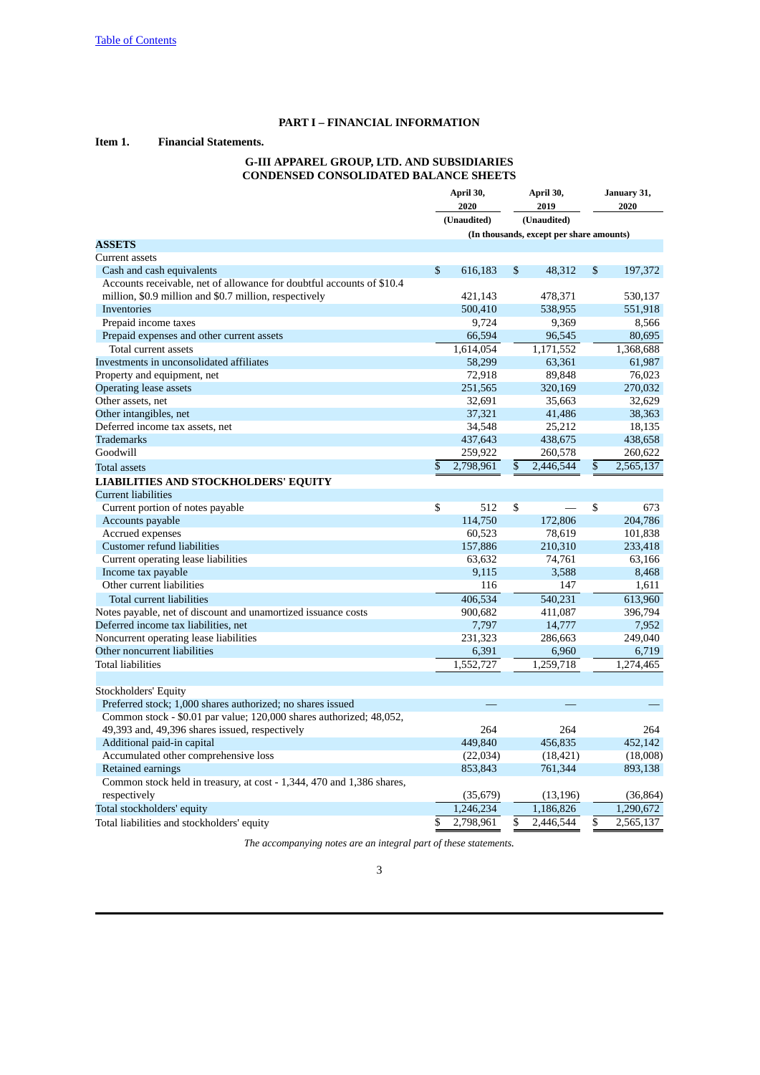# **PART I – FINANCIAL INFORMATION**

# <span id="page-2-1"></span><span id="page-2-0"></span>**Item 1. Financial Statements.**

# **G-III APPAREL GROUP, LTD. AND SUBSIDIARIES CONDENSED CONSOLIDATED BALANCE SHEETS**

<span id="page-2-2"></span>

|                                                                       | April 30,<br>2020 |             |    | April 30,<br>2019                        |                         | January 31,<br>2020 |
|-----------------------------------------------------------------------|-------------------|-------------|----|------------------------------------------|-------------------------|---------------------|
|                                                                       |                   | (Unaudited) |    | (Unaudited)                              |                         |                     |
|                                                                       |                   |             |    | (In thousands, except per share amounts) |                         |                     |
| <b>ASSETS</b>                                                         |                   |             |    |                                          |                         |                     |
| Current assets                                                        |                   |             |    |                                          |                         |                     |
| Cash and cash equivalents                                             | \$                | 616,183     | \$ | 48,312                                   | \$                      | 197,372             |
| Accounts receivable, net of allowance for doubtful accounts of \$10.4 |                   |             |    |                                          |                         |                     |
| million, \$0.9 million and \$0.7 million, respectively                |                   | 421,143     |    | 478,371                                  |                         | 530,137             |
| <b>Inventories</b>                                                    |                   | 500,410     |    | 538,955                                  |                         | 551,918             |
| Prepaid income taxes                                                  |                   | 9,724       |    | 9,369                                    |                         | 8,566               |
| Prepaid expenses and other current assets                             |                   | 66,594      |    | 96,545                                   |                         | 80,695              |
| Total current assets                                                  |                   | 1,614,054   |    | 1,171,552                                |                         | 1,368,688           |
| Investments in unconsolidated affiliates                              |                   | 58,299      |    | 63,361                                   |                         | 61,987              |
| Property and equipment, net                                           |                   | 72,918      |    | 89,848                                   |                         | 76,023              |
| Operating lease assets                                                |                   | 251,565     |    | 320,169                                  |                         | 270,032             |
| Other assets, net                                                     |                   | 32,691      |    | 35,663                                   |                         | 32,629              |
| Other intangibles, net                                                |                   | 37,321      |    | 41,486                                   |                         | 38,363              |
| Deferred income tax assets, net                                       |                   | 34,548      |    | 25,212                                   |                         | 18,135              |
| <b>Trademarks</b>                                                     |                   | 437,643     |    | 438,675                                  |                         | 438,658             |
| Goodwill                                                              |                   | 259,922     |    | 260,578                                  |                         | 260,622             |
| Total assets                                                          | \$                | 2,798,961   | \$ | 2,446,544                                | \$                      | 2,565,137           |
| <b>LIABILITIES AND STOCKHOLDERS' EQUITY</b>                           |                   |             |    |                                          |                         |                     |
| <b>Current liabilities</b>                                            |                   |             |    |                                          |                         |                     |
| Current portion of notes payable                                      | \$                | 512         | \$ |                                          | $\overline{\mathbb{S}}$ | 673                 |
| Accounts payable                                                      |                   | 114,750     |    | 172,806                                  |                         | 204,786             |
| Accrued expenses                                                      |                   | 60,523      |    | 78,619                                   |                         | 101,838             |
| Customer refund liabilities                                           |                   | 157,886     |    | 210,310                                  |                         | 233,418             |
| Current operating lease liabilities                                   |                   | 63,632      |    | 74,761                                   |                         | 63,166              |
| Income tax payable                                                    |                   | 9,115       |    | 3,588                                    |                         | 8,468               |
| Other current liabilities                                             |                   | 116         |    | 147                                      |                         | 1,611               |
| Total current liabilities                                             |                   | 406,534     |    | 540,231                                  |                         | 613,960             |
| Notes payable, net of discount and unamortized issuance costs         |                   | 900,682     |    | 411,087                                  |                         | 396,794             |
| Deferred income tax liabilities, net                                  |                   | 7,797       |    | 14,777                                   |                         | 7,952               |
| Noncurrent operating lease liabilities                                |                   | 231,323     |    | 286,663                                  |                         | 249,040             |
| Other noncurrent liabilities                                          |                   | 6,391       |    | 6,960                                    |                         | 6,719               |
| <b>Total liabilities</b>                                              |                   | 1,552,727   |    | 1,259,718                                |                         | 1,274,465           |
|                                                                       |                   |             |    |                                          |                         |                     |
| Stockholders' Equity                                                  |                   |             |    |                                          |                         |                     |
| Preferred stock; 1,000 shares authorized; no shares issued            |                   |             |    |                                          |                         |                     |
| Common stock - \$0.01 par value; 120,000 shares authorized; 48,052,   |                   |             |    |                                          |                         |                     |
| 49,393 and, 49,396 shares issued, respectively                        |                   | 264         |    | 264                                      |                         | 264                 |
| Additional paid-in capital                                            |                   | 449,840     |    | 456,835                                  |                         | 452,142             |
| Accumulated other comprehensive loss                                  |                   | (22, 034)   |    | (18, 421)                                |                         | (18,008)            |
| Retained earnings                                                     |                   | 853,843     |    | 761,344                                  |                         | 893,138             |
| Common stock held in treasury, at cost - 1,344, 470 and 1,386 shares, |                   |             |    |                                          |                         |                     |
| respectively                                                          |                   | (35, 679)   |    | (13, 196)                                |                         | (36, 864)           |
| Total stockholders' equity                                            |                   | 1,246,234   |    | 1,186,826                                |                         | 1,290,672           |
| Total liabilities and stockholders' equity                            | \$                | 2,798,961   | \$ | 2,446,544                                | \$                      | 2,565,137           |

*The accompanying notes are an integral part of these statements.*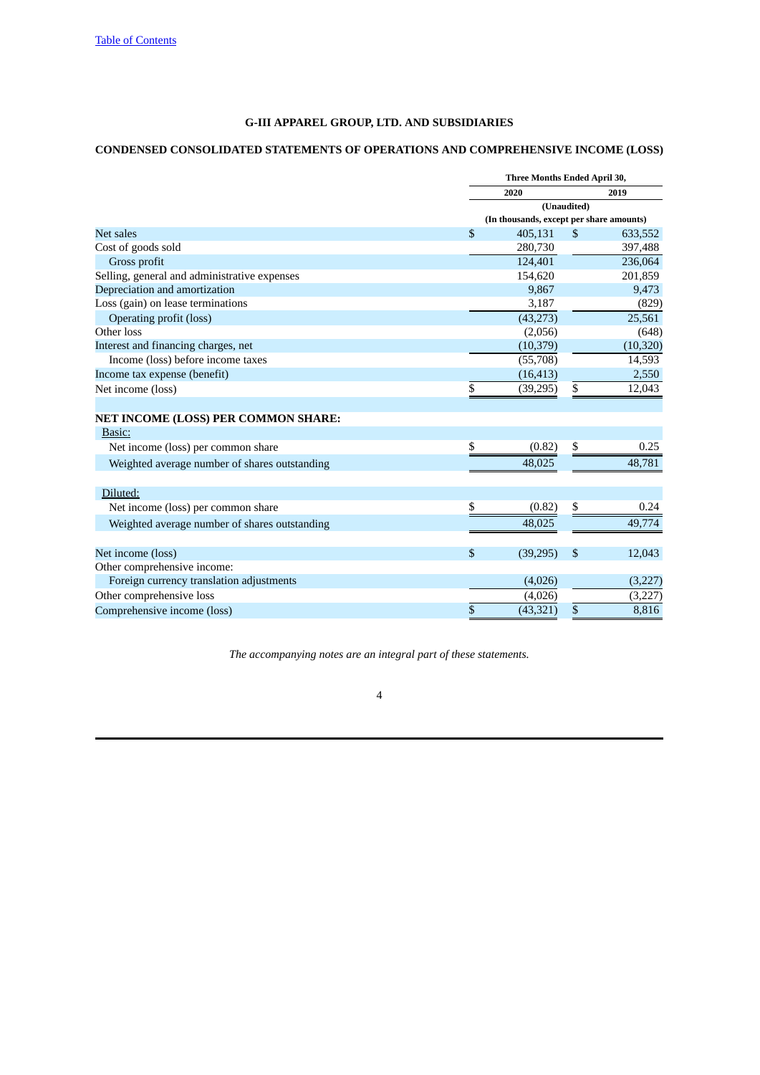# **CONDENSED CONSOLIDATED STATEMENTS OF OPERATIONS AND COMPREHENSIVE INCOME (LOSS)**

|                                                                                                                                    |              | Three Months Ended April 30,             |    |                             |  |  |
|------------------------------------------------------------------------------------------------------------------------------------|--------------|------------------------------------------|----|-----------------------------|--|--|
|                                                                                                                                    |              | 2020<br>2019                             |    |                             |  |  |
|                                                                                                                                    |              | (Unaudited)                              |    |                             |  |  |
|                                                                                                                                    |              | (In thousands, except per share amounts) |    |                             |  |  |
| Net sales                                                                                                                          | $\mathbb{S}$ | 405,131                                  | \$ | 633,552                     |  |  |
| Cost of goods sold                                                                                                                 |              | 280,730                                  |    | 397,488                     |  |  |
| Gross profit                                                                                                                       |              | 124,401                                  |    | 236,064                     |  |  |
| Selling, general and administrative expenses                                                                                       |              | 154,620                                  |    | 201,859                     |  |  |
| Depreciation and amortization                                                                                                      |              | 9,867                                    |    | 9,473                       |  |  |
| Loss (gain) on lease terminations                                                                                                  |              | 3,187                                    |    | (829)                       |  |  |
| Operating profit (loss)                                                                                                            |              | (43, 273)                                |    | 25,561                      |  |  |
| Other loss                                                                                                                         |              | (2,056)                                  |    | (648)                       |  |  |
| Interest and financing charges, net                                                                                                |              | (10, 379)                                |    | (10, 320)                   |  |  |
| Income (loss) before income taxes                                                                                                  |              | (55,708)                                 |    | 14,593                      |  |  |
| Income tax expense (benefit)                                                                                                       |              | (16, 413)                                |    | 2,550                       |  |  |
| Net income (loss)                                                                                                                  | \$           | (39, 295)                                | \$ | 12,043                      |  |  |
|                                                                                                                                    |              |                                          |    |                             |  |  |
| <b>NET INCOME (LOSS) PER COMMON SHARE:</b>                                                                                         |              |                                          |    |                             |  |  |
| Basic:                                                                                                                             |              |                                          |    |                             |  |  |
| Net income (loss) per common share                                                                                                 | \$           | (0.82)                                   | \$ | 0.25                        |  |  |
| Weighted average number of shares outstanding                                                                                      |              | 48,025                                   |    | 48,781                      |  |  |
|                                                                                                                                    |              |                                          |    |                             |  |  |
| Diluted:                                                                                                                           |              |                                          |    |                             |  |  |
| Net income (loss) per common share                                                                                                 | \$           | (0.82)                                   | \$ | 0.24                        |  |  |
| Weighted average number of shares outstanding                                                                                      |              | 48,025                                   |    | 49,774                      |  |  |
|                                                                                                                                    |              |                                          |    |                             |  |  |
| Net income (loss)                                                                                                                  | \$           | (39,295)                                 | \$ | 12,043                      |  |  |
|                                                                                                                                    |              |                                          |    |                             |  |  |
|                                                                                                                                    |              |                                          |    |                             |  |  |
|                                                                                                                                    |              |                                          |    |                             |  |  |
|                                                                                                                                    |              |                                          |    |                             |  |  |
| Other comprehensive income:<br>Foreign currency translation adjustments<br>Other comprehensive loss<br>Comprehensive income (loss) | \$           | (4,026)<br>(4,026)<br>(43, 321)          | \$ | (3,227)<br>(3,227)<br>8,816 |  |  |

*The accompanying notes are an integral part of these statements.*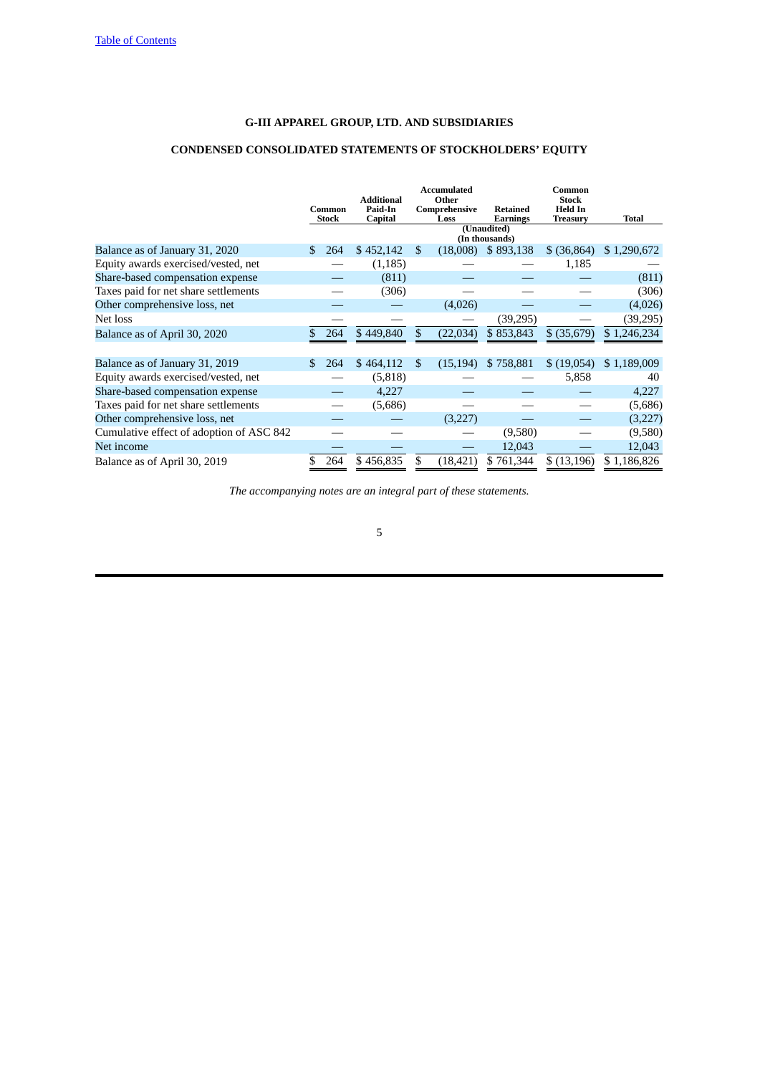# **CONDENSED CONSOLIDATED STATEMENTS OF STOCKHOLDERS' EQUITY**

<span id="page-4-0"></span>

|                                          |     |                        | <b>Additional</b>  |     | <b>Accumulated</b><br>Other |                               | Common<br><b>Stock</b>     |              |
|------------------------------------------|-----|------------------------|--------------------|-----|-----------------------------|-------------------------------|----------------------------|--------------|
|                                          |     | Common<br><b>Stock</b> | Paid-In<br>Capital |     | Comprehensive<br>Loss       | Retained<br><b>Earnings</b>   | Held In<br><b>Treasury</b> | <b>Total</b> |
|                                          |     |                        |                    |     |                             | (Unaudited)<br>(In thousands) |                            |              |
| Balance as of January 31, 2020           | \$. | 264                    | \$452,142          | \$. | (18,008)                    | \$893,138                     | \$ (36,864)                | \$1,290,672  |
| Equity awards exercised/vested, net      |     |                        | (1, 185)           |     |                             |                               | 1,185                      |              |
| Share-based compensation expense         |     |                        | (811)              |     |                             |                               |                            | (811)        |
| Taxes paid for net share settlements     |     |                        | (306)              |     |                             |                               |                            | (306)        |
| Other comprehensive loss, net            |     |                        |                    |     | (4,026)                     |                               |                            | (4,026)      |
| Net loss                                 |     |                        |                    |     |                             | (39,295)                      |                            | (39,295)     |
| Balance as of April 30, 2020             |     | 264                    | \$449,840          | \$  | (22,034)                    | \$853,843                     | $$$ (35,679)               | \$1,246,234  |
| Balance as of January 31, 2019           | \$. | 264                    | \$464,112          | \$. | (15, 194)                   | \$758,881                     | \$(19,054)                 | \$1,189,009  |
| Equity awards exercised/vested, net      |     |                        | (5,818)            |     |                             |                               | 5,858                      | 40           |
| Share-based compensation expense         |     |                        | 4,227              |     |                             |                               |                            | 4,227        |
| Taxes paid for net share settlements     |     |                        | (5,686)            |     |                             |                               |                            | (5,686)      |
| Other comprehensive loss, net            |     |                        |                    |     | (3,227)                     |                               |                            | (3,227)      |
| Cumulative effect of adoption of ASC 842 |     |                        |                    |     |                             | (9,580)                       |                            | (9,580)      |
| Net income                               |     |                        |                    |     |                             | 12,043                        |                            | 12,043       |
| Balance as of April 30, 2019             |     | 264                    | \$456,835          | S   | (18, 421)                   | \$761,344                     | \$(13,196)                 | \$1,186,826  |

*The accompanying notes are an integral part of these statements.*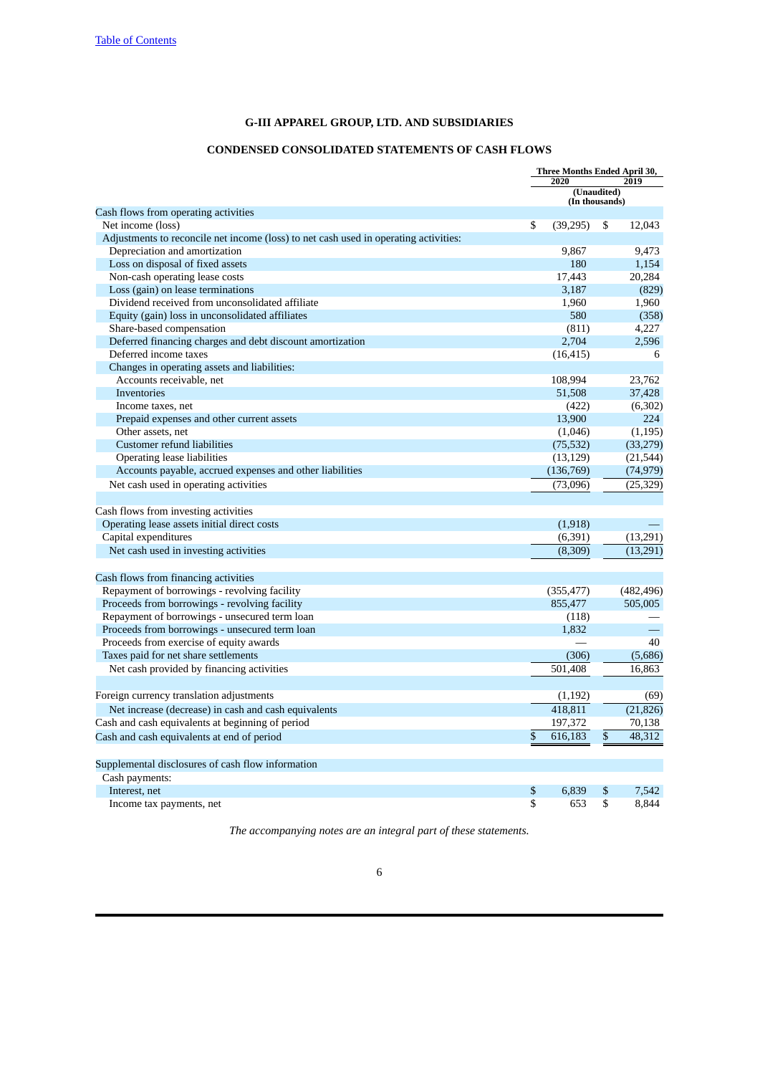# **CONDENSED CONSOLIDATED STATEMENTS OF CASH FLOWS**

<span id="page-5-0"></span>

|                                                                                      | Three Months Ended April 30, |                               |    |            |
|--------------------------------------------------------------------------------------|------------------------------|-------------------------------|----|------------|
|                                                                                      | 2020<br>2019                 |                               |    |            |
|                                                                                      |                              | (Unaudited)<br>(In thousands) |    |            |
| Cash flows from operating activities                                                 |                              |                               |    |            |
| Net income (loss)                                                                    | \$                           | (39,295)                      | \$ | 12,043     |
| Adjustments to reconcile net income (loss) to net cash used in operating activities: |                              |                               |    |            |
| Depreciation and amortization                                                        |                              | 9,867                         |    | 9,473      |
| Loss on disposal of fixed assets                                                     |                              | 180                           |    | 1,154      |
| Non-cash operating lease costs                                                       |                              | 17,443                        |    | 20,284     |
| Loss (gain) on lease terminations                                                    |                              | 3,187                         |    | (829)      |
| Dividend received from unconsolidated affiliate                                      |                              | 1,960                         |    | 1,960      |
| Equity (gain) loss in unconsolidated affiliates                                      |                              | 580                           |    | (358)      |
| Share-based compensation                                                             |                              | (811)                         |    | 4,227      |
| Deferred financing charges and debt discount amortization                            |                              | 2,704                         |    | 2,596      |
| Deferred income taxes                                                                |                              | (16, 415)                     |    | 6          |
| Changes in operating assets and liabilities:                                         |                              |                               |    |            |
| Accounts receivable, net                                                             |                              | 108,994                       |    | 23,762     |
| Inventories                                                                          |                              | 51,508                        |    | 37,428     |
| Income taxes, net                                                                    |                              | (422)                         |    | (6,302)    |
| Prepaid expenses and other current assets                                            |                              | 13,900                        |    | 224        |
| Other assets, net                                                                    |                              | (1,046)                       |    | (1, 195)   |
| Customer refund liabilities                                                          |                              | (75, 532)                     |    | (33, 279)  |
| Operating lease liabilities                                                          |                              | (13, 129)                     |    | (21, 544)  |
| Accounts payable, accrued expenses and other liabilities                             |                              | (136,769)                     |    | (74, 979)  |
| Net cash used in operating activities                                                |                              | (73,096)                      |    | (25, 329)  |
|                                                                                      |                              |                               |    |            |
| Cash flows from investing activities                                                 |                              |                               |    |            |
| Operating lease assets initial direct costs                                          |                              | (1,918)                       |    |            |
| Capital expenditures                                                                 |                              | (6,391)                       |    | (13,291)   |
| Net cash used in investing activities                                                |                              | (8,309)                       |    | (13,291)   |
| Cash flows from financing activities                                                 |                              |                               |    |            |
| Repayment of borrowings - revolving facility                                         |                              | (355, 477)                    |    | (482, 496) |
| Proceeds from borrowings - revolving facility                                        |                              | 855,477                       |    | 505,005    |
| Repayment of borrowings - unsecured term loan                                        |                              | (118)                         |    |            |
| Proceeds from borrowings - unsecured term loan                                       |                              | 1,832                         |    |            |
| Proceeds from exercise of equity awards                                              |                              |                               |    | 40         |
| Taxes paid for net share settlements                                                 |                              | (306)                         |    | (5,686)    |
|                                                                                      |                              |                               |    |            |
| Net cash provided by financing activities                                            |                              | 501,408                       |    | 16,863     |
| Foreign currency translation adjustments                                             |                              | (1,192)                       |    | (69)       |
| Net increase (decrease) in cash and cash equivalents                                 |                              | 418,811                       |    | (21, 826)  |
| Cash and cash equivalents at beginning of period                                     |                              | 197,372                       |    | 70,138     |
| Cash and cash equivalents at end of period                                           | \$                           | 616,183                       | \$ | 48,312     |
|                                                                                      |                              |                               |    |            |
| Supplemental disclosures of cash flow information                                    |                              |                               |    |            |
| Cash payments:                                                                       |                              |                               |    |            |
| Interest, net                                                                        | \$                           | 6,839                         | \$ | 7,542      |
| Income tax payments, net                                                             | $\overline{\mathbb{S}}$      | 653                           | \$ | 8,844      |

*The accompanying notes are an integral part of these statements.*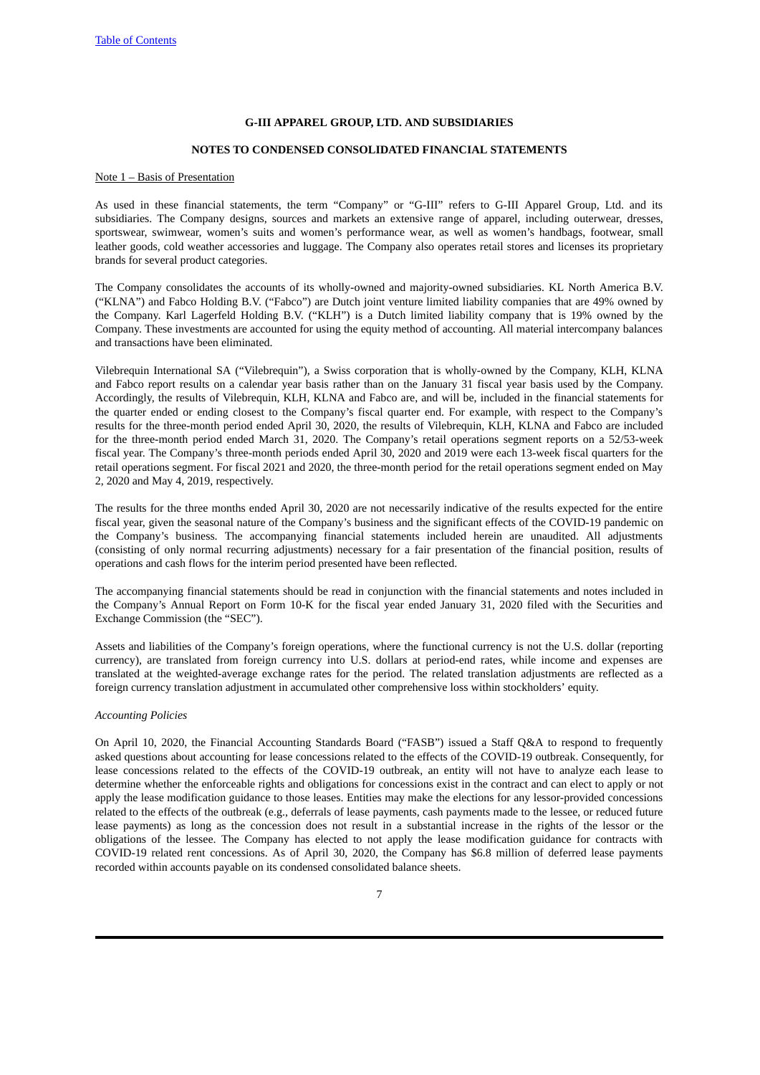### **NOTES TO CONDENSED CONSOLIDATED FINANCIAL STATEMENTS**

# <span id="page-6-0"></span>Note 1 – Basis of Presentation

As used in these financial statements, the term "Company" or "G-III" refers to G-III Apparel Group, Ltd. and its subsidiaries. The Company designs, sources and markets an extensive range of apparel, including outerwear, dresses, sportswear, swimwear, women's suits and women's performance wear, as well as women's handbags, footwear, small leather goods, cold weather accessories and luggage. The Company also operates retail stores and licenses its proprietary brands for several product categories.

The Company consolidates the accounts of its wholly-owned and majority-owned subsidiaries. KL North America B.V. ("KLNA") and Fabco Holding B.V. ("Fabco") are Dutch joint venture limited liability companies that are 49% owned by the Company. Karl Lagerfeld Holding B.V. ("KLH") is a Dutch limited liability company that is 19% owned by the Company. These investments are accounted for using the equity method of accounting. All material intercompany balances and transactions have been eliminated.

Vilebrequin International SA ("Vilebrequin"), a Swiss corporation that is wholly-owned by the Company, KLH, KLNA and Fabco report results on a calendar year basis rather than on the January 31 fiscal year basis used by the Company. Accordingly, the results of Vilebrequin, KLH, KLNA and Fabco are, and will be, included in the financial statements for the quarter ended or ending closest to the Company's fiscal quarter end. For example, with respect to the Company's results for the three-month period ended April 30, 2020, the results of Vilebrequin, KLH, KLNA and Fabco are included for the three-month period ended March 31, 2020. The Company's retail operations segment reports on a 52/53-week fiscal year. The Company's three-month periods ended April 30, 2020 and 2019 were each 13-week fiscal quarters for the retail operations segment. For fiscal 2021 and 2020, the three-month period for the retail operations segment ended on May 2, 2020 and May 4, 2019, respectively.

The results for the three months ended April 30, 2020 are not necessarily indicative of the results expected for the entire fiscal year, given the seasonal nature of the Company's business and the significant effects of the COVID-19 pandemic on the Company's business. The accompanying financial statements included herein are unaudited. All adjustments (consisting of only normal recurring adjustments) necessary for a fair presentation of the financial position, results of operations and cash flows for the interim period presented have been reflected.

The accompanying financial statements should be read in conjunction with the financial statements and notes included in the Company's Annual Report on Form 10-K for the fiscal year ended January 31, 2020 filed with the Securities and Exchange Commission (the "SEC").

Assets and liabilities of the Company's foreign operations, where the functional currency is not the U.S. dollar (reporting currency), are translated from foreign currency into U.S. dollars at period-end rates, while income and expenses are translated at the weighted-average exchange rates for the period. The related translation adjustments are reflected as a foreign currency translation adjustment in accumulated other comprehensive loss within stockholders' equity.

#### *Accounting Policies*

On April 10, 2020, the Financial Accounting Standards Board ("FASB") issued a Staff Q&A to respond to frequently asked questions about accounting for lease concessions related to the effects of the COVID-19 outbreak. Consequently, for lease concessions related to the effects of the COVID-19 outbreak, an entity will not have to analyze each lease to determine whether the enforceable rights and obligations for concessions exist in the contract and can elect to apply or not apply the lease modification guidance to those leases. Entities may make the elections for any lessor-provided concessions related to the effects of the outbreak (e.g., deferrals of lease payments, cash payments made to the lessee, or reduced future lease payments) as long as the concession does not result in a substantial increase in the rights of the lessor or the obligations of the lessee. The Company has elected to not apply the lease modification guidance for contracts with COVID-19 related rent concessions. As of April 30, 2020, the Company has \$6.8 million of deferred lease payments recorded within accounts payable on its condensed consolidated balance sheets.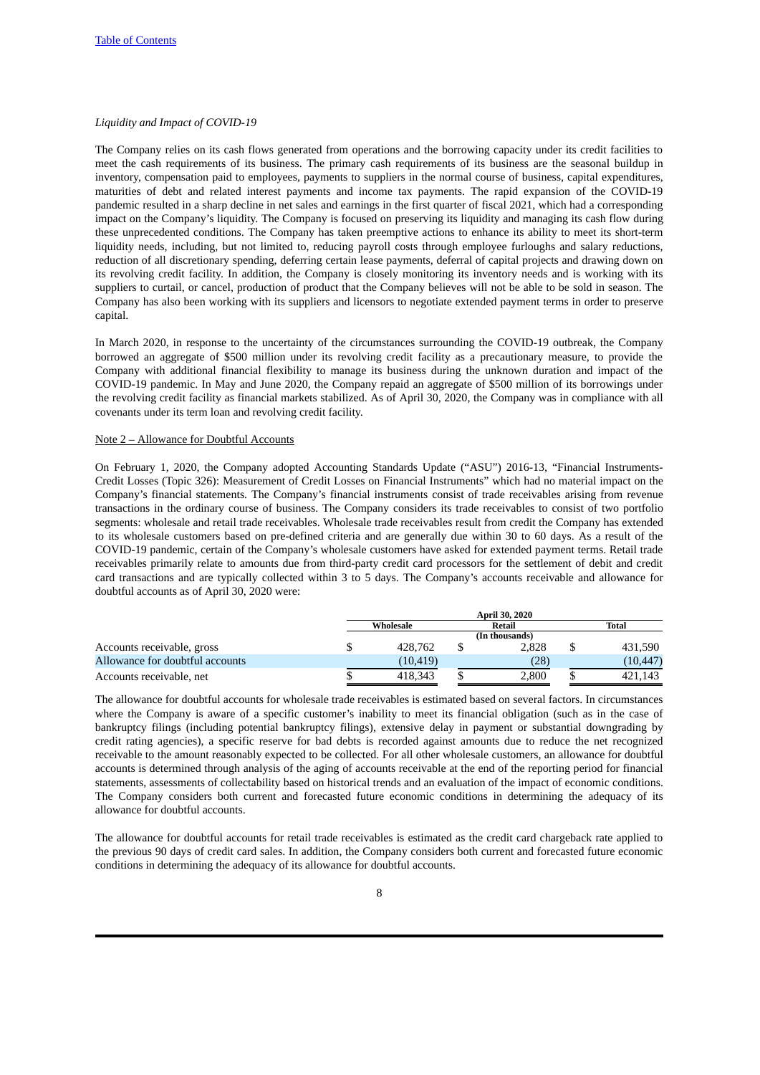# *Liquidity and Impact of COVID-19*

The Company relies on its cash flows generated from operations and the borrowing capacity under its credit facilities to meet the cash requirements of its business. The primary cash requirements of its business are the seasonal buildup in inventory, compensation paid to employees, payments to suppliers in the normal course of business, capital expenditures, maturities of debt and related interest payments and income tax payments. The rapid expansion of the COVID-19 pandemic resulted in a sharp decline in net sales and earnings in the first quarter of fiscal 2021, which had a corresponding impact on the Company's liquidity. The Company is focused on preserving its liquidity and managing its cash flow during these unprecedented conditions. The Company has taken preemptive actions to enhance its ability to meet its short-term liquidity needs, including, but not limited to, reducing payroll costs through employee furloughs and salary reductions, reduction of all discretionary spending, deferring certain lease payments, deferral of capital projects and drawing down on its revolving credit facility. In addition, the Company is closely monitoring its inventory needs and is working with its suppliers to curtail, or cancel, production of product that the Company believes will not be able to be sold in season. The Company has also been working with its suppliers and licensors to negotiate extended payment terms in order to preserve capital.

In March 2020, in response to the uncertainty of the circumstances surrounding the COVID-19 outbreak, the Company borrowed an aggregate of \$500 million under its revolving credit facility as a precautionary measure, to provide the Company with additional financial flexibility to manage its business during the unknown duration and impact of the COVID-19 pandemic. In May and June 2020, the Company repaid an aggregate of \$500 million of its borrowings under the revolving credit facility as financial markets stabilized. As of April 30, 2020, the Company was in compliance with all covenants under its term loan and revolving credit facility.

#### Note 2 – Allowance for Doubtful Accounts

On February 1, 2020, the Company adopted Accounting Standards Update ("ASU") 2016-13, "Financial Instruments-Credit Losses (Topic 326): Measurement of Credit Losses on Financial Instruments" which had no material impact on the Company's financial statements. The Company's financial instruments consist of trade receivables arising from revenue transactions in the ordinary course of business. The Company considers its trade receivables to consist of two portfolio segments: wholesale and retail trade receivables. Wholesale trade receivables result from credit the Company has extended to its wholesale customers based on pre-defined criteria and are generally due within 30 to 60 days. As a result of the COVID-19 pandemic, certain of the Company's wholesale customers have asked for extended payment terms. Retail trade receivables primarily relate to amounts due from third-party credit card processors for the settlement of debit and credit card transactions and are typically collected within 3 to 5 days. The Company's accounts receivable and allowance for doubtful accounts as of April 30, 2020 were:

|                                 |           | <b>April 30, 2020</b> |          |
|---------------------------------|-----------|-----------------------|----------|
|                                 | Wholesale | Retail                | Total    |
|                                 |           | (In thousands)        |          |
| Accounts receivable, gross      | 428.762   | 2.828                 | 431.590  |
| Allowance for doubtful accounts | (10.419)  | (28)                  | (10.447) |
| Accounts receivable, net        | 418.343   | 2,800                 | 421.143  |

The allowance for doubtful accounts for wholesale trade receivables is estimated based on several factors. In circumstances where the Company is aware of a specific customer's inability to meet its financial obligation (such as in the case of bankruptcy filings (including potential bankruptcy filings), extensive delay in payment or substantial downgrading by credit rating agencies), a specific reserve for bad debts is recorded against amounts due to reduce the net recognized receivable to the amount reasonably expected to be collected. For all other wholesale customers, an allowance for doubtful accounts is determined through analysis of the aging of accounts receivable at the end of the reporting period for financial statements, assessments of collectability based on historical trends and an evaluation of the impact of economic conditions. The Company considers both current and forecasted future economic conditions in determining the adequacy of its allowance for doubtful accounts.

The allowance for doubtful accounts for retail trade receivables is estimated as the credit card chargeback rate applied to the previous 90 days of credit card sales. In addition, the Company considers both current and forecasted future economic conditions in determining the adequacy of its allowance for doubtful accounts.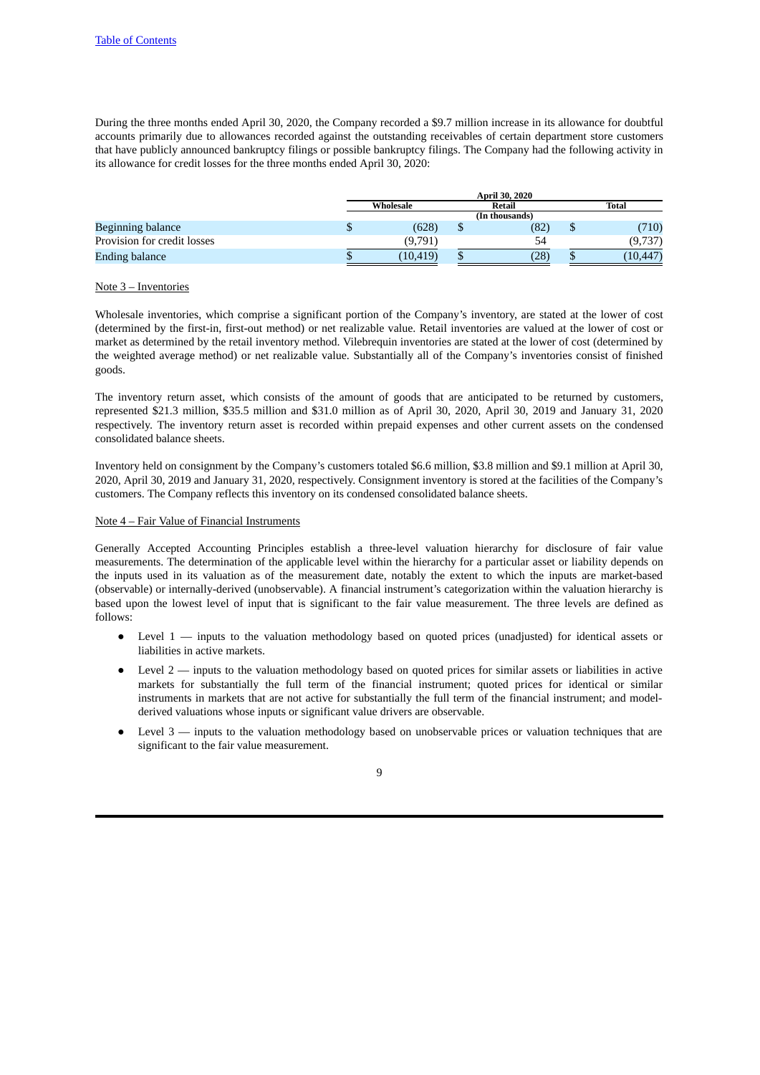During the three months ended April 30, 2020, the Company recorded a \$9.7 million increase in its allowance for doubtful accounts primarily due to allowances recorded against the outstanding receivables of certain department store customers that have publicly announced bankruptcy filings or possible bankruptcy filings. The Company had the following activity in its allowance for credit losses for the three months ended April 30, 2020:

|                             | <b>April 30, 2020</b> |   |                |  |              |  |  |  |
|-----------------------------|-----------------------|---|----------------|--|--------------|--|--|--|
|                             | Wholesale             |   | Retail         |  | <b>Total</b> |  |  |  |
|                             |                       |   | (In thousands) |  |              |  |  |  |
| Beginning balance           | (628)                 |   | (82)           |  | (710)        |  |  |  |
| Provision for credit losses | (9,791)               |   | 54             |  | (9,737)      |  |  |  |
| Ending balance              | (10, 419)             | Φ | (28)           |  | (10.447)     |  |  |  |

# Note 3 – Inventories

Wholesale inventories, which comprise a significant portion of the Company's inventory, are stated at the lower of cost (determined by the first-in, first-out method) or net realizable value. Retail inventories are valued at the lower of cost or market as determined by the retail inventory method. Vilebrequin inventories are stated at the lower of cost (determined by the weighted average method) or net realizable value. Substantially all of the Company's inventories consist of finished goods.

The inventory return asset, which consists of the amount of goods that are anticipated to be returned by customers, represented \$21.3 million, \$35.5 million and \$31.0 million as of April 30, 2020, April 30, 2019 and January 31, 2020 respectively. The inventory return asset is recorded within prepaid expenses and other current assets on the condensed consolidated balance sheets.

Inventory held on consignment by the Company's customers totaled \$6.6 million, \$3.8 million and \$9.1 million at April 30, 2020, April 30, 2019 and January 31, 2020, respectively. Consignment inventory is stored at the facilities of the Company's customers. The Company reflects this inventory on its condensed consolidated balance sheets.

#### Note 4 – Fair Value of Financial Instruments

Generally Accepted Accounting Principles establish a three-level valuation hierarchy for disclosure of fair value measurements. The determination of the applicable level within the hierarchy for a particular asset or liability depends on the inputs used in its valuation as of the measurement date, notably the extent to which the inputs are market-based (observable) or internally-derived (unobservable). A financial instrument's categorization within the valuation hierarchy is based upon the lowest level of input that is significant to the fair value measurement. The three levels are defined as follows:

- Level 1 inputs to the valuation methodology based on quoted prices (unadjusted) for identical assets or liabilities in active markets.
- Level  $2$  inputs to the valuation methodology based on quoted prices for similar assets or liabilities in active markets for substantially the full term of the financial instrument; quoted prices for identical or similar instruments in markets that are not active for substantially the full term of the financial instrument; and modelderived valuations whose inputs or significant value drivers are observable.
- Level  $3$  inputs to the valuation methodology based on unobservable prices or valuation techniques that are significant to the fair value measurement.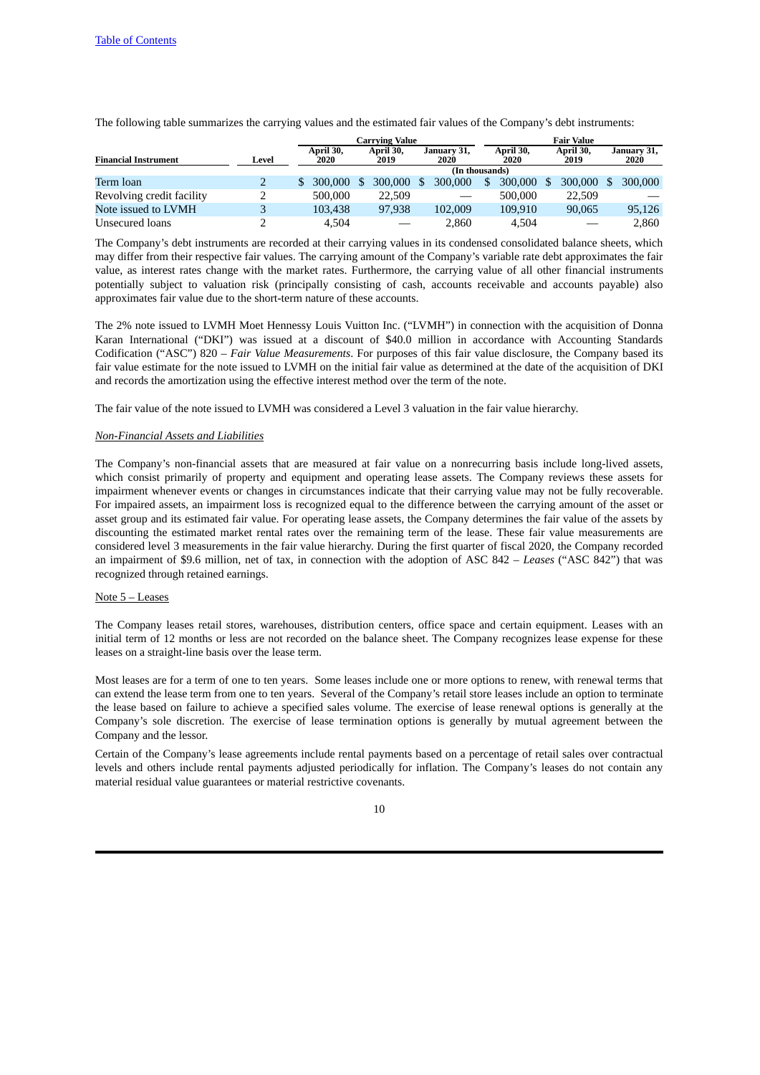|                             |       | Carrying Value    |    |                   |  |                     | <b>Fair Value</b> |  |                   |  |                     |  |
|-----------------------------|-------|-------------------|----|-------------------|--|---------------------|-------------------|--|-------------------|--|---------------------|--|
| <b>Financial Instrument</b> | Level | April 30,<br>2020 |    | April 30.<br>2019 |  | January 31,<br>2020 | April 30,<br>2020 |  | April 30,<br>2019 |  | January 31,<br>2020 |  |
|                             |       |                   |    |                   |  | (In thousands)      |                   |  |                   |  |                     |  |
| Term loan                   |       | 300,000           | S. | 300,000 \$        |  | 300,000             | 300,000           |  | 300,000           |  | 300,000             |  |
| Revolving credit facility   |       | 500,000           |    | 22,509            |  |                     | 500,000           |  | 22,509            |  |                     |  |
| Note issued to LVMH         |       | 103.438           |    | 97,938            |  | 102,009             | 109.910           |  | 90,065            |  | 95,126              |  |
| Unsecured loans             |       | 4.504             |    |                   |  | 2.860               | 4.504             |  |                   |  | 2.860               |  |

The following table summarizes the carrying values and the estimated fair values of the Company's debt instruments:

The Company's debt instruments are recorded at their carrying values in its condensed consolidated balance sheets, which may differ from their respective fair values. The carrying amount of the Company's variable rate debt approximates the fair value, as interest rates change with the market rates. Furthermore, the carrying value of all other financial instruments potentially subject to valuation risk (principally consisting of cash, accounts receivable and accounts payable) also approximates fair value due to the short-term nature of these accounts.

The 2% note issued to LVMH Moet Hennessy Louis Vuitton Inc. ("LVMH") in connection with the acquisition of Donna Karan International ("DKI") was issued at a discount of \$40.0 million in accordance with Accounting Standards Codification ("ASC") 820 – *Fair Value Measurements*. For purposes of this fair value disclosure, the Company based its fair value estimate for the note issued to LVMH on the initial fair value as determined at the date of the acquisition of DKI and records the amortization using the effective interest method over the term of the note.

The fair value of the note issued to LVMH was considered a Level 3 valuation in the fair value hierarchy.

#### *Non-Financial Assets and Liabilities*

The Company's non-financial assets that are measured at fair value on a nonrecurring basis include long-lived assets, which consist primarily of property and equipment and operating lease assets. The Company reviews these assets for impairment whenever events or changes in circumstances indicate that their carrying value may not be fully recoverable. For impaired assets, an impairment loss is recognized equal to the difference between the carrying amount of the asset or asset group and its estimated fair value. For operating lease assets, the Company determines the fair value of the assets by discounting the estimated market rental rates over the remaining term of the lease. These fair value measurements are considered level 3 measurements in the fair value hierarchy. During the first quarter of fiscal 2020, the Company recorded an impairment of \$9.6 million, net of tax, in connection with the adoption of ASC 842 – *Leases* ("ASC 842") that was recognized through retained earnings.

#### Note 5 – Leases

The Company leases retail stores, warehouses, distribution centers, office space and certain equipment. Leases with an initial term of 12 months or less are not recorded on the balance sheet. The Company recognizes lease expense for these leases on a straight-line basis over the lease term.

Most leases are for a term of one to ten years. Some leases include one or more options to renew, with renewal terms that can extend the lease term from one to ten years. Several of the Company's retail store leases include an option to terminate the lease based on failure to achieve a specified sales volume. The exercise of lease renewal options is generally at the Company's sole discretion. The exercise of lease termination options is generally by mutual agreement between the Company and the lessor.

Certain of the Company's lease agreements include rental payments based on a percentage of retail sales over contractual levels and others include rental payments adjusted periodically for inflation. The Company's leases do not contain any material residual value guarantees or material restrictive covenants.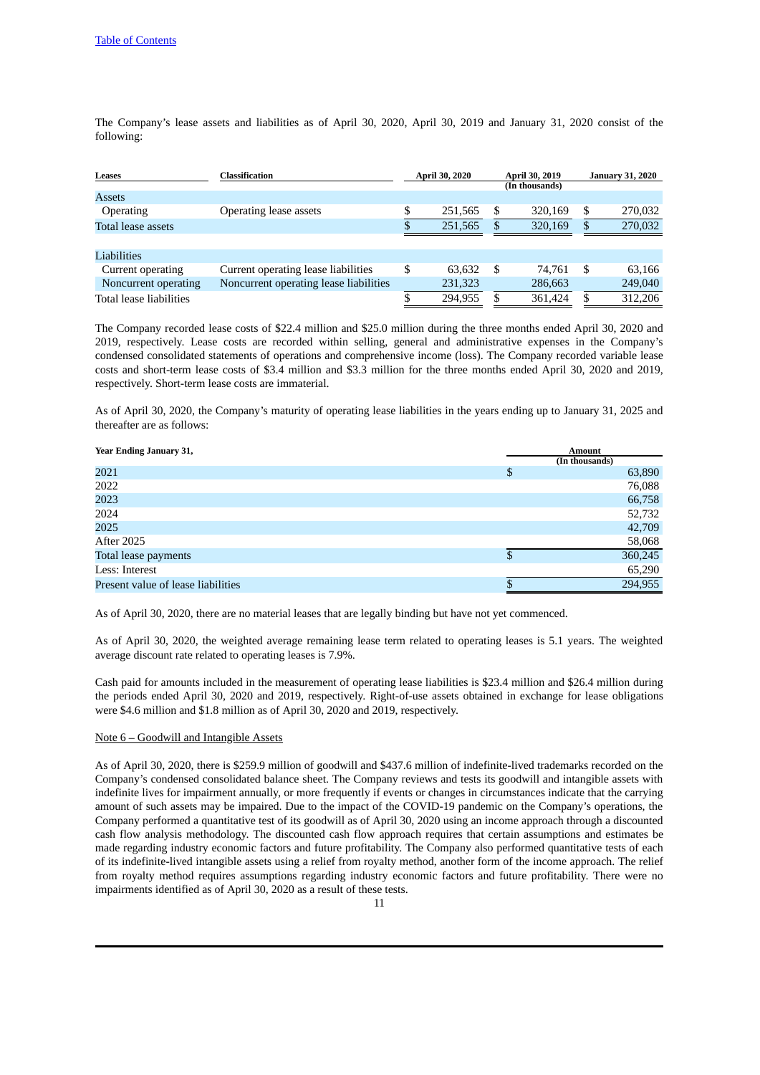The Company's lease assets and liabilities as of April 30, 2020, April 30, 2019 and January 31, 2020 consist of the following:

| Leases                  | <b>April 30, 2020</b>                  |              | <b>April 30, 2019</b> | <b>January 31, 2020</b> |   |         |
|-------------------------|----------------------------------------|--------------|-----------------------|-------------------------|---|---------|
|                         |                                        |              |                       | (In thousands)          |   |         |
| <b>Assets</b>           |                                        |              |                       |                         |   |         |
| <b>Operating</b>        | Operating lease assets                 | 251,565      | S                     | 320,169                 |   | 270,032 |
| Total lease assets      |                                        | 251,565      |                       | 320,169                 |   | 270,032 |
|                         |                                        |              |                       |                         |   |         |
| Liabilities             |                                        |              |                       |                         |   |         |
| Current operating       | Current operating lease liabilities    | \$<br>63.632 | S                     | 74.761                  | S | 63,166  |
| Noncurrent operating    | Noncurrent operating lease liabilities | 231,323      |                       | 286,663                 |   | 249,040 |
| Total lease liabilities |                                        | 294.955      | ъ                     | 361,424                 |   | 312,206 |

The Company recorded lease costs of \$22.4 million and \$25.0 million during the three months ended April 30, 2020 and 2019, respectively. Lease costs are recorded within selling, general and administrative expenses in the Company's condensed consolidated statements of operations and comprehensive income (loss). The Company recorded variable lease costs and short-term lease costs of \$3.4 million and \$3.3 million for the three months ended April 30, 2020 and 2019, respectively. Short-term lease costs are immaterial.

As of April 30, 2020, the Company's maturity of operating lease liabilities in the years ending up to January 31, 2025 and thereafter are as follows:

| <b>Year Ending January 31,</b>     |    | <b>Amount</b>  |
|------------------------------------|----|----------------|
|                                    |    | (In thousands) |
| 2021                               | \$ | 63,890         |
| 2022                               |    | 76,088         |
| 2023                               |    | 66,758         |
| 2024                               |    | 52,732         |
| 2025                               |    | 42,709         |
| <b>After 2025</b>                  |    | 58,068         |
| Total lease payments               | S  | 360,245        |
| Less: Interest                     |    | 65,290         |
| Present value of lease liabilities |    | 294,955        |

As of April 30, 2020, there are no material leases that are legally binding but have not yet commenced.

As of April 30, 2020, the weighted average remaining lease term related to operating leases is 5.1 years. The weighted average discount rate related to operating leases is 7.9%.

Cash paid for amounts included in the measurement of operating lease liabilities is \$23.4 million and \$26.4 million during the periods ended April 30, 2020 and 2019, respectively. Right-of-use assets obtained in exchange for lease obligations were \$4.6 million and \$1.8 million as of April 30, 2020 and 2019, respectively.

# Note 6 – Goodwill and Intangible Assets

As of April 30, 2020, there is \$259.9 million of goodwill and \$437.6 million of indefinite-lived trademarks recorded on the Company's condensed consolidated balance sheet. The Company reviews and tests its goodwill and intangible assets with indefinite lives for impairment annually, or more frequently if events or changes in circumstances indicate that the carrying amount of such assets may be impaired. Due to the impact of the COVID-19 pandemic on the Company's operations, the Company performed a quantitative test of its goodwill as of April 30, 2020 using an income approach through a discounted cash flow analysis methodology. The discounted cash flow approach requires that certain assumptions and estimates be made regarding industry economic factors and future profitability. The Company also performed quantitative tests of each of its indefinite-lived intangible assets using a relief from royalty method, another form of the income approach. The relief from royalty method requires assumptions regarding industry economic factors and future profitability. There were no impairments identified as of April 30, 2020 as a result of these tests.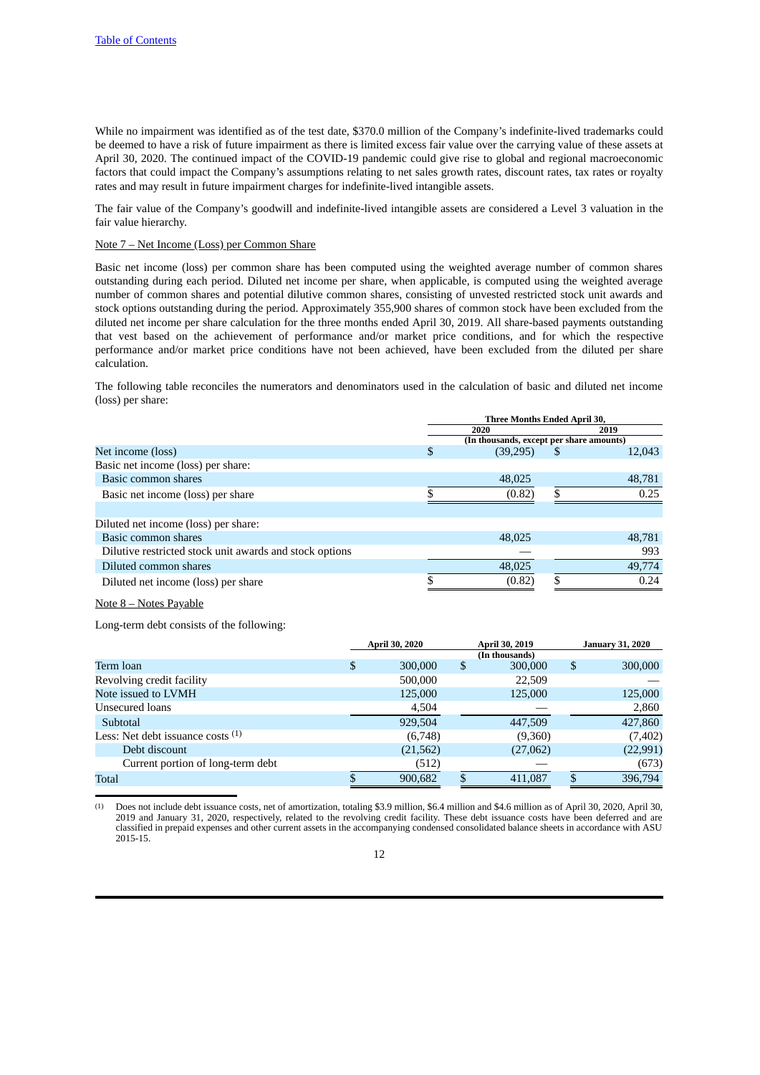While no impairment was identified as of the test date, \$370.0 million of the Company's indefinite-lived trademarks could be deemed to have a risk of future impairment as there is limited excess fair value over the carrying value of these assets at April 30, 2020. The continued impact of the COVID-19 pandemic could give rise to global and regional macroeconomic factors that could impact the Company's assumptions relating to net sales growth rates, discount rates, tax rates or royalty rates and may result in future impairment charges for indefinite-lived intangible assets.

The fair value of the Company's goodwill and indefinite-lived intangible assets are considered a Level 3 valuation in the fair value hierarchy.

#### Note 7 – Net Income (Loss) per Common Share

Basic net income (loss) per common share has been computed using the weighted average number of common shares outstanding during each period. Diluted net income per share, when applicable, is computed using the weighted average number of common shares and potential dilutive common shares, consisting of unvested restricted stock unit awards and stock options outstanding during the period. Approximately 355,900 shares of common stock have been excluded from the diluted net income per share calculation for the three months ended April 30, 2019. All share-based payments outstanding that vest based on the achievement of performance and/or market price conditions, and for which the respective performance and/or market price conditions have not been achieved, have been excluded from the diluted per share calculation.

The following table reconciles the numerators and denominators used in the calculation of basic and diluted net income (loss) per share:

|                                                         | <b>Three Months Ended April 30,</b> |                                          |      |        |  |  |
|---------------------------------------------------------|-------------------------------------|------------------------------------------|------|--------|--|--|
|                                                         |                                     | 2020                                     | 2019 |        |  |  |
|                                                         |                                     | (In thousands, except per share amounts) |      |        |  |  |
| Net income (loss)                                       | \$                                  | (39,295)                                 | S    | 12,043 |  |  |
| Basic net income (loss) per share:                      |                                     |                                          |      |        |  |  |
| Basic common shares                                     |                                     | 48,025                                   |      | 48,781 |  |  |
| Basic net income (loss) per share                       |                                     | (0.82)                                   |      | 0.25   |  |  |
|                                                         |                                     |                                          |      |        |  |  |
| Diluted net income (loss) per share:                    |                                     |                                          |      |        |  |  |
| Basic common shares                                     |                                     | 48,025                                   |      | 48,781 |  |  |
| Dilutive restricted stock unit awards and stock options |                                     |                                          |      | 993    |  |  |
| Diluted common shares                                   |                                     | 48,025                                   |      | 49,774 |  |  |
| Diluted net income (loss) per share                     |                                     | (0.82)                                   |      | 0.24   |  |  |
|                                                         |                                     |                                          |      |        |  |  |

#### Note 8 – Notes Payable

Long-term debt consists of the following:

|                                     | <b>April 30, 2020</b> |           | April 30, 2019 | <b>January 31, 2020</b> |  |
|-------------------------------------|-----------------------|-----------|----------------|-------------------------|--|
|                                     |                       |           | (In thousands) |                         |  |
| Term loan                           | <sup>\$</sup>         | 300,000   | \$<br>300,000  | \$<br>300,000           |  |
| Revolving credit facility           |                       | 500,000   | 22,509         |                         |  |
| Note issued to LVMH                 |                       | 125,000   | 125,000        | 125,000                 |  |
| Unsecured loans                     |                       | 4,504     |                | 2,860                   |  |
| Subtotal                            |                       | 929,504   | 447,509        | 427,860                 |  |
| Less: Net debt issuance costs $(1)$ |                       | (6,748)   | (9,360)        | (7, 402)                |  |
| Debt discount                       |                       | (21, 562) | (27,062)       | (22, 991)               |  |
| Current portion of long-term debt   |                       | (512)     |                | (673)                   |  |
| Total                               | \$                    | 900,682   | \$<br>411.087  | \$<br>396,794           |  |

(1) Does not include debt issuance costs, net of amortization, totaling \$3.9 million, \$6.4 million and \$4.6 million as of April 30, 2020, April 30, 2019 and January 31, 2020, respectively, related to the revolving credit facility. These debt issuance costs have been deferred and are classified in prepaid expenses and other current assets in the accompanying condensed consolidated balance sheets in accordance with ASU 2015-15.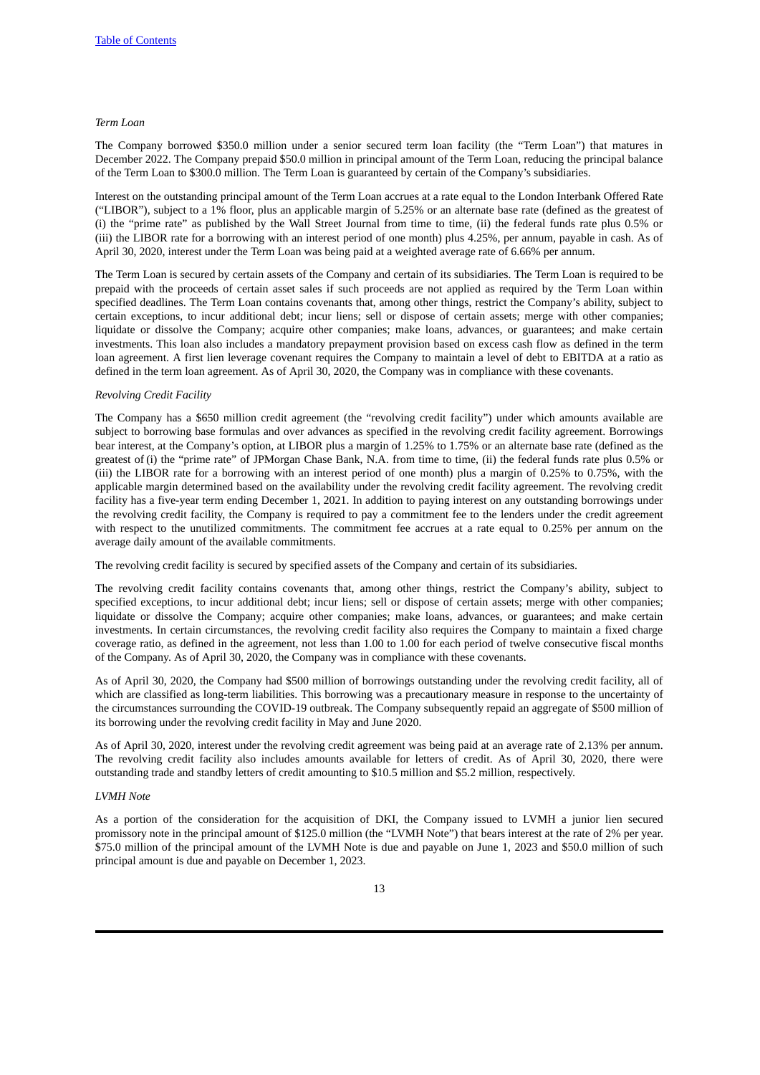#### *Term Loan*

The Company borrowed \$350.0 million under a senior secured term loan facility (the "Term Loan") that matures in December 2022. The Company prepaid \$50.0 million in principal amount of the Term Loan, reducing the principal balance of the Term Loan to \$300.0 million. The Term Loan is guaranteed by certain of the Company's subsidiaries.

Interest on the outstanding principal amount of the Term Loan accrues at a rate equal to the London Interbank Offered Rate ("LIBOR"), subject to a 1% floor, plus an applicable margin of 5.25% or an alternate base rate (defined as the greatest of (i) the "prime rate" as published by the Wall Street Journal from time to time, (ii) the federal funds rate plus 0.5% or (iii) the LIBOR rate for a borrowing with an interest period of one month) plus 4.25%, per annum, payable in cash. As of April 30, 2020, interest under the Term Loan was being paid at a weighted average rate of 6.66% per annum.

The Term Loan is secured by certain assets of the Company and certain of its subsidiaries. The Term Loan is required to be prepaid with the proceeds of certain asset sales if such proceeds are not applied as required by the Term Loan within specified deadlines. The Term Loan contains covenants that, among other things, restrict the Company's ability, subject to certain exceptions, to incur additional debt; incur liens; sell or dispose of certain assets; merge with other companies; liquidate or dissolve the Company; acquire other companies; make loans, advances, or guarantees; and make certain investments. This loan also includes a mandatory prepayment provision based on excess cash flow as defined in the term loan agreement. A first lien leverage covenant requires the Company to maintain a level of debt to EBITDA at a ratio as defined in the term loan agreement. As of April 30, 2020, the Company was in compliance with these covenants.

#### *Revolving Credit Facility*

The Company has a \$650 million credit agreement (the "revolving credit facility") under which amounts available are subject to borrowing base formulas and over advances as specified in the revolving credit facility agreement. Borrowings bear interest, at the Company's option, at LIBOR plus a margin of 1.25% to 1.75% or an alternate base rate (defined as the greatest of (i) the "prime rate" of JPMorgan Chase Bank, N.A. from time to time, (ii) the federal funds rate plus 0.5% or (iii) the LIBOR rate for a borrowing with an interest period of one month) plus a margin of 0.25% to 0.75%, with the applicable margin determined based on the availability under the revolving credit facility agreement. The revolving credit facility has a five-year term ending December 1, 2021. In addition to paying interest on any outstanding borrowings under the revolving credit facility, the Company is required to pay a commitment fee to the lenders under the credit agreement with respect to the unutilized commitments. The commitment fee accrues at a rate equal to 0.25% per annum on the average daily amount of the available commitments.

The revolving credit facility is secured by specified assets of the Company and certain of its subsidiaries.

The revolving credit facility contains covenants that, among other things, restrict the Company's ability, subject to specified exceptions, to incur additional debt; incur liens; sell or dispose of certain assets; merge with other companies; liquidate or dissolve the Company; acquire other companies; make loans, advances, or guarantees; and make certain investments. In certain circumstances, the revolving credit facility also requires the Company to maintain a fixed charge coverage ratio, as defined in the agreement, not less than 1.00 to 1.00 for each period of twelve consecutive fiscal months of the Company. As of April 30, 2020, the Company was in compliance with these covenants.

As of April 30, 2020, the Company had \$500 million of borrowings outstanding under the revolving credit facility, all of which are classified as long-term liabilities. This borrowing was a precautionary measure in response to the uncertainty of the circumstances surrounding the COVID-19 outbreak. The Company subsequently repaid an aggregate of \$500 million of its borrowing under the revolving credit facility in May and June 2020.

As of April 30, 2020, interest under the revolving credit agreement was being paid at an average rate of 2.13% per annum. The revolving credit facility also includes amounts available for letters of credit. As of April 30, 2020, there were outstanding trade and standby letters of credit amounting to \$10.5 million and \$5.2 million, respectively.

#### *LVMH Note*

As a portion of the consideration for the acquisition of DKI, the Company issued to LVMH a junior lien secured promissory note in the principal amount of \$125.0 million (the "LVMH Note") that bears interest at the rate of 2% per year. \$75.0 million of the principal amount of the LVMH Note is due and payable on June 1, 2023 and \$50.0 million of such principal amount is due and payable on December 1, 2023.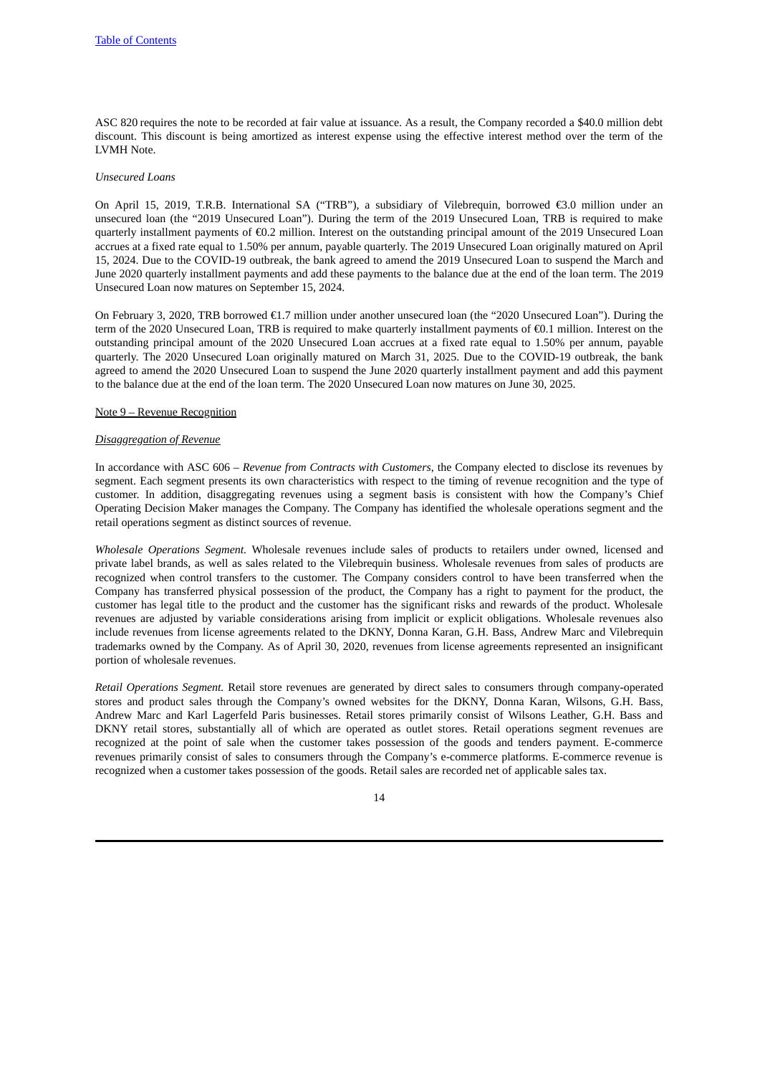ASC 820 requires the note to be recorded at fair value at issuance. As a result, the Company recorded a \$40.0 million debt discount. This discount is being amortized as interest expense using the effective interest method over the term of the LVMH Note.

#### *Unsecured Loans*

On April 15, 2019, T.R.B. International SA ("TRB"), a subsidiary of Vilebrequin, borrowed €3.0 million under an unsecured loan (the "2019 Unsecured Loan"). During the term of the 2019 Unsecured Loan, TRB is required to make quarterly installment payments of €0.2 million. Interest on the outstanding principal amount of the 2019 Unsecured Loan accrues at a fixed rate equal to 1.50% per annum, payable quarterly. The 2019 Unsecured Loan originally matured on April 15, 2024. Due to the COVID-19 outbreak, the bank agreed to amend the 2019 Unsecured Loan to suspend the March and June 2020 quarterly installment payments and add these payments to the balance due at the end of the loan term. The 2019 Unsecured Loan now matures on September 15, 2024.

On February 3, 2020, TRB borrowed €1.7 million under another unsecured loan (the "2020 Unsecured Loan"). During the term of the 2020 Unsecured Loan, TRB is required to make quarterly installment payments of €0.1 million. Interest on the outstanding principal amount of the 2020 Unsecured Loan accrues at a fixed rate equal to 1.50% per annum, payable quarterly. The 2020 Unsecured Loan originally matured on March 31, 2025. Due to the COVID-19 outbreak, the bank agreed to amend the 2020 Unsecured Loan to suspend the June 2020 quarterly installment payment and add this payment to the balance due at the end of the loan term. The 2020 Unsecured Loan now matures on June 30, 2025.

# Note 9 – Revenue Recognition

# *Disaggregation of Revenue*

In accordance with ASC 606 – *Revenue from Contracts with Customers*, the Company elected to disclose its revenues by segment. Each segment presents its own characteristics with respect to the timing of revenue recognition and the type of customer. In addition, disaggregating revenues using a segment basis is consistent with how the Company's Chief Operating Decision Maker manages the Company. The Company has identified the wholesale operations segment and the retail operations segment as distinct sources of revenue.

*Wholesale Operations Segment.* Wholesale revenues include sales of products to retailers under owned, licensed and private label brands, as well as sales related to the Vilebrequin business. Wholesale revenues from sales of products are recognized when control transfers to the customer. The Company considers control to have been transferred when the Company has transferred physical possession of the product, the Company has a right to payment for the product, the customer has legal title to the product and the customer has the significant risks and rewards of the product. Wholesale revenues are adjusted by variable considerations arising from implicit or explicit obligations. Wholesale revenues also include revenues from license agreements related to the DKNY, Donna Karan, G.H. Bass, Andrew Marc and Vilebrequin trademarks owned by the Company. As of April 30, 2020, revenues from license agreements represented an insignificant portion of wholesale revenues.

*Retail Operations Segment.* Retail store revenues are generated by direct sales to consumers through company-operated stores and product sales through the Company's owned websites for the DKNY, Donna Karan, Wilsons, G.H. Bass, Andrew Marc and Karl Lagerfeld Paris businesses. Retail stores primarily consist of Wilsons Leather, G.H. Bass and DKNY retail stores, substantially all of which are operated as outlet stores. Retail operations segment revenues are recognized at the point of sale when the customer takes possession of the goods and tenders payment. E-commerce revenues primarily consist of sales to consumers through the Company's e-commerce platforms. E-commerce revenue is recognized when a customer takes possession of the goods. Retail sales are recorded net of applicable sales tax.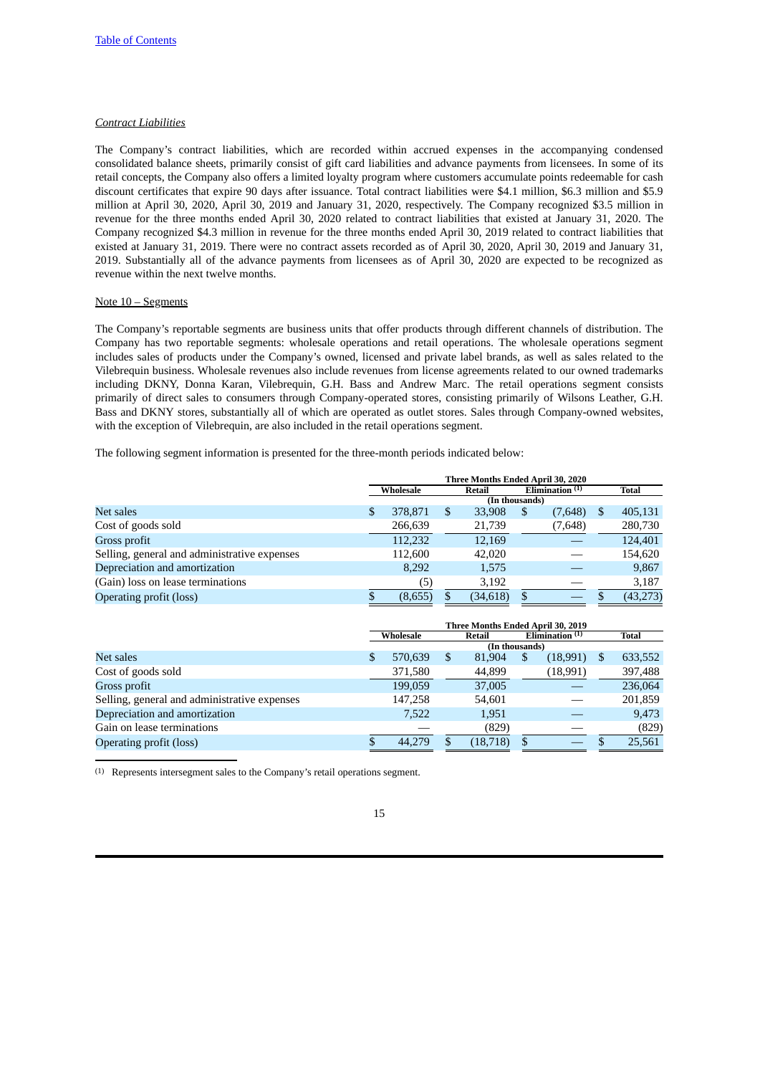### *Contract Liabilities*

The Company's contract liabilities, which are recorded within accrued expenses in the accompanying condensed consolidated balance sheets, primarily consist of gift card liabilities and advance payments from licensees. In some of its retail concepts, the Company also offers a limited loyalty program where customers accumulate points redeemable for cash discount certificates that expire 90 days after issuance. Total contract liabilities were \$4.1 million, \$6.3 million and \$5.9 million at April 30, 2020, April 30, 2019 and January 31, 2020, respectively. The Company recognized \$3.5 million in revenue for the three months ended April 30, 2020 related to contract liabilities that existed at January 31, 2020. The Company recognized \$4.3 million in revenue for the three months ended April 30, 2019 related to contract liabilities that existed at January 31, 2019. There were no contract assets recorded as of April 30, 2020, April 30, 2019 and January 31, 2019. Substantially all of the advance payments from licensees as of April 30, 2020 are expected to be recognized as revenue within the next twelve months.

## Note 10 – Segments

The Company's reportable segments are business units that offer products through different channels of distribution. The Company has two reportable segments: wholesale operations and retail operations. The wholesale operations segment includes sales of products under the Company's owned, licensed and private label brands, as well as sales related to the Vilebrequin business. Wholesale revenues also include revenues from license agreements related to our owned trademarks including DKNY, Donna Karan, Vilebrequin, G.H. Bass and Andrew Marc. The retail operations segment consists primarily of direct sales to consumers through Company-operated stores, consisting primarily of Wilsons Leather, G.H. Bass and DKNY stores, substantially all of which are operated as outlet stores. Sales through Company-owned websites, with the exception of Vilebrequin, are also included in the retail operations segment.

The following segment information is presented for the three-month periods indicated below:

|                                              |               |    | Three Months Ended April 30, 2020 |    |                   |    |           |
|----------------------------------------------|---------------|----|-----------------------------------|----|-------------------|----|-----------|
|                                              | Wholesale     |    | Retail                            |    | Elimination $(1)$ |    | Total     |
|                                              |               |    | (In thousands)                    |    |                   |    |           |
| Net sales                                    | \$<br>378,871 | S  | 33,908                            | S  | (7,648)           | S  | 405,131   |
| Cost of goods sold                           | 266,639       |    | 21,739                            |    | (7,648)           |    | 280,730   |
| Gross profit                                 | 112,232       |    | 12,169                            |    |                   |    | 124,401   |
| Selling, general and administrative expenses | 112,600       |    | 42,020                            |    |                   |    | 154,620   |
| Depreciation and amortization                | 8,292         |    | 1,575                             |    |                   |    | 9,867     |
| (Gain) loss on lease terminations            | (5)           |    | 3,192                             |    |                   |    | 3,187     |
| Operating profit (loss)                      | (8,655)       | £. | (34, 618)                         | \$ |                   | S. | (43, 273) |

|                                              | Three Months Ended April 30, 2019 |           |        |           |                   |           |    |         |
|----------------------------------------------|-----------------------------------|-----------|--------|-----------|-------------------|-----------|----|---------|
|                                              |                                   | Wholesale | Retail |           | Elimination $(1)$ |           |    | Total   |
|                                              |                                   |           |        |           | (In thousands)    |           |    |         |
| Net sales                                    | \$                                | 570,639   | \$     | 81,904    | -S                | (18,991)  | \$ | 633,552 |
| Cost of goods sold                           |                                   | 371,580   |        | 44,899    |                   | (18, 991) |    | 397,488 |
| Gross profit                                 |                                   | 199.059   |        | 37,005    |                   |           |    | 236,064 |
| Selling, general and administrative expenses |                                   | 147,258   |        | 54,601    |                   |           |    | 201,859 |
| Depreciation and amortization                |                                   | 7,522     |        | 1,951     |                   |           |    | 9,473   |
| Gain on lease terminations                   |                                   |           |        | (829)     |                   |           |    | (829)   |
| Operating profit (loss)                      |                                   | 44,279    | S.     | (18, 718) |                   |           |    | 25,561  |
|                                              |                                   |           |        |           |                   |           |    |         |

(1) Represents intersegment sales to the Company's retail operations segment.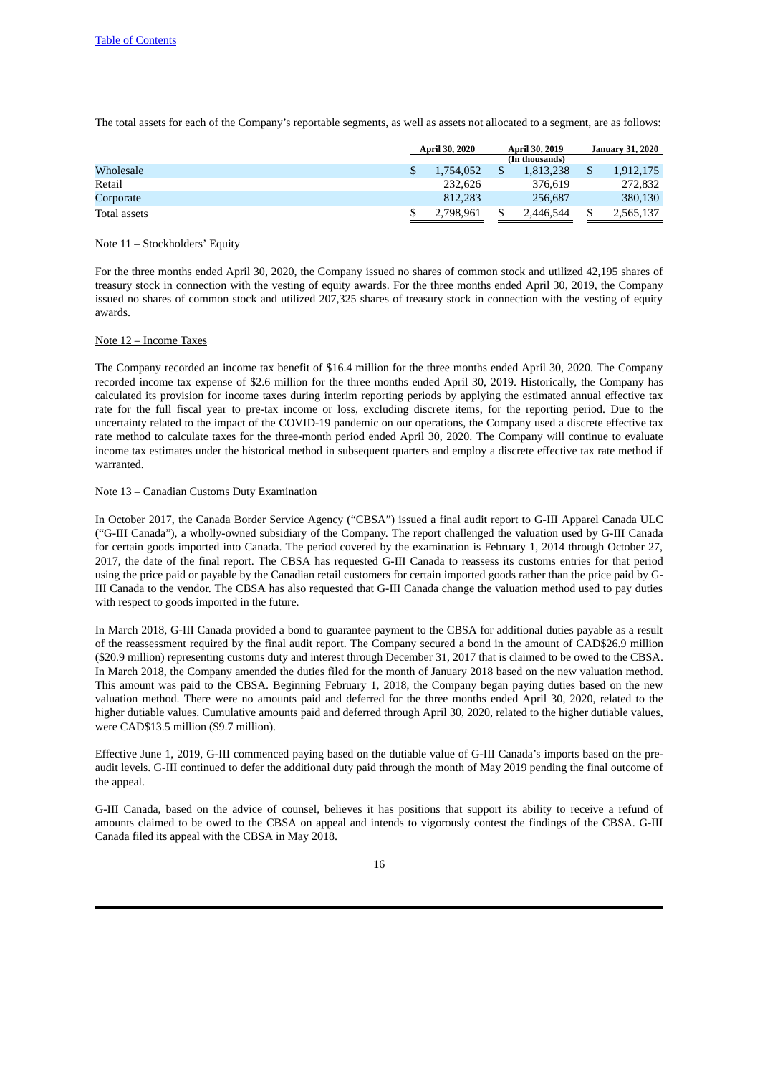The total assets for each of the Company's reportable segments, as well as assets not allocated to a segment, are as follows:

|              | April 30, 2020  |  | <b>April 30, 2019</b> | <b>January 31, 2020</b> |           |  |
|--------------|-----------------|--|-----------------------|-------------------------|-----------|--|
|              |                 |  | (In thousands)        |                         |           |  |
| Wholesale    | \$<br>1,754,052 |  | 1.813.238             |                         | 1,912,175 |  |
| Retail       | 232.626         |  | 376,619               |                         | 272,832   |  |
| Corporate    | 812,283         |  | 256,687               |                         | 380,130   |  |
| Total assets | 2,798,961       |  | 2,446,544             |                         | 2,565,137 |  |

# Note 11 – Stockholders' Equity

For the three months ended April 30, 2020, the Company issued no shares of common stock and utilized 42,195 shares of treasury stock in connection with the vesting of equity awards. For the three months ended April 30, 2019, the Company issued no shares of common stock and utilized 207,325 shares of treasury stock in connection with the vesting of equity awards.

#### Note 12 – Income Taxes

The Company recorded an income tax benefit of \$16.4 million for the three months ended April 30, 2020. The Company recorded income tax expense of \$2.6 million for the three months ended April 30, 2019. Historically, the Company has calculated its provision for income taxes during interim reporting periods by applying the estimated annual effective tax rate for the full fiscal year to pre-tax income or loss, excluding discrete items, for the reporting period. Due to the uncertainty related to the impact of the COVID-19 pandemic on our operations, the Company used a discrete effective tax rate method to calculate taxes for the three-month period ended April 30, 2020. The Company will continue to evaluate income tax estimates under the historical method in subsequent quarters and employ a discrete effective tax rate method if warranted.

#### Note 13 – Canadian Customs Duty Examination

In October 2017, the Canada Border Service Agency ("CBSA") issued a final audit report to G-III Apparel Canada ULC ("G-III Canada"), a wholly-owned subsidiary of the Company. The report challenged the valuation used by G-III Canada for certain goods imported into Canada. The period covered by the examination is February 1, 2014 through October 27, 2017, the date of the final report. The CBSA has requested G-III Canada to reassess its customs entries for that period using the price paid or payable by the Canadian retail customers for certain imported goods rather than the price paid by G-III Canada to the vendor. The CBSA has also requested that G-III Canada change the valuation method used to pay duties with respect to goods imported in the future.

In March 2018, G-III Canada provided a bond to guarantee payment to the CBSA for additional duties payable as a result of the reassessment required by the final audit report. The Company secured a bond in the amount of CAD\$26.9 million (\$20.9 million) representing customs duty and interest through December 31, 2017 that is claimed to be owed to the CBSA. In March 2018, the Company amended the duties filed for the month of January 2018 based on the new valuation method. This amount was paid to the CBSA. Beginning February 1, 2018, the Company began paying duties based on the new valuation method. There were no amounts paid and deferred for the three months ended April 30, 2020, related to the higher dutiable values. Cumulative amounts paid and deferred through April 30, 2020, related to the higher dutiable values, were CAD\$13.5 million (\$9.7 million).

Effective June 1, 2019, G-III commenced paying based on the dutiable value of G-III Canada's imports based on the preaudit levels. G-III continued to defer the additional duty paid through the month of May 2019 pending the final outcome of the appeal.

G-III Canada, based on the advice of counsel, believes it has positions that support its ability to receive a refund of amounts claimed to be owed to the CBSA on appeal and intends to vigorously contest the findings of the CBSA. G-III Canada filed its appeal with the CBSA in May 2018.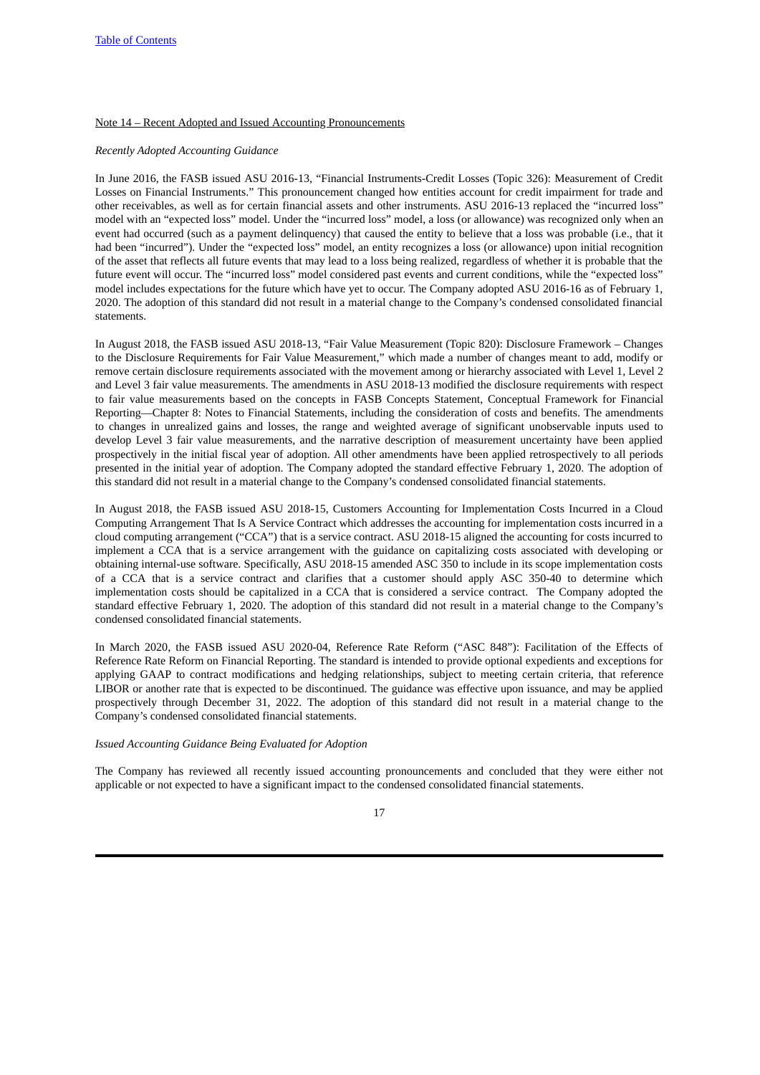# Note 14 – Recent Adopted and Issued Accounting Pronouncements

# *Recently Adopted Accounting Guidance*

In June 2016, the FASB issued ASU 2016-13, "Financial Instruments-Credit Losses (Topic 326): Measurement of Credit Losses on Financial Instruments." This pronouncement changed how entities account for credit impairment for trade and other receivables, as well as for certain financial assets and other instruments. ASU 2016-13 replaced the "incurred loss" model with an "expected loss" model. Under the "incurred loss" model, a loss (or allowance) was recognized only when an event had occurred (such as a payment delinquency) that caused the entity to believe that a loss was probable (i.e., that it had been "incurred"). Under the "expected loss" model, an entity recognizes a loss (or allowance) upon initial recognition of the asset that reflects all future events that may lead to a loss being realized, regardless of whether it is probable that the future event will occur. The "incurred loss" model considered past events and current conditions, while the "expected loss" model includes expectations for the future which have yet to occur. The Company adopted ASU 2016-16 as of February 1, 2020. The adoption of this standard did not result in a material change to the Company's condensed consolidated financial statements.

In August 2018, the FASB issued ASU 2018-13, "Fair Value Measurement (Topic 820): Disclosure Framework – Changes to the Disclosure Requirements for Fair Value Measurement," which made a number of changes meant to add, modify or remove certain disclosure requirements associated with the movement among or hierarchy associated with Level 1, Level 2 and Level 3 fair value measurements. The amendments in ASU 2018-13 modified the disclosure requirements with respect to fair value measurements based on the concepts in FASB Concepts Statement, Conceptual Framework for Financial Reporting—Chapter 8: Notes to Financial Statements, including the consideration of costs and benefits. The amendments to changes in unrealized gains and losses, the range and weighted average of significant unobservable inputs used to develop Level 3 fair value measurements, and the narrative description of measurement uncertainty have been applied prospectively in the initial fiscal year of adoption. All other amendments have been applied retrospectively to all periods presented in the initial year of adoption. The Company adopted the standard effective February 1, 2020. The adoption of this standard did not result in a material change to the Company's condensed consolidated financial statements.

In August 2018, the FASB issued ASU 2018-15, Customers Accounting for Implementation Costs Incurred in a Cloud Computing Arrangement That Is A Service Contract which addresses the accounting for implementation costs incurred in a cloud computing arrangement ("CCA") that is a service contract. ASU 2018-15 aligned the accounting for costs incurred to implement a CCA that is a service arrangement with the guidance on capitalizing costs associated with developing or obtaining internal-use software. Specifically, ASU 2018-15 amended ASC 350 to include in its scope implementation costs of a CCA that is a service contract and clarifies that a customer should apply ASC 350-40 to determine which implementation costs should be capitalized in a CCA that is considered a service contract. The Company adopted the standard effective February 1, 2020. The adoption of this standard did not result in a material change to the Company's condensed consolidated financial statements.

In March 2020, the FASB issued ASU 2020-04, Reference Rate Reform ("ASC 848"): Facilitation of the Effects of Reference Rate Reform on Financial Reporting. The standard is intended to provide optional expedients and exceptions for applying GAAP to contract modifications and hedging relationships, subject to meeting certain criteria, that reference LIBOR or another rate that is expected to be discontinued. The guidance was effective upon issuance, and may be applied prospectively through December 31, 2022. The adoption of this standard did not result in a material change to the Company's condensed consolidated financial statements.

#### *Issued Accounting Guidance Being Evaluated for Adoption*

The Company has reviewed all recently issued accounting pronouncements and concluded that they were either not applicable or not expected to have a significant impact to the condensed consolidated financial statements.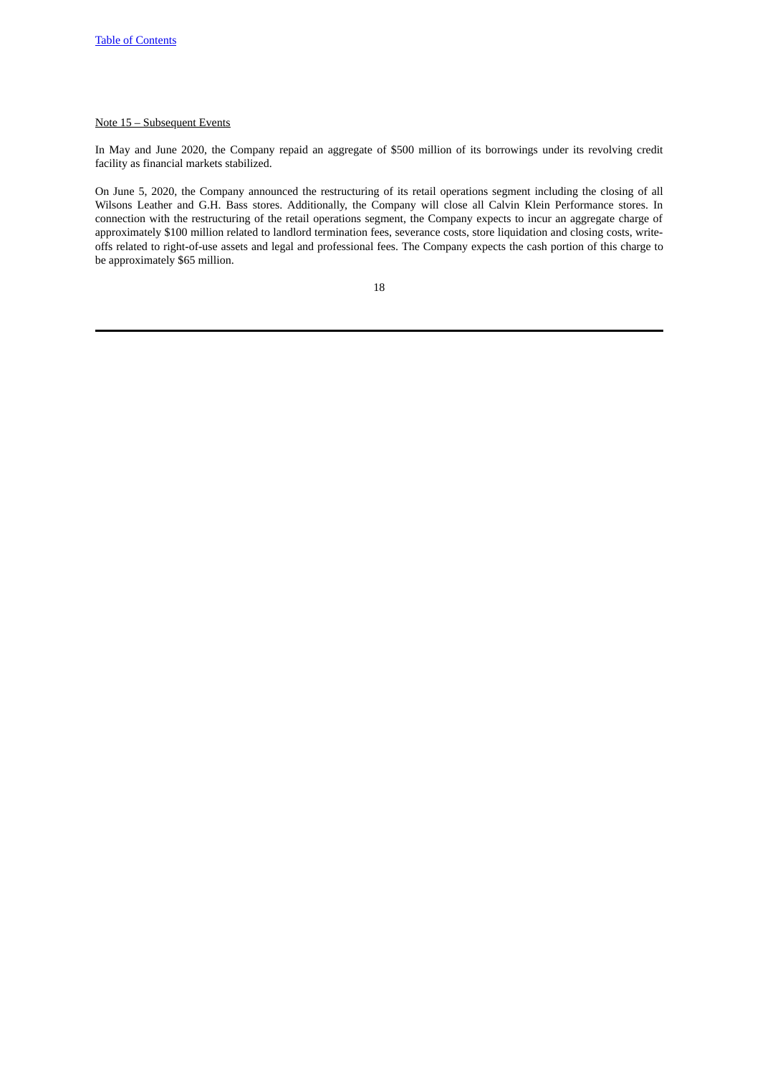# Note 15 – Subsequent Events

In May and June 2020, the Company repaid an aggregate of \$500 million of its borrowings under its revolving credit facility as financial markets stabilized.

On June 5, 2020, the Company announced the restructuring of its retail operations segment including the closing of all Wilsons Leather and G.H. Bass stores. Additionally, the Company will close all Calvin Klein Performance stores. In connection with the restructuring of the retail operations segment, the Company expects to incur an aggregate charge of approximately \$100 million related to landlord termination fees, severance costs, store liquidation and closing costs, writeoffs related to right-of-use assets and legal and professional fees. The Company expects the cash portion of this charge to be approximately \$65 million.

| ٠<br>۰<br>۰. |
|--------------|
| ۰.<br>۰.     |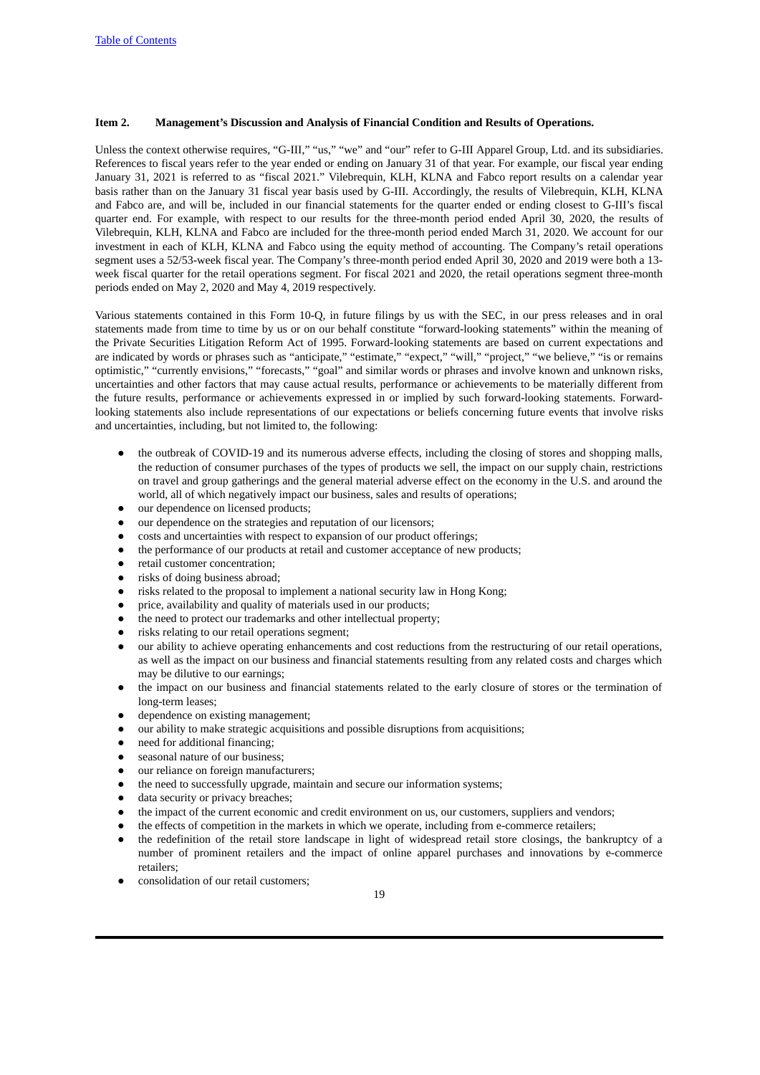# <span id="page-18-0"></span>**Item 2. Management's Discussion and Analysis of Financial Condition and Results of Operations.**

Unless the context otherwise requires, "G-III," "us," "we" and "our" refer to G-III Apparel Group, Ltd. and its subsidiaries. References to fiscal years refer to the year ended or ending on January 31 of that year. For example, our fiscal year ending January 31, 2021 is referred to as "fiscal 2021." Vilebrequin, KLH, KLNA and Fabco report results on a calendar year basis rather than on the January 31 fiscal year basis used by G-III. Accordingly, the results of Vilebrequin, KLH, KLNA and Fabco are, and will be, included in our financial statements for the quarter ended or ending closest to G-III's fiscal quarter end. For example, with respect to our results for the three-month period ended April 30, 2020, the results of Vilebrequin, KLH, KLNA and Fabco are included for the three-month period ended March 31, 2020. We account for our investment in each of KLH, KLNA and Fabco using the equity method of accounting. The Company's retail operations segment uses a 52/53-week fiscal year. The Company's three-month period ended April 30, 2020 and 2019 were both a 13 week fiscal quarter for the retail operations segment. For fiscal 2021 and 2020, the retail operations segment three-month periods ended on May 2, 2020 and May 4, 2019 respectively.

Various statements contained in this Form 10-Q, in future filings by us with the SEC, in our press releases and in oral statements made from time to time by us or on our behalf constitute "forward-looking statements" within the meaning of the Private Securities Litigation Reform Act of 1995. Forward-looking statements are based on current expectations and are indicated by words or phrases such as "anticipate," "estimate," "expect," "will," "project," "we believe," "is or remains optimistic," "currently envisions," "forecasts," "goal" and similar words or phrases and involve known and unknown risks, uncertainties and other factors that may cause actual results, performance or achievements to be materially different from the future results, performance or achievements expressed in or implied by such forward-looking statements. Forwardlooking statements also include representations of our expectations or beliefs concerning future events that involve risks and uncertainties, including, but not limited to, the following:

- the outbreak of COVID-19 and its numerous adverse effects, including the closing of stores and shopping malls, the reduction of consumer purchases of the types of products we sell, the impact on our supply chain, restrictions on travel and group gatherings and the general material adverse effect on the economy in the U.S. and around the world, all of which negatively impact our business, sales and results of operations;
- our dependence on licensed products;
- our dependence on the strategies and reputation of our licensors;
- costs and uncertainties with respect to expansion of our product offerings;
- the performance of our products at retail and customer acceptance of new products;
- retail customer concentration;
- risks of doing business abroad;
- risks related to the proposal to implement a national security law in Hong Kong;
- price, availability and quality of materials used in our products;
- the need to protect our trademarks and other intellectual property;
- risks relating to our retail operations segment;
- our ability to achieve operating enhancements and cost reductions from the restructuring of our retail operations, as well as the impact on our business and financial statements resulting from any related costs and charges which may be dilutive to our earnings;
- the impact on our business and financial statements related to the early closure of stores or the termination of long-term leases;
- dependence on existing management;
- our ability to make strategic acquisitions and possible disruptions from acquisitions;
- need for additional financing;
- seasonal nature of our business:
- our reliance on foreign manufacturers;
- the need to successfully upgrade, maintain and secure our information systems;
- data security or privacy breaches;
- the impact of the current economic and credit environment on us, our customers, suppliers and vendors;
- the effects of competition in the markets in which we operate, including from e-commerce retailers;
- the redefinition of the retail store landscape in light of widespread retail store closings, the bankruptcy of a number of prominent retailers and the impact of online apparel purchases and innovations by e-commerce retailers;
- consolidation of our retail customers;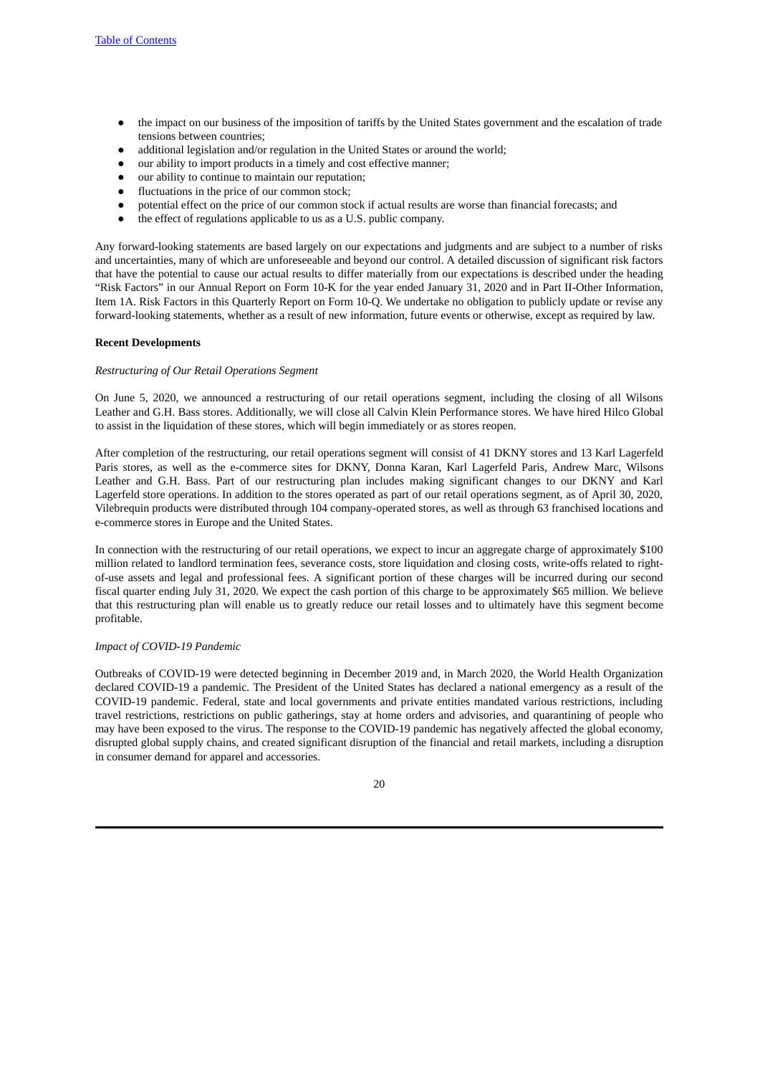- the impact on our business of the imposition of tariffs by the United States government and the escalation of trade tensions between countries;
- additional legislation and/or regulation in the United States or around the world;
- our ability to import products in a timely and cost effective manner;
- our ability to continue to maintain our reputation;
- fluctuations in the price of our common stock;
- potential effect on the price of our common stock if actual results are worse than financial forecasts; and
- the effect of regulations applicable to us as a U.S. public company.

Any forward-looking statements are based largely on our expectations and judgments and are subject to a number of risks and uncertainties, many of which are unforeseeable and beyond our control. A detailed discussion of significant risk factors that have the potential to cause our actual results to differ materially from our expectations is described under the heading "Risk Factors" in our Annual Report on Form 10-K for the year ended January 31, 2020 and in Part II-Other Information, Item 1A. Risk Factors in this Quarterly Report on Form 10-Q. We undertake no obligation to publicly update or revise any forward-looking statements, whether as a result of new information, future events or otherwise, except as required by law.

# **Recent Developments**

### *Restructuring of Our Retail Operations Segment*

On June 5, 2020, we announced a restructuring of our retail operations segment, including the closing of all Wilsons Leather and G.H. Bass stores. Additionally, we will close all Calvin Klein Performance stores. We have hired Hilco Global to assist in the liquidation of these stores, which will begin immediately or as stores reopen.

After completion of the restructuring, our retail operations segment will consist of 41 DKNY stores and 13 Karl Lagerfeld Paris stores, as well as the e-commerce sites for DKNY, Donna Karan, Karl Lagerfeld Paris, Andrew Marc, Wilsons Leather and G.H. Bass. Part of our restructuring plan includes making significant changes to our DKNY and Karl Lagerfeld store operations. In addition to the stores operated as part of our retail operations segment, as of April 30, 2020, Vilebrequin products were distributed through 104 company-operated stores, as well as through 63 franchised locations and e-commerce stores in Europe and the United States.

In connection with the restructuring of our retail operations, we expect to incur an aggregate charge of approximately \$100 million related to landlord termination fees, severance costs, store liquidation and closing costs, write-offs related to rightof-use assets and legal and professional fees. A significant portion of these charges will be incurred during our second fiscal quarter ending July 31, 2020. We expect the cash portion of this charge to be approximately \$65 million. We believe that this restructuring plan will enable us to greatly reduce our retail losses and to ultimately have this segment become profitable.

### *Impact of COVID-19 Pandemic*

Outbreaks of COVID-19 were detected beginning in December 2019 and, in March 2020, the World Health Organization declared COVID-19 a pandemic. The President of the United States has declared a national emergency as a result of the COVID-19 pandemic. Federal, state and local governments and private entities mandated various restrictions, including travel restrictions, restrictions on public gatherings, stay at home orders and advisories, and quarantining of people who may have been exposed to the virus. The response to the COVID-19 pandemic has negatively affected the global economy, disrupted global supply chains, and created significant disruption of the financial and retail markets, including a disruption in consumer demand for apparel and accessories.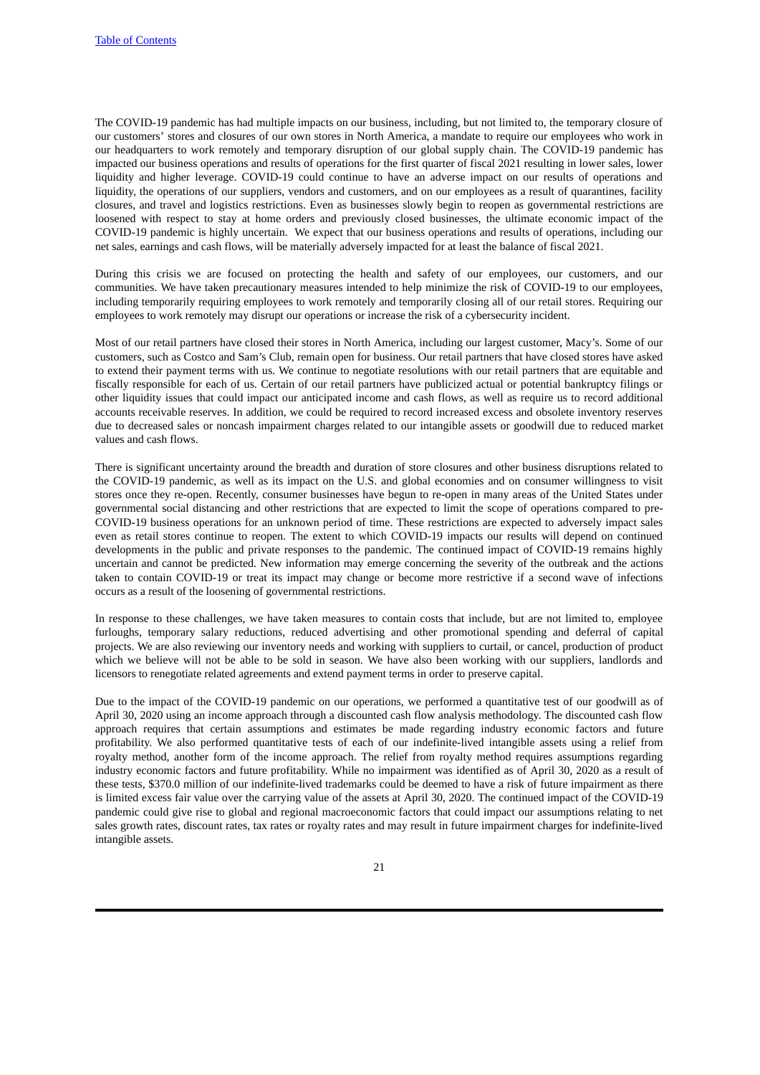The COVID-19 pandemic has had multiple impacts on our business, including, but not limited to, the temporary closure of our customers' stores and closures of our own stores in North America, a mandate to require our employees who work in our headquarters to work remotely and temporary disruption of our global supply chain. The COVID-19 pandemic has impacted our business operations and results of operations for the first quarter of fiscal 2021 resulting in lower sales, lower liquidity and higher leverage. COVID-19 could continue to have an adverse impact on our results of operations and liquidity, the operations of our suppliers, vendors and customers, and on our employees as a result of quarantines, facility closures, and travel and logistics restrictions. Even as businesses slowly begin to reopen as governmental restrictions are loosened with respect to stay at home orders and previously closed businesses, the ultimate economic impact of the COVID-19 pandemic is highly uncertain. We expect that our business operations and results of operations, including our net sales, earnings and cash flows, will be materially adversely impacted for at least the balance of fiscal 2021.

During this crisis we are focused on protecting the health and safety of our employees, our customers, and our communities. We have taken precautionary measures intended to help minimize the risk of COVID-19 to our employees, including temporarily requiring employees to work remotely and temporarily closing all of our retail stores. Requiring our employees to work remotely may disrupt our operations or increase the risk of a cybersecurity incident.

Most of our retail partners have closed their stores in North America, including our largest customer, Macy's. Some of our customers, such as Costco and Sam's Club, remain open for business. Our retail partners that have closed stores have asked to extend their payment terms with us. We continue to negotiate resolutions with our retail partners that are equitable and fiscally responsible for each of us. Certain of our retail partners have publicized actual or potential bankruptcy filings or other liquidity issues that could impact our anticipated income and cash flows, as well as require us to record additional accounts receivable reserves. In addition, we could be required to record increased excess and obsolete inventory reserves due to decreased sales or noncash impairment charges related to our intangible assets or goodwill due to reduced market values and cash flows.

There is significant uncertainty around the breadth and duration of store closures and other business disruptions related to the COVID-19 pandemic, as well as its impact on the U.S. and global economies and on consumer willingness to visit stores once they re-open. Recently, consumer businesses have begun to re-open in many areas of the United States under governmental social distancing and other restrictions that are expected to limit the scope of operations compared to pre-COVID-19 business operations for an unknown period of time. These restrictions are expected to adversely impact sales even as retail stores continue to reopen. The extent to which COVID-19 impacts our results will depend on continued developments in the public and private responses to the pandemic. The continued impact of COVID-19 remains highly uncertain and cannot be predicted. New information may emerge concerning the severity of the outbreak and the actions taken to contain COVID-19 or treat its impact may change or become more restrictive if a second wave of infections occurs as a result of the loosening of governmental restrictions.

In response to these challenges, we have taken measures to contain costs that include, but are not limited to, employee furloughs, temporary salary reductions, reduced advertising and other promotional spending and deferral of capital projects. We are also reviewing our inventory needs and working with suppliers to curtail, or cancel, production of product which we believe will not be able to be sold in season. We have also been working with our suppliers, landlords and licensors to renegotiate related agreements and extend payment terms in order to preserve capital.

Due to the impact of the COVID-19 pandemic on our operations, we performed a quantitative test of our goodwill as of April 30, 2020 using an income approach through a discounted cash flow analysis methodology. The discounted cash flow approach requires that certain assumptions and estimates be made regarding industry economic factors and future profitability. We also performed quantitative tests of each of our indefinite-lived intangible assets using a relief from royalty method, another form of the income approach. The relief from royalty method requires assumptions regarding industry economic factors and future profitability. While no impairment was identified as of April 30, 2020 as a result of these tests, \$370.0 million of our indefinite-lived trademarks could be deemed to have a risk of future impairment as there is limited excess fair value over the carrying value of the assets at April 30, 2020. The continued impact of the COVID-19 pandemic could give rise to global and regional macroeconomic factors that could impact our assumptions relating to net sales growth rates, discount rates, tax rates or royalty rates and may result in future impairment charges for indefinite-lived intangible assets.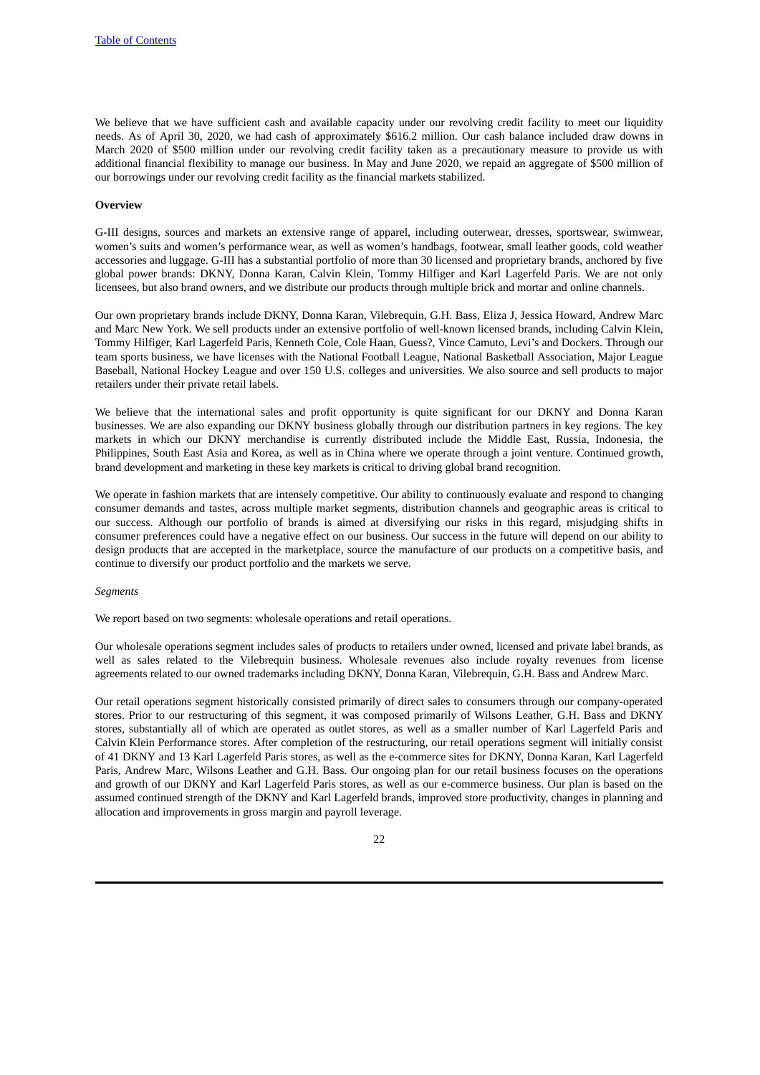We believe that we have sufficient cash and available capacity under our revolving credit facility to meet our liquidity needs. As of April 30, 2020, we had cash of approximately \$616.2 million. Our cash balance included draw downs in March 2020 of \$500 million under our revolving credit facility taken as a precautionary measure to provide us with additional financial flexibility to manage our business. In May and June 2020, we repaid an aggregate of \$500 million of our borrowings under our revolving credit facility as the financial markets stabilized.

#### **Overview**

G-III designs, sources and markets an extensive range of apparel, including outerwear, dresses, sportswear, swimwear, women's suits and women's performance wear, as well as women's handbags, footwear, small leather goods, cold weather accessories and luggage. G-III has a substantial portfolio of more than 30 licensed and proprietary brands, anchored by five global power brands: DKNY, Donna Karan, Calvin Klein, Tommy Hilfiger and Karl Lagerfeld Paris. We are not only licensees, but also brand owners, and we distribute our products through multiple brick and mortar and online channels.

Our own proprietary brands include DKNY, Donna Karan, Vilebrequin, G.H. Bass, Eliza J, Jessica Howard, Andrew Marc and Marc New York. We sell products under an extensive portfolio of well-known licensed brands, including Calvin Klein, Tommy Hilfiger, Karl Lagerfeld Paris, Kenneth Cole, Cole Haan, Guess?, Vince Camuto, Levi's and Dockers. Through our team sports business, we have licenses with the National Football League, National Basketball Association, Major League Baseball, National Hockey League and over 150 U.S. colleges and universities. We also source and sell products to major retailers under their private retail labels.

We believe that the international sales and profit opportunity is quite significant for our DKNY and Donna Karan businesses. We are also expanding our DKNY business globally through our distribution partners in key regions. The key markets in which our DKNY merchandise is currently distributed include the Middle East, Russia, Indonesia, the Philippines, South East Asia and Korea, as well as in China where we operate through a joint venture. Continued growth, brand development and marketing in these key markets is critical to driving global brand recognition.

We operate in fashion markets that are intensely competitive. Our ability to continuously evaluate and respond to changing consumer demands and tastes, across multiple market segments, distribution channels and geographic areas is critical to our success. Although our portfolio of brands is aimed at diversifying our risks in this regard, misjudging shifts in consumer preferences could have a negative effect on our business. Our success in the future will depend on our ability to design products that are accepted in the marketplace, source the manufacture of our products on a competitive basis, and continue to diversify our product portfolio and the markets we serve.

### *Segments*

We report based on two segments: wholesale operations and retail operations.

Our wholesale operations segment includes sales of products to retailers under owned, licensed and private label brands, as well as sales related to the Vilebrequin business. Wholesale revenues also include royalty revenues from license agreements related to our owned trademarks including DKNY, Donna Karan, Vilebrequin, G.H. Bass and Andrew Marc.

Our retail operations segment historically consisted primarily of direct sales to consumers through our company-operated stores. Prior to our restructuring of this segment, it was composed primarily of Wilsons Leather, G.H. Bass and DKNY stores, substantially all of which are operated as outlet stores, as well as a smaller number of Karl Lagerfeld Paris and Calvin Klein Performance stores. After completion of the restructuring, our retail operations segment will initially consist of 41 DKNY and 13 Karl Lagerfeld Paris stores, as well as the e-commerce sites for DKNY, Donna Karan, Karl Lagerfeld Paris, Andrew Marc, Wilsons Leather and G.H. Bass. Our ongoing plan for our retail business focuses on the operations and growth of our DKNY and Karl Lagerfeld Paris stores, as well as our e-commerce business. Our plan is based on the assumed continued strength of the DKNY and Karl Lagerfeld brands, improved store productivity, changes in planning and allocation and improvements in gross margin and payroll leverage.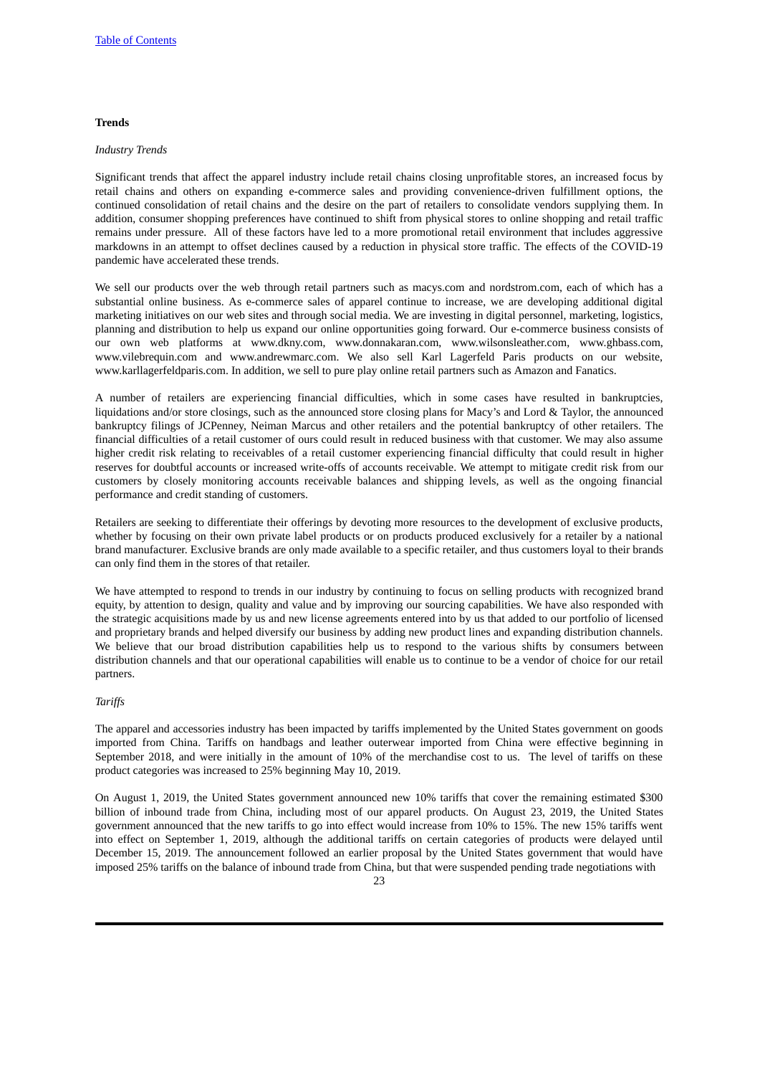### **Trends**

### *Industry Trends*

Significant trends that affect the apparel industry include retail chains closing unprofitable stores, an increased focus by retail chains and others on expanding e-commerce sales and providing convenience-driven fulfillment options, the continued consolidation of retail chains and the desire on the part of retailers to consolidate vendors supplying them. In addition, consumer shopping preferences have continued to shift from physical stores to online shopping and retail traffic remains under pressure. All of these factors have led to a more promotional retail environment that includes aggressive markdowns in an attempt to offset declines caused by a reduction in physical store traffic. The effects of the COVID-19 pandemic have accelerated these trends.

We sell our products over the web through retail partners such as macys.com and nordstrom.com, each of which has a substantial online business. As e-commerce sales of apparel continue to increase, we are developing additional digital marketing initiatives on our web sites and through social media. We are investing in digital personnel, marketing, logistics, planning and distribution to help us expand our online opportunities going forward. Our e-commerce business consists of our own web platforms at www.dkny.com, www.donnakaran.com, www.wilsonsleather.com, www.ghbass.com, www.vilebrequin.com and www.andrewmarc.com. We also sell Karl Lagerfeld Paris products on our website, www.karllagerfeldparis.com. In addition, we sell to pure play online retail partners such as Amazon and Fanatics.

A number of retailers are experiencing financial difficulties, which in some cases have resulted in bankruptcies, liquidations and/or store closings, such as the announced store closing plans for Macy's and Lord & Taylor, the announced bankruptcy filings of JCPenney, Neiman Marcus and other retailers and the potential bankruptcy of other retailers. The financial difficulties of a retail customer of ours could result in reduced business with that customer. We may also assume higher credit risk relating to receivables of a retail customer experiencing financial difficulty that could result in higher reserves for doubtful accounts or increased write-offs of accounts receivable. We attempt to mitigate credit risk from our customers by closely monitoring accounts receivable balances and shipping levels, as well as the ongoing financial performance and credit standing of customers.

Retailers are seeking to differentiate their offerings by devoting more resources to the development of exclusive products, whether by focusing on their own private label products or on products produced exclusively for a retailer by a national brand manufacturer. Exclusive brands are only made available to a specific retailer, and thus customers loyal to their brands can only find them in the stores of that retailer.

We have attempted to respond to trends in our industry by continuing to focus on selling products with recognized brand equity, by attention to design, quality and value and by improving our sourcing capabilities. We have also responded with the strategic acquisitions made by us and new license agreements entered into by us that added to our portfolio of licensed and proprietary brands and helped diversify our business by adding new product lines and expanding distribution channels. We believe that our broad distribution capabilities help us to respond to the various shifts by consumers between distribution channels and that our operational capabilities will enable us to continue to be a vendor of choice for our retail partners.

#### *Tariffs*

The apparel and accessories industry has been impacted by tariffs implemented by the United States government on goods imported from China. Tariffs on handbags and leather outerwear imported from China were effective beginning in September 2018, and were initially in the amount of 10% of the merchandise cost to us. The level of tariffs on these product categories was increased to 25% beginning May 10, 2019.

On August 1, 2019, the United States government announced new 10% tariffs that cover the remaining estimated \$300 billion of inbound trade from China, including most of our apparel products. On August 23, 2019, the United States government announced that the new tariffs to go into effect would increase from 10% to 15%. The new 15% tariffs went into effect on September 1, 2019, although the additional tariffs on certain categories of products were delayed until December 15, 2019. The announcement followed an earlier proposal by the United States government that would have imposed 25% tariffs on the balance of inbound trade from China, but that were suspended pending trade negotiations with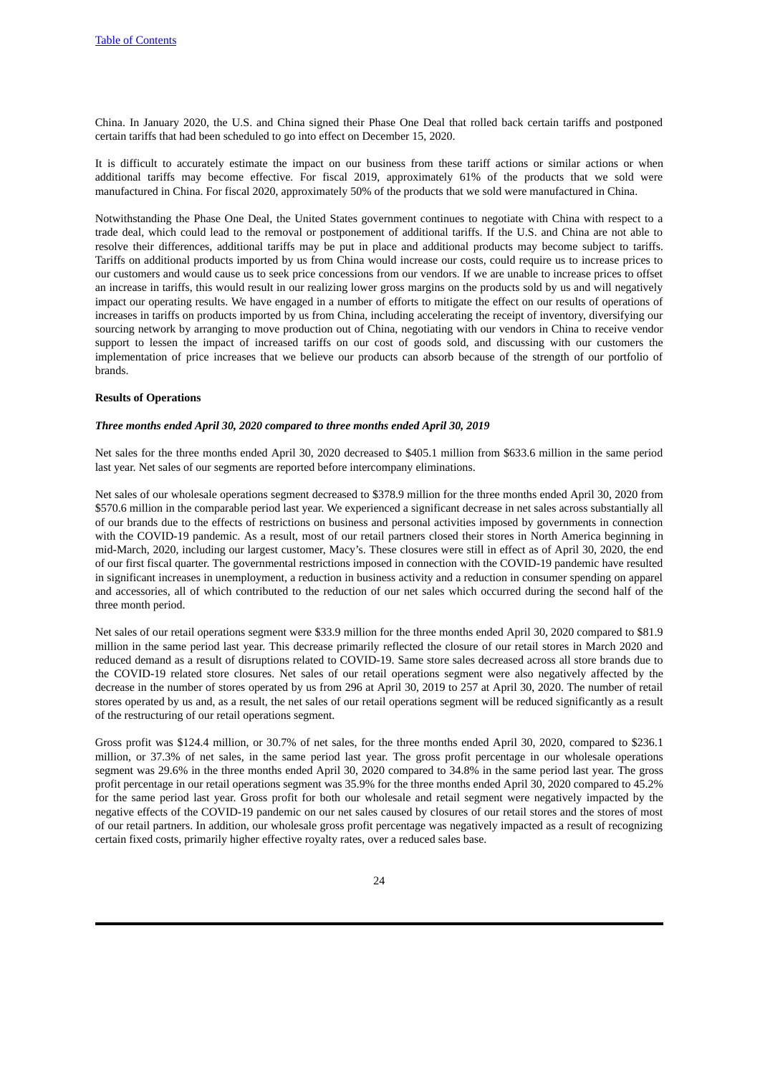China. In January 2020, the U.S. and China signed their Phase One Deal that rolled back certain tariffs and postponed certain tariffs that had been scheduled to go into effect on December 15, 2020.

It is difficult to accurately estimate the impact on our business from these tariff actions or similar actions or when additional tariffs may become effective. For fiscal 2019, approximately 61% of the products that we sold were manufactured in China. For fiscal 2020, approximately 50% of the products that we sold were manufactured in China.

Notwithstanding the Phase One Deal, the United States government continues to negotiate with China with respect to a trade deal, which could lead to the removal or postponement of additional tariffs. If the U.S. and China are not able to resolve their differences, additional tariffs may be put in place and additional products may become subject to tariffs. Tariffs on additional products imported by us from China would increase our costs, could require us to increase prices to our customers and would cause us to seek price concessions from our vendors. If we are unable to increase prices to offset an increase in tariffs, this would result in our realizing lower gross margins on the products sold by us and will negatively impact our operating results. We have engaged in a number of efforts to mitigate the effect on our results of operations of increases in tariffs on products imported by us from China, including accelerating the receipt of inventory, diversifying our sourcing network by arranging to move production out of China, negotiating with our vendors in China to receive vendor support to lessen the impact of increased tariffs on our cost of goods sold, and discussing with our customers the implementation of price increases that we believe our products can absorb because of the strength of our portfolio of brands.

#### **Results of Operations**

### *Three months ended April 30, 2020 compared to three months ended April 30, 2019*

Net sales for the three months ended April 30, 2020 decreased to \$405.1 million from \$633.6 million in the same period last year. Net sales of our segments are reported before intercompany eliminations.

Net sales of our wholesale operations segment decreased to \$378.9 million for the three months ended April 30, 2020 from \$570.6 million in the comparable period last year. We experienced a significant decrease in net sales across substantially all of our brands due to the effects of restrictions on business and personal activities imposed by governments in connection with the COVID-19 pandemic. As a result, most of our retail partners closed their stores in North America beginning in mid-March, 2020, including our largest customer, Macy's. These closures were still in effect as of April 30, 2020, the end of our first fiscal quarter. The governmental restrictions imposed in connection with the COVID-19 pandemic have resulted in significant increases in unemployment, a reduction in business activity and a reduction in consumer spending on apparel and accessories, all of which contributed to the reduction of our net sales which occurred during the second half of the three month period.

Net sales of our retail operations segment were \$33.9 million for the three months ended April 30, 2020 compared to \$81.9 million in the same period last year. This decrease primarily reflected the closure of our retail stores in March 2020 and reduced demand as a result of disruptions related to COVID-19. Same store sales decreased across all store brands due to the COVID-19 related store closures. Net sales of our retail operations segment were also negatively affected by the decrease in the number of stores operated by us from 296 at April 30, 2019 to 257 at April 30, 2020. The number of retail stores operated by us and, as a result, the net sales of our retail operations segment will be reduced significantly as a result of the restructuring of our retail operations segment.

Gross profit was \$124.4 million, or 30.7% of net sales, for the three months ended April 30, 2020, compared to \$236.1 million, or 37.3% of net sales, in the same period last year. The gross profit percentage in our wholesale operations segment was 29.6% in the three months ended April 30, 2020 compared to 34.8% in the same period last year. The gross profit percentage in our retail operations segment was 35.9% for the three months ended April 30, 2020 compared to 45.2% for the same period last year. Gross profit for both our wholesale and retail segment were negatively impacted by the negative effects of the COVID-19 pandemic on our net sales caused by closures of our retail stores and the stores of most of our retail partners. In addition, our wholesale gross profit percentage was negatively impacted as a result of recognizing certain fixed costs, primarily higher effective royalty rates, over a reduced sales base.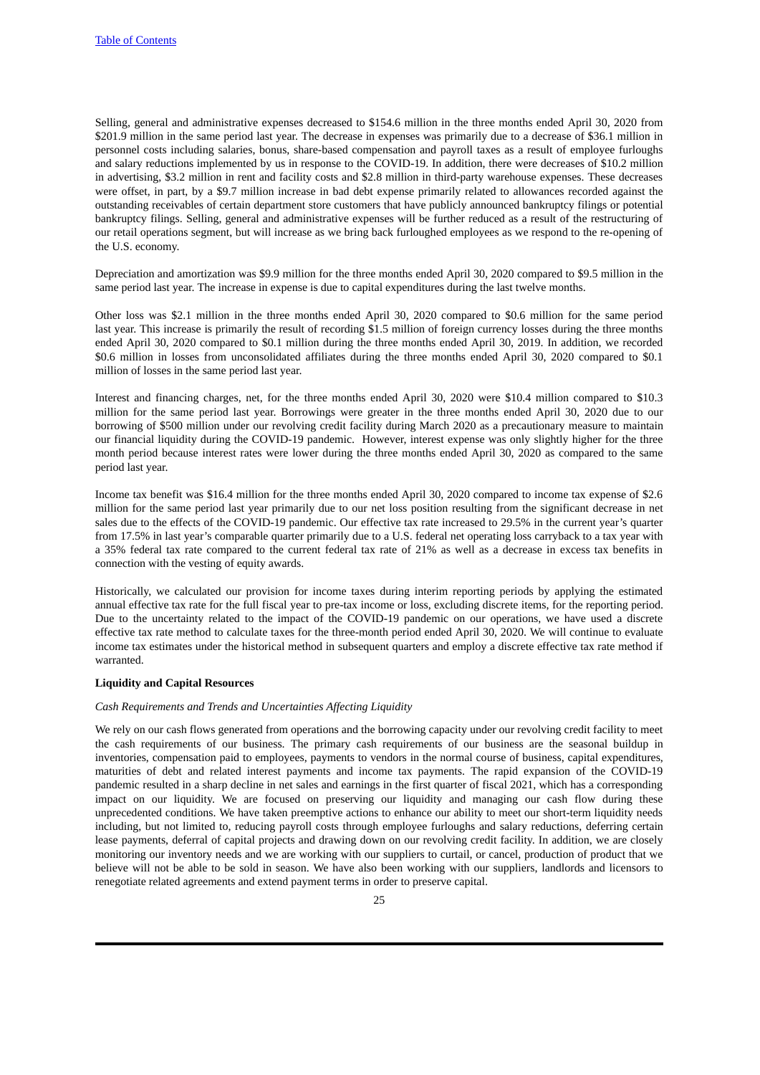Selling, general and administrative expenses decreased to \$154.6 million in the three months ended April 30, 2020 from \$201.9 million in the same period last year. The decrease in expenses was primarily due to a decrease of \$36.1 million in personnel costs including salaries, bonus, share-based compensation and payroll taxes as a result of employee furloughs and salary reductions implemented by us in response to the COVID-19. In addition, there were decreases of \$10.2 million in advertising, \$3.2 million in rent and facility costs and \$2.8 million in third-party warehouse expenses. These decreases were offset, in part, by a \$9.7 million increase in bad debt expense primarily related to allowances recorded against the outstanding receivables of certain department store customers that have publicly announced bankruptcy filings or potential bankruptcy filings. Selling, general and administrative expenses will be further reduced as a result of the restructuring of our retail operations segment, but will increase as we bring back furloughed employees as we respond to the re-opening of the U.S. economy.

Depreciation and amortization was \$9.9 million for the three months ended April 30, 2020 compared to \$9.5 million in the same period last year. The increase in expense is due to capital expenditures during the last twelve months.

Other loss was \$2.1 million in the three months ended April 30, 2020 compared to \$0.6 million for the same period last year. This increase is primarily the result of recording \$1.5 million of foreign currency losses during the three months ended April 30, 2020 compared to \$0.1 million during the three months ended April 30, 2019. In addition, we recorded \$0.6 million in losses from unconsolidated affiliates during the three months ended April 30, 2020 compared to \$0.1 million of losses in the same period last year.

Interest and financing charges, net, for the three months ended April 30, 2020 were \$10.4 million compared to \$10.3 million for the same period last year. Borrowings were greater in the three months ended April 30, 2020 due to our borrowing of \$500 million under our revolving credit facility during March 2020 as a precautionary measure to maintain our financial liquidity during the COVID-19 pandemic. However, interest expense was only slightly higher for the three month period because interest rates were lower during the three months ended April 30, 2020 as compared to the same period last year.

Income tax benefit was \$16.4 million for the three months ended April 30, 2020 compared to income tax expense of \$2.6 million for the same period last year primarily due to our net loss position resulting from the significant decrease in net sales due to the effects of the COVID-19 pandemic. Our effective tax rate increased to 29.5% in the current year's quarter from 17.5% in last year's comparable quarter primarily due to a U.S. federal net operating loss carryback to a tax year with a 35% federal tax rate compared to the current federal tax rate of 21% as well as a decrease in excess tax benefits in connection with the vesting of equity awards.

Historically, we calculated our provision for income taxes during interim reporting periods by applying the estimated annual effective tax rate for the full fiscal year to pre-tax income or loss, excluding discrete items, for the reporting period. Due to the uncertainty related to the impact of the COVID-19 pandemic on our operations, we have used a discrete effective tax rate method to calculate taxes for the three-month period ended April 30, 2020. We will continue to evaluate income tax estimates under the historical method in subsequent quarters and employ a discrete effective tax rate method if warranted.

#### **Liquidity and Capital Resources**

#### *Cash Requirements and Trends and Uncertainties Affecting Liquidity*

We rely on our cash flows generated from operations and the borrowing capacity under our revolving credit facility to meet the cash requirements of our business. The primary cash requirements of our business are the seasonal buildup in inventories, compensation paid to employees, payments to vendors in the normal course of business, capital expenditures, maturities of debt and related interest payments and income tax payments. The rapid expansion of the COVID-19 pandemic resulted in a sharp decline in net sales and earnings in the first quarter of fiscal 2021, which has a corresponding impact on our liquidity. We are focused on preserving our liquidity and managing our cash flow during these unprecedented conditions. We have taken preemptive actions to enhance our ability to meet our short-term liquidity needs including, but not limited to, reducing payroll costs through employee furloughs and salary reductions, deferring certain lease payments, deferral of capital projects and drawing down on our revolving credit facility. In addition, we are closely monitoring our inventory needs and we are working with our suppliers to curtail, or cancel, production of product that we believe will not be able to be sold in season. We have also been working with our suppliers, landlords and licensors to renegotiate related agreements and extend payment terms in order to preserve capital.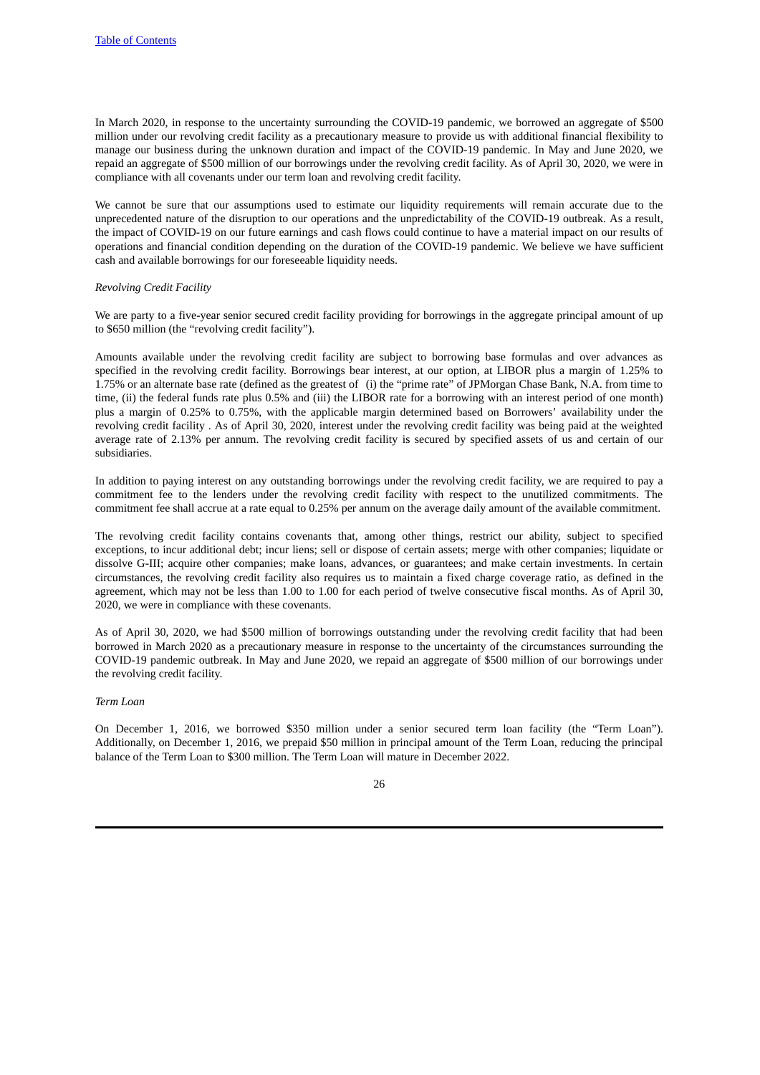In March 2020, in response to the uncertainty surrounding the COVID-19 pandemic, we borrowed an aggregate of \$500 million under our revolving credit facility as a precautionary measure to provide us with additional financial flexibility to manage our business during the unknown duration and impact of the COVID-19 pandemic. In May and June 2020, we repaid an aggregate of \$500 million of our borrowings under the revolving credit facility. As of April 30, 2020, we were in compliance with all covenants under our term loan and revolving credit facility.

We cannot be sure that our assumptions used to estimate our liquidity requirements will remain accurate due to the unprecedented nature of the disruption to our operations and the unpredictability of the COVID-19 outbreak. As a result, the impact of COVID-19 on our future earnings and cash flows could continue to have a material impact on our results of operations and financial condition depending on the duration of the COVID-19 pandemic. We believe we have sufficient cash and available borrowings for our foreseeable liquidity needs.

#### *Revolving Credit Facility*

We are party to a five-year senior secured credit facility providing for borrowings in the aggregate principal amount of up to \$650 million (the "revolving credit facility").

Amounts available under the revolving credit facility are subject to borrowing base formulas and over advances as specified in the revolving credit facility. Borrowings bear interest, at our option, at LIBOR plus a margin of 1.25% to 1.75% or an alternate base rate (defined as the greatest of (i) the "prime rate" of JPMorgan Chase Bank, N.A. from time to time, (ii) the federal funds rate plus 0.5% and (iii) the LIBOR rate for a borrowing with an interest period of one month) plus a margin of 0.25% to 0.75%, with the applicable margin determined based on Borrowers' availability under the revolving credit facility . As of April 30, 2020, interest under the revolving credit facility was being paid at the weighted average rate of 2.13% per annum. The revolving credit facility is secured by specified assets of us and certain of our subsidiaries.

In addition to paying interest on any outstanding borrowings under the revolving credit facility, we are required to pay a commitment fee to the lenders under the revolving credit facility with respect to the unutilized commitments. The commitment fee shall accrue at a rate equal to 0.25% per annum on the average daily amount of the available commitment.

The revolving credit facility contains covenants that, among other things, restrict our ability, subject to specified exceptions, to incur additional debt; incur liens; sell or dispose of certain assets; merge with other companies; liquidate or dissolve G-III; acquire other companies; make loans, advances, or guarantees; and make certain investments. In certain circumstances, the revolving credit facility also requires us to maintain a fixed charge coverage ratio, as defined in the agreement, which may not be less than 1.00 to 1.00 for each period of twelve consecutive fiscal months. As of April 30, 2020, we were in compliance with these covenants.

As of April 30, 2020, we had \$500 million of borrowings outstanding under the revolving credit facility that had been borrowed in March 2020 as a precautionary measure in response to the uncertainty of the circumstances surrounding the COVID-19 pandemic outbreak. In May and June 2020, we repaid an aggregate of \$500 million of our borrowings under the revolving credit facility.

#### *Term Loan*

On December 1, 2016, we borrowed \$350 million under a senior secured term loan facility (the "Term Loan"). Additionally, on December 1, 2016, we prepaid \$50 million in principal amount of the Term Loan, reducing the principal balance of the Term Loan to \$300 million. The Term Loan will mature in December 2022.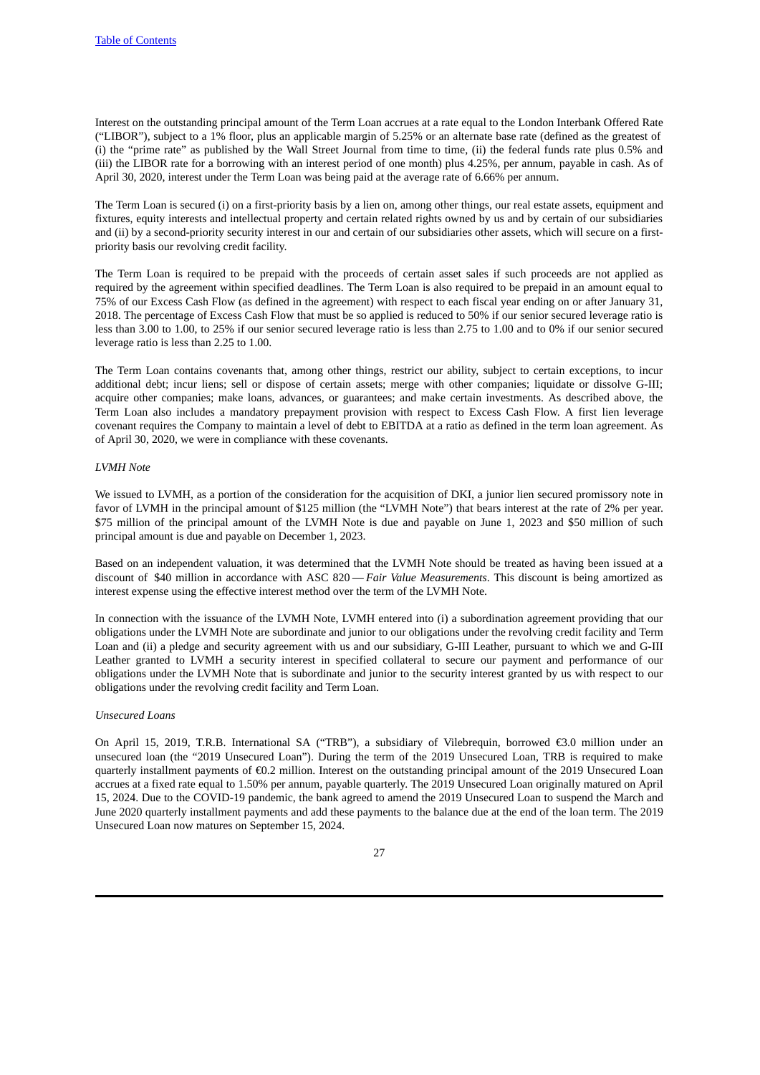Interest on the outstanding principal amount of the Term Loan accrues at a rate equal to the London Interbank Offered Rate ("LIBOR"), subject to a 1% floor, plus an applicable margin of 5.25% or an alternate base rate (defined as the greatest of (i) the "prime rate" as published by the Wall Street Journal from time to time, (ii) the federal funds rate plus 0.5% and (iii) the LIBOR rate for a borrowing with an interest period of one month) plus 4.25%, per annum, payable in cash. As of April 30, 2020, interest under the Term Loan was being paid at the average rate of 6.66% per annum.

The Term Loan is secured (i) on a first-priority basis by a lien on, among other things, our real estate assets, equipment and fixtures, equity interests and intellectual property and certain related rights owned by us and by certain of our subsidiaries and (ii) by a second-priority security interest in our and certain of our subsidiaries other assets, which will secure on a firstpriority basis our revolving credit facility.

The Term Loan is required to be prepaid with the proceeds of certain asset sales if such proceeds are not applied as required by the agreement within specified deadlines. The Term Loan is also required to be prepaid in an amount equal to 75% of our Excess Cash Flow (as defined in the agreement) with respect to each fiscal year ending on or after January 31, 2018. The percentage of Excess Cash Flow that must be so applied is reduced to 50% if our senior secured leverage ratio is less than 3.00 to 1.00, to 25% if our senior secured leverage ratio is less than 2.75 to 1.00 and to 0% if our senior secured leverage ratio is less than 2.25 to 1.00.

The Term Loan contains covenants that, among other things, restrict our ability, subject to certain exceptions, to incur additional debt; incur liens; sell or dispose of certain assets; merge with other companies; liquidate or dissolve G-III; acquire other companies; make loans, advances, or guarantees; and make certain investments. As described above, the Term Loan also includes a mandatory prepayment provision with respect to Excess Cash Flow. A first lien leverage covenant requires the Company to maintain a level of debt to EBITDA at a ratio as defined in the term loan agreement. As of April 30, 2020, we were in compliance with these covenants.

### *LVMH Note*

We issued to LVMH, as a portion of the consideration for the acquisition of DKI, a junior lien secured promissory note in favor of LVMH in the principal amount of \$125 million (the "LVMH Note") that bears interest at the rate of 2% per year. \$75 million of the principal amount of the LVMH Note is due and payable on June 1, 2023 and \$50 million of such principal amount is due and payable on December 1, 2023.

Based on an independent valuation, it was determined that the LVMH Note should be treated as having been issued at a discount of \$40 million in accordance with ASC 820 — *Fair Value Measurements*. This discount is being amortized as interest expense using the effective interest method over the term of the LVMH Note.

In connection with the issuance of the LVMH Note, LVMH entered into (i) a subordination agreement providing that our obligations under the LVMH Note are subordinate and junior to our obligations under the revolving credit facility and Term Loan and (ii) a pledge and security agreement with us and our subsidiary, G-III Leather, pursuant to which we and G-III Leather granted to LVMH a security interest in specified collateral to secure our payment and performance of our obligations under the LVMH Note that is subordinate and junior to the security interest granted by us with respect to our obligations under the revolving credit facility and Term Loan.

#### *Unsecured Loans*

On April 15, 2019, T.R.B. International SA ("TRB"), a subsidiary of Vilebrequin, borrowed €3.0 million under an unsecured loan (the "2019 Unsecured Loan"). During the term of the 2019 Unsecured Loan, TRB is required to make quarterly installment payments of €0.2 million. Interest on the outstanding principal amount of the 2019 Unsecured Loan accrues at a fixed rate equal to 1.50% per annum, payable quarterly. The 2019 Unsecured Loan originally matured on April 15, 2024. Due to the COVID-19 pandemic, the bank agreed to amend the 2019 Unsecured Loan to suspend the March and June 2020 quarterly installment payments and add these payments to the balance due at the end of the loan term. The 2019 Unsecured Loan now matures on September 15, 2024.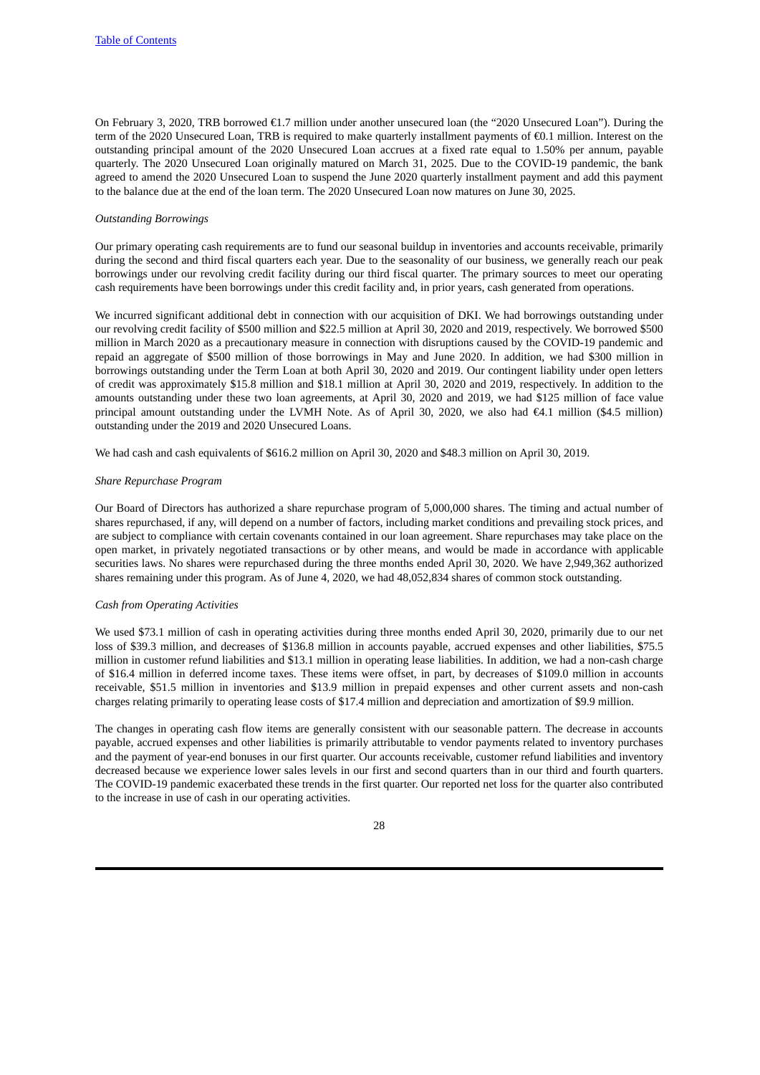On February 3, 2020, TRB borrowed €1.7 million under another unsecured loan (the "2020 Unsecured Loan"). During the term of the 2020 Unsecured Loan, TRB is required to make quarterly installment payments of €0.1 million. Interest on the outstanding principal amount of the 2020 Unsecured Loan accrues at a fixed rate equal to 1.50% per annum, payable quarterly. The 2020 Unsecured Loan originally matured on March 31, 2025. Due to the COVID-19 pandemic, the bank agreed to amend the 2020 Unsecured Loan to suspend the June 2020 quarterly installment payment and add this payment to the balance due at the end of the loan term. The 2020 Unsecured Loan now matures on June 30, 2025.

# *Outstanding Borrowings*

Our primary operating cash requirements are to fund our seasonal buildup in inventories and accounts receivable, primarily during the second and third fiscal quarters each year. Due to the seasonality of our business, we generally reach our peak borrowings under our revolving credit facility during our third fiscal quarter. The primary sources to meet our operating cash requirements have been borrowings under this credit facility and, in prior years, cash generated from operations.

We incurred significant additional debt in connection with our acquisition of DKI. We had borrowings outstanding under our revolving credit facility of \$500 million and \$22.5 million at April 30, 2020 and 2019, respectively. We borrowed \$500 million in March 2020 as a precautionary measure in connection with disruptions caused by the COVID-19 pandemic and repaid an aggregate of \$500 million of those borrowings in May and June 2020. In addition, we had \$300 million in borrowings outstanding under the Term Loan at both April 30, 2020 and 2019. Our contingent liability under open letters of credit was approximately \$15.8 million and \$18.1 million at April 30, 2020 and 2019, respectively. In addition to the amounts outstanding under these two loan agreements, at April 30, 2020 and 2019, we had \$125 million of face value principal amount outstanding under the LVMH Note. As of April 30, 2020, we also had €4.1 million (\$4.5 million) outstanding under the 2019 and 2020 Unsecured Loans.

We had cash and cash equivalents of \$616.2 million on April 30, 2020 and \$48.3 million on April 30, 2019.

### *Share Repurchase Program*

Our Board of Directors has authorized a share repurchase program of 5,000,000 shares. The timing and actual number of shares repurchased, if any, will depend on a number of factors, including market conditions and prevailing stock prices, and are subject to compliance with certain covenants contained in our loan agreement. Share repurchases may take place on the open market, in privately negotiated transactions or by other means, and would be made in accordance with applicable securities laws. No shares were repurchased during the three months ended April 30, 2020. We have 2,949,362 authorized shares remaining under this program. As of June 4, 2020, we had 48,052,834 shares of common stock outstanding.

#### *Cash from Operating Activities*

We used \$73.1 million of cash in operating activities during three months ended April 30, 2020, primarily due to our net loss of \$39.3 million, and decreases of \$136.8 million in accounts payable, accrued expenses and other liabilities, \$75.5 million in customer refund liabilities and \$13.1 million in operating lease liabilities. In addition, we had a non-cash charge of \$16.4 million in deferred income taxes. These items were offset, in part, by decreases of \$109.0 million in accounts receivable, \$51.5 million in inventories and \$13.9 million in prepaid expenses and other current assets and non-cash charges relating primarily to operating lease costs of \$17.4 million and depreciation and amortization of \$9.9 million.

The changes in operating cash flow items are generally consistent with our seasonable pattern. The decrease in accounts payable, accrued expenses and other liabilities is primarily attributable to vendor payments related to inventory purchases and the payment of year-end bonuses in our first quarter. Our accounts receivable, customer refund liabilities and inventory decreased because we experience lower sales levels in our first and second quarters than in our third and fourth quarters. The COVID-19 pandemic exacerbated these trends in the first quarter. Our reported net loss for the quarter also contributed to the increase in use of cash in our operating activities.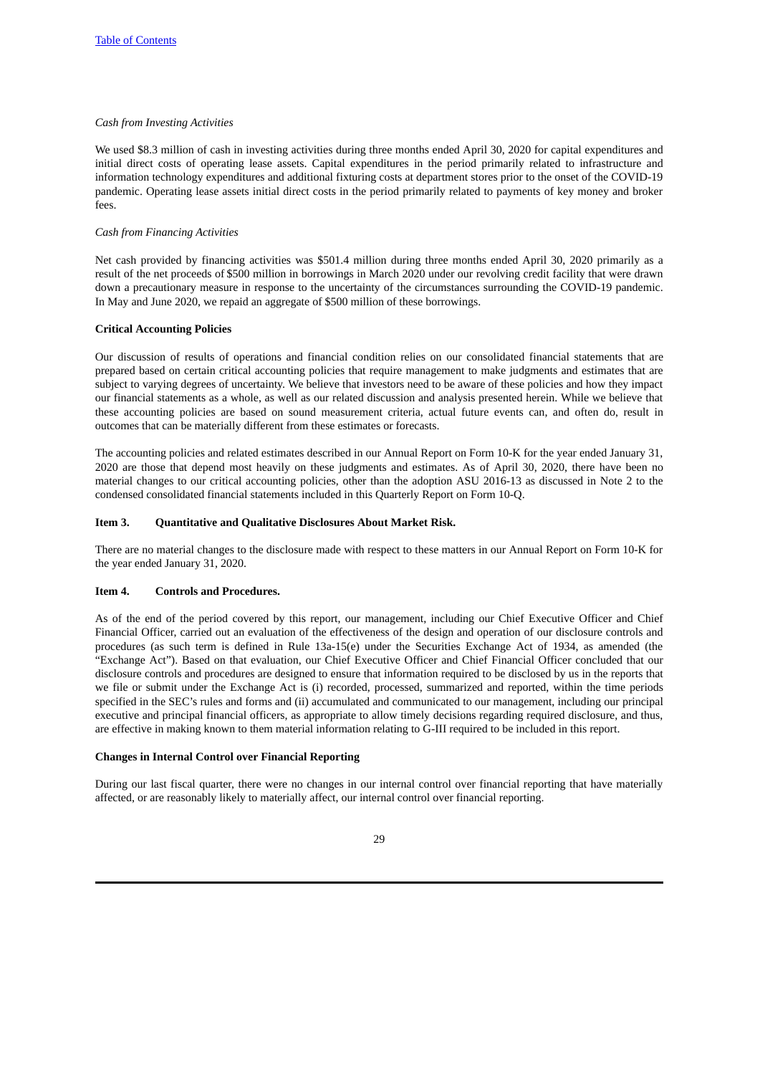# *Cash from Investing Activities*

We used \$8.3 million of cash in investing activities during three months ended April 30, 2020 for capital expenditures and initial direct costs of operating lease assets. Capital expenditures in the period primarily related to infrastructure and information technology expenditures and additional fixturing costs at department stores prior to the onset of the COVID-19 pandemic. Operating lease assets initial direct costs in the period primarily related to payments of key money and broker fees.

# *Cash from Financing Activities*

Net cash provided by financing activities was \$501.4 million during three months ended April 30, 2020 primarily as a result of the net proceeds of \$500 million in borrowings in March 2020 under our revolving credit facility that were drawn down a precautionary measure in response to the uncertainty of the circumstances surrounding the COVID-19 pandemic. In May and June 2020, we repaid an aggregate of \$500 million of these borrowings.

# **Critical Accounting Policies**

Our discussion of results of operations and financial condition relies on our consolidated financial statements that are prepared based on certain critical accounting policies that require management to make judgments and estimates that are subject to varying degrees of uncertainty. We believe that investors need to be aware of these policies and how they impact our financial statements as a whole, as well as our related discussion and analysis presented herein. While we believe that these accounting policies are based on sound measurement criteria, actual future events can, and often do, result in outcomes that can be materially different from these estimates or forecasts.

The accounting policies and related estimates described in our Annual Report on Form 10-K for the year ended January 31, 2020 are those that depend most heavily on these judgments and estimates. As of April 30, 2020, there have been no material changes to our critical accounting policies, other than the adoption ASU 2016-13 as discussed in Note 2 to the condensed consolidated financial statements included in this Quarterly Report on Form 10-Q.

# <span id="page-28-0"></span>**Item 3. Quantitative and Qualitative Disclosures About Market Risk.**

There are no material changes to the disclosure made with respect to these matters in our Annual Report on Form 10-K for the year ended January 31, 2020.

# <span id="page-28-1"></span>**Item 4. Controls and Procedures.**

As of the end of the period covered by this report, our management, including our Chief Executive Officer and Chief Financial Officer, carried out an evaluation of the effectiveness of the design and operation of our disclosure controls and procedures (as such term is defined in Rule 13a-15(e) under the Securities Exchange Act of 1934, as amended (the "Exchange Act"). Based on that evaluation, our Chief Executive Officer and Chief Financial Officer concluded that our disclosure controls and procedures are designed to ensure that information required to be disclosed by us in the reports that we file or submit under the Exchange Act is (i) recorded, processed, summarized and reported, within the time periods specified in the SEC's rules and forms and (ii) accumulated and communicated to our management, including our principal executive and principal financial officers, as appropriate to allow timely decisions regarding required disclosure, and thus, are effective in making known to them material information relating to G-III required to be included in this report.

# **Changes in Internal Control over Financial Reporting**

During our last fiscal quarter, there were no changes in our internal control over financial reporting that have materially affected, or are reasonably likely to materially affect, our internal control over financial reporting.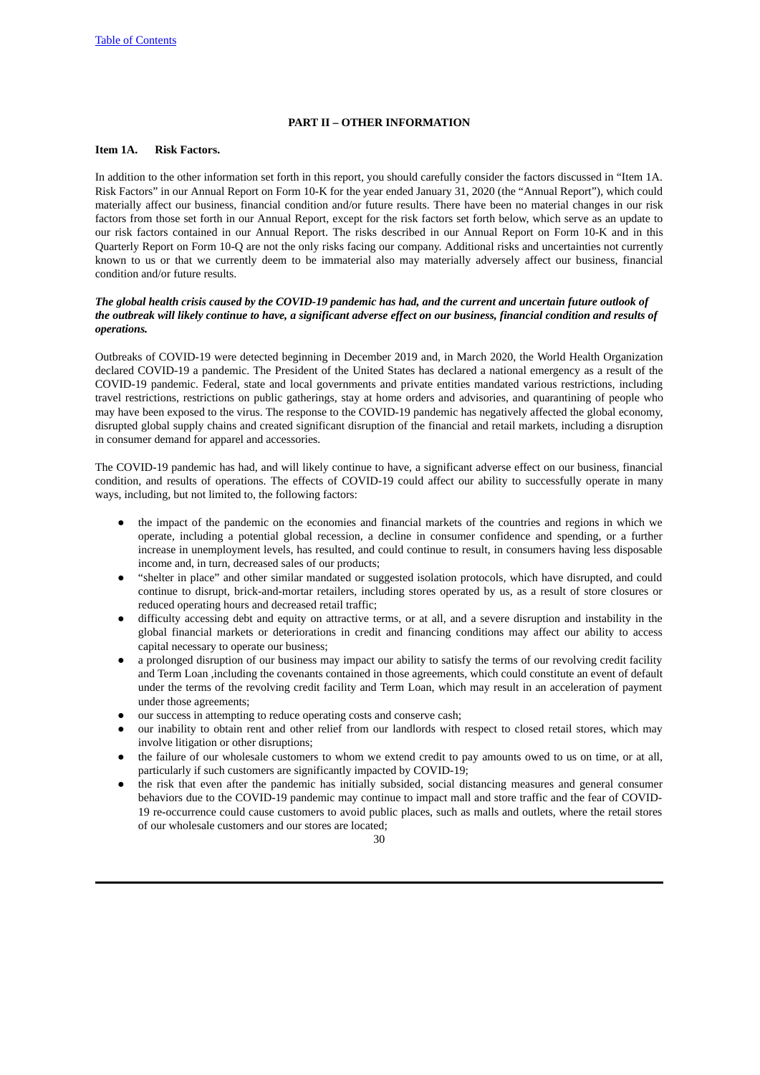# **PART II – OTHER INFORMATION**

# <span id="page-29-1"></span><span id="page-29-0"></span>**Item 1A. Risk Factors.**

In addition to the other information set forth in this report, you should carefully consider the factors discussed in "Item 1A. Risk Factors" in our Annual Report on Form 10-K for the year ended January 31, 2020 (the "Annual Report"), which could materially affect our business, financial condition and/or future results. There have been no material changes in our risk factors from those set forth in our Annual Report, except for the risk factors set forth below, which serve as an update to our risk factors contained in our Annual Report. The risks described in our Annual Report on Form 10-K and in this Quarterly Report on Form 10-Q are not the only risks facing our company. Additional risks and uncertainties not currently known to us or that we currently deem to be immaterial also may materially adversely affect our business, financial condition and/or future results.

# The global health crisis caused by the COVID-19 pandemic has had, and the current and uncertain future outlook of the outbreak will likely continue to have, a significant adverse effect on our business, financial condition and results of *operations.*

Outbreaks of COVID-19 were detected beginning in December 2019 and, in March 2020, the World Health Organization declared COVID-19 a pandemic. The President of the United States has declared a national emergency as a result of the COVID-19 pandemic. Federal, state and local governments and private entities mandated various restrictions, including travel restrictions, restrictions on public gatherings, stay at home orders and advisories, and quarantining of people who may have been exposed to the virus. The response to the COVID-19 pandemic has negatively affected the global economy, disrupted global supply chains and created significant disruption of the financial and retail markets, including a disruption in consumer demand for apparel and accessories.

The COVID-19 pandemic has had, and will likely continue to have, a significant adverse effect on our business, financial condition, and results of operations. The effects of COVID-19 could affect our ability to successfully operate in many ways, including, but not limited to, the following factors:

- the impact of the pandemic on the economies and financial markets of the countries and regions in which we operate, including a potential global recession, a decline in consumer confidence and spending, or a further increase in unemployment levels, has resulted, and could continue to result, in consumers having less disposable income and, in turn, decreased sales of our products;
- "shelter in place" and other similar mandated or suggested isolation protocols, which have disrupted, and could continue to disrupt, brick-and-mortar retailers, including stores operated by us, as a result of store closures or reduced operating hours and decreased retail traffic;
- difficulty accessing debt and equity on attractive terms, or at all, and a severe disruption and instability in the global financial markets or deteriorations in credit and financing conditions may affect our ability to access capital necessary to operate our business;
- a prolonged disruption of our business may impact our ability to satisfy the terms of our revolving credit facility and Term Loan ,including the covenants contained in those agreements, which could constitute an event of default under the terms of the revolving credit facility and Term Loan, which may result in an acceleration of payment under those agreements;
- our success in attempting to reduce operating costs and conserve cash;
- our inability to obtain rent and other relief from our landlords with respect to closed retail stores, which may involve litigation or other disruptions;
- the failure of our wholesale customers to whom we extend credit to pay amounts owed to us on time, or at all, particularly if such customers are significantly impacted by COVID-19;
- the risk that even after the pandemic has initially subsided, social distancing measures and general consumer behaviors due to the COVID-19 pandemic may continue to impact mall and store traffic and the fear of COVID-19 re-occurrence could cause customers to avoid public places, such as malls and outlets, where the retail stores of our wholesale customers and our stores are located;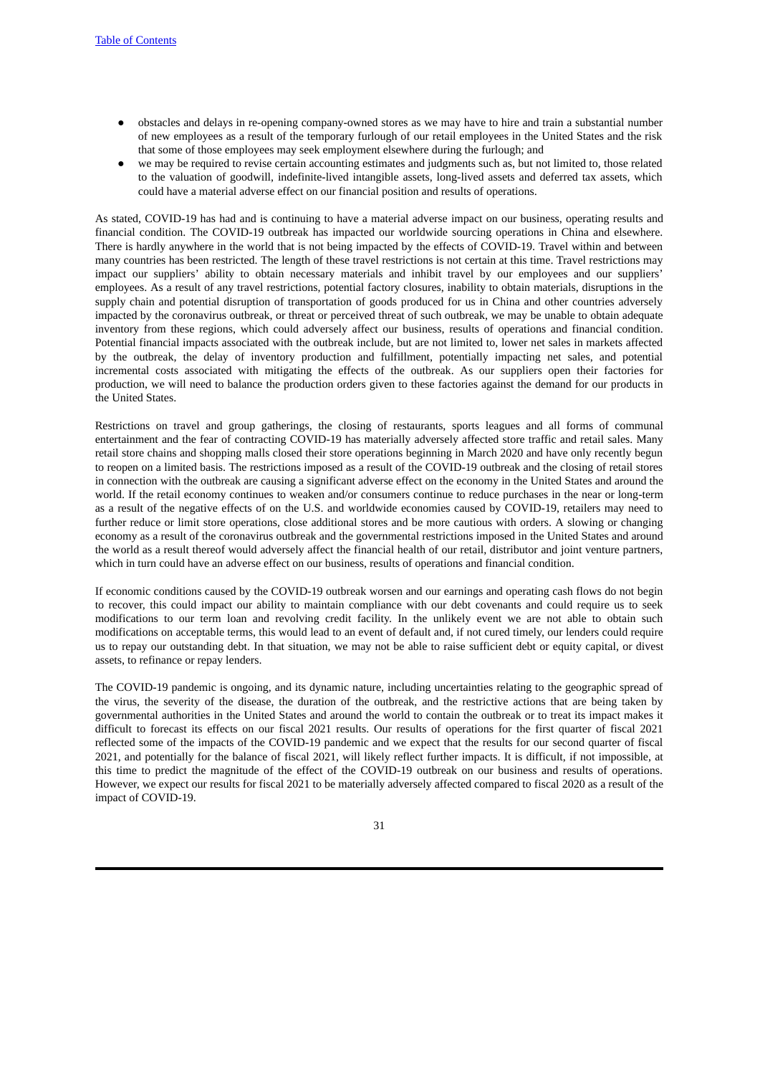- obstacles and delays in re-opening company-owned stores as we may have to hire and train a substantial number of new employees as a result of the temporary furlough of our retail employees in the United States and the risk that some of those employees may seek employment elsewhere during the furlough; and
- we may be required to revise certain accounting estimates and judgments such as, but not limited to, those related to the valuation of goodwill, indefinite-lived intangible assets, long-lived assets and deferred tax assets, which could have a material adverse effect on our financial position and results of operations.

As stated, COVID-19 has had and is continuing to have a material adverse impact on our business, operating results and financial condition. The COVID-19 outbreak has impacted our worldwide sourcing operations in China and elsewhere. There is hardly anywhere in the world that is not being impacted by the effects of COVID-19. Travel within and between many countries has been restricted. The length of these travel restrictions is not certain at this time. Travel restrictions may impact our suppliers' ability to obtain necessary materials and inhibit travel by our employees and our suppliers' employees. As a result of any travel restrictions, potential factory closures, inability to obtain materials, disruptions in the supply chain and potential disruption of transportation of goods produced for us in China and other countries adversely impacted by the coronavirus outbreak, or threat or perceived threat of such outbreak, we may be unable to obtain adequate inventory from these regions, which could adversely affect our business, results of operations and financial condition. Potential financial impacts associated with the outbreak include, but are not limited to, lower net sales in markets affected by the outbreak, the delay of inventory production and fulfillment, potentially impacting net sales, and potential incremental costs associated with mitigating the effects of the outbreak. As our suppliers open their factories for production, we will need to balance the production orders given to these factories against the demand for our products in the United States.

Restrictions on travel and group gatherings, the closing of restaurants, sports leagues and all forms of communal entertainment and the fear of contracting COVID-19 has materially adversely affected store traffic and retail sales. Many retail store chains and shopping malls closed their store operations beginning in March 2020 and have only recently begun to reopen on a limited basis. The restrictions imposed as a result of the COVID-19 outbreak and the closing of retail stores in connection with the outbreak are causing a significant adverse effect on the economy in the United States and around the world. If the retail economy continues to weaken and/or consumers continue to reduce purchases in the near or long-term as a result of the negative effects of on the U.S. and worldwide economies caused by COVID-19, retailers may need to further reduce or limit store operations, close additional stores and be more cautious with orders. A slowing or changing economy as a result of the coronavirus outbreak and the governmental restrictions imposed in the United States and around the world as a result thereof would adversely affect the financial health of our retail, distributor and joint venture partners, which in turn could have an adverse effect on our business, results of operations and financial condition.

If economic conditions caused by the COVID-19 outbreak worsen and our earnings and operating cash flows do not begin to recover, this could impact our ability to maintain compliance with our debt covenants and could require us to seek modifications to our term loan and revolving credit facility. In the unlikely event we are not able to obtain such modifications on acceptable terms, this would lead to an event of default and, if not cured timely, our lenders could require us to repay our outstanding debt. In that situation, we may not be able to raise sufficient debt or equity capital, or divest assets, to refinance or repay lenders.

The COVID-19 pandemic is ongoing, and its dynamic nature, including uncertainties relating to the geographic spread of the virus, the severity of the disease, the duration of the outbreak, and the restrictive actions that are being taken by governmental authorities in the United States and around the world to contain the outbreak or to treat its impact makes it difficult to forecast its effects on our fiscal 2021 results. Our results of operations for the first quarter of fiscal 2021 reflected some of the impacts of the COVID-19 pandemic and we expect that the results for our second quarter of fiscal 2021, and potentially for the balance of fiscal 2021, will likely reflect further impacts. It is difficult, if not impossible, at this time to predict the magnitude of the effect of the COVID-19 outbreak on our business and results of operations. However, we expect our results for fiscal 2021 to be materially adversely affected compared to fiscal 2020 as a result of the impact of COVID-19.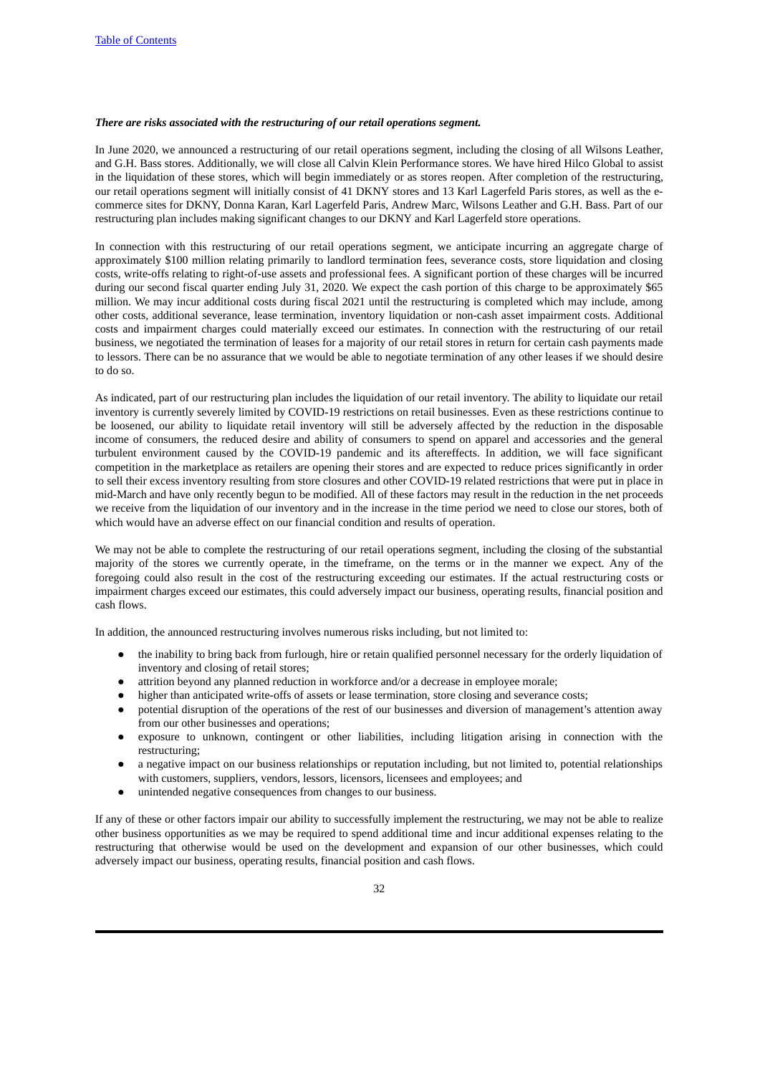#### *There are risks associated with the restructuring of our retail operations segment.*

In June 2020, we announced a restructuring of our retail operations segment, including the closing of all Wilsons Leather, and G.H. Bass stores. Additionally, we will close all Calvin Klein Performance stores. We have hired Hilco Global to assist in the liquidation of these stores, which will begin immediately or as stores reopen. After completion of the restructuring, our retail operations segment will initially consist of 41 DKNY stores and 13 Karl Lagerfeld Paris stores, as well as the ecommerce sites for DKNY, Donna Karan, Karl Lagerfeld Paris, Andrew Marc, Wilsons Leather and G.H. Bass. Part of our restructuring plan includes making significant changes to our DKNY and Karl Lagerfeld store operations.

In connection with this restructuring of our retail operations segment, we anticipate incurring an aggregate charge of approximately \$100 million relating primarily to landlord termination fees, severance costs, store liquidation and closing costs, write-offs relating to right-of-use assets and professional fees. A significant portion of these charges will be incurred during our second fiscal quarter ending July 31, 2020. We expect the cash portion of this charge to be approximately \$65 million. We may incur additional costs during fiscal 2021 until the restructuring is completed which may include, among other costs, additional severance, lease termination, inventory liquidation or non-cash asset impairment costs. Additional costs and impairment charges could materially exceed our estimates. In connection with the restructuring of our retail business, we negotiated the termination of leases for a majority of our retail stores in return for certain cash payments made to lessors. There can be no assurance that we would be able to negotiate termination of any other leases if we should desire to do so.

As indicated, part of our restructuring plan includes the liquidation of our retail inventory. The ability to liquidate our retail inventory is currently severely limited by COVID-19 restrictions on retail businesses. Even as these restrictions continue to be loosened, our ability to liquidate retail inventory will still be adversely affected by the reduction in the disposable income of consumers, the reduced desire and ability of consumers to spend on apparel and accessories and the general turbulent environment caused by the COVID-19 pandemic and its aftereffects. In addition, we will face significant competition in the marketplace as retailers are opening their stores and are expected to reduce prices significantly in order to sell their excess inventory resulting from store closures and other COVID-19 related restrictions that were put in place in mid-March and have only recently begun to be modified. All of these factors may result in the reduction in the net proceeds we receive from the liquidation of our inventory and in the increase in the time period we need to close our stores, both of which would have an adverse effect on our financial condition and results of operation.

We may not be able to complete the restructuring of our retail operations segment, including the closing of the substantial majority of the stores we currently operate, in the timeframe, on the terms or in the manner we expect. Any of the foregoing could also result in the cost of the restructuring exceeding our estimates. If the actual restructuring costs or impairment charges exceed our estimates, this could adversely impact our business, operating results, financial position and cash flows.

In addition, the announced restructuring involves numerous risks including, but not limited to:

- the inability to bring back from furlough, hire or retain qualified personnel necessary for the orderly liquidation of inventory and closing of retail stores;
- attrition beyond any planned reduction in workforce and/or a decrease in employee morale;
- higher than anticipated write-offs of assets or lease termination, store closing and severance costs;
- potential disruption of the operations of the rest of our businesses and diversion of management's attention away from our other businesses and operations;
- exposure to unknown, contingent or other liabilities, including litigation arising in connection with the restructuring;
- a negative impact on our business relationships or reputation including, but not limited to, potential relationships with customers, suppliers, vendors, lessors, licensors, licensees and employees; and
- unintended negative consequences from changes to our business.

If any of these or other factors impair our ability to successfully implement the restructuring, we may not be able to realize other business opportunities as we may be required to spend additional time and incur additional expenses relating to the restructuring that otherwise would be used on the development and expansion of our other businesses, which could adversely impact our business, operating results, financial position and cash flows.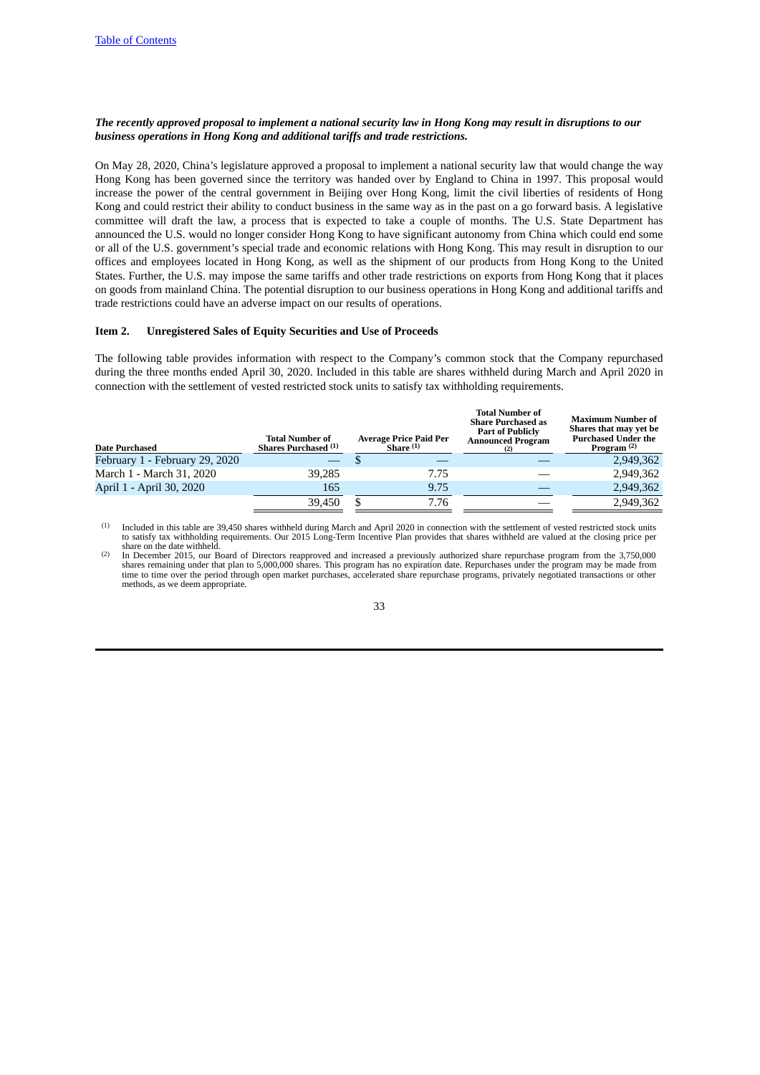# The recently approved proposal to implement a national security law in Hong Kong may result in disruptions to our *business operations in Hong Kong and additional tariffs and trade restrictions.*

On May 28, 2020, China's legislature approved a proposal to implement a national security law that would change the way Hong Kong has been governed since the territory was handed over by England to China in 1997. This proposal would increase the power of the central government in Beijing over Hong Kong, limit the civil liberties of residents of Hong Kong and could restrict their ability to conduct business in the same way as in the past on a go forward basis. A legislative committee will draft the law, a process that is expected to take a couple of months. The U.S. State Department has announced the U.S. would no longer consider Hong Kong to have significant autonomy from China which could end some or all of the U.S. government's special trade and economic relations with Hong Kong. This may result in disruption to our offices and employees located in Hong Kong, as well as the shipment of our products from Hong Kong to the United States. Further, the U.S. may impose the same tariffs and other trade restrictions on exports from Hong Kong that it places on goods from mainland China. The potential disruption to our business operations in Hong Kong and additional tariffs and trade restrictions could have an adverse impact on our results of operations.

#### <span id="page-32-0"></span>**Item 2. Unregistered Sales of Equity Securities and Use of Proceeds**

The following table provides information with respect to the Company's common stock that the Company repurchased during the three months ended April 30, 2020. Included in this table are shares withheld during March and April 2020 in connection with the settlement of vested restricted stock units to satisfy tax withholding requirements.

| <b>Date Purchased</b>          | <b>Total Number of</b><br>Shares Purchased (1) | <b>Average Price Paid Per</b><br>Share $(1)$ | <b>Total Number of</b><br><b>Share Purchased as</b><br><b>Part of Publicly</b><br><b>Announced Program</b><br>(2) | <b>Maximum Number of</b><br>Shares that may yet be<br><b>Purchased Under the</b><br>Program $(2)$ |
|--------------------------------|------------------------------------------------|----------------------------------------------|-------------------------------------------------------------------------------------------------------------------|---------------------------------------------------------------------------------------------------|
| February 1 - February 29, 2020 |                                                |                                              |                                                                                                                   | 2,949,362                                                                                         |
| March 1 - March 31, 2020       | 39.285                                         | 7.75                                         |                                                                                                                   | 2,949,362                                                                                         |
| April 1 - April 30, 2020       | 165                                            | 9.75                                         |                                                                                                                   | 2,949,362                                                                                         |
|                                | 39.450                                         | 7.76                                         |                                                                                                                   | 2,949,362                                                                                         |

(1) Included in this table are 39,450 shares withheld during March and April 2020 in connection with the settlement of vested restricted stock units to satisfy tax withholding requirements. Our 2015 Long-Term Incentive Plan provides that shares withheld are valued at the closing price per share on the date withheld.

 $^{(2)}$  In December 2015, our Board of Directors reapproved and increased a previously authorized share repurchase program from the 3,750,000 shares remaining under that plan to 5,000,000 shares. This program has no expiration date. Repurchases under the program may be made from time to time over the period through open market purchases, accelerated share repurchase programs, privately negotiated transactions or other methods, as we deem appropriate.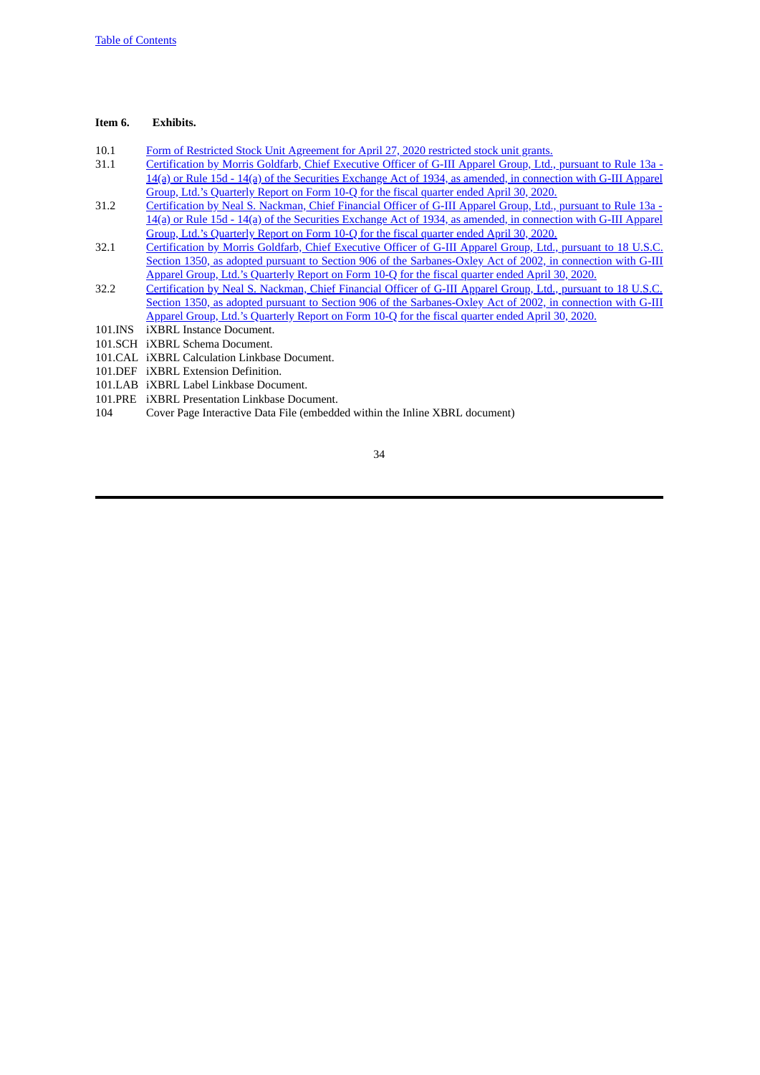# <span id="page-33-0"></span>**Item 6. Exhibits.**

- 10.1 Form of Restricted Stock Unit [Agreement](#page-35-0) for April 27, 2020 restricted stock unit grants.
- 31.1 Certification by Morris Goldfarb, Chief Executive Officer of G-III Apparel Group, Ltd., pursuant to Rule 13a 14(a) or Rule 15d - 14(a) of the Securities Exchange Act of 1934, as amended, in connection with G-III Apparel Group, Ltd.'s Quarterly Report on Form 10-Q for the fiscal quarter ended April 30, 2020.
- 31.2 Certification by Neal S. Nackman, Chief Financial Officer of G-III Apparel Group, Ltd., pursuant to Rule 13a -14(a) or Rule 15d - 14(a) of the Securities Exchange Act of 1934, as amended, in connection with G-III Apparel Group, Ltd.'s Quarterly Report on Form 10-Q for the fiscal quarter ended April 30, 2020.
- 32.1 Certification by Morris Goldfarb, Chief Executive Officer of G-III Apparel Group, Ltd., pursuant to 18 U.S.C. Section 1350, as adopted pursuant to Section 906 of the Sarbanes-Oxley Act of 2002, in connection with G-III Apparel Group, Ltd.'s Quarterly Report on Form 10-Q for the fiscal quarter ended April 30, 2020.
- 32.2 Certification by Neal S. Nackman, Chief Financial Officer of G-III Apparel Group, Ltd., pursuant to 18 U.S.C. Section 1350, as adopted pursuant to Section 906 of the Sarbanes-Oxley Act of 2002, in connection with G-III Apparel Group, Ltd.'s Quarterly Report on Form 10-Q for the fiscal quarter ended April 30, 2020.
- 101.INS iXBRL Instance Document. 101.SCH iXBRL Schema Document.
- 
- 101.CAL iXBRL Calculation Linkbase Document.
- 101.DEF iXBRL Extension Definition.
- 101.LAB iXBRL Label Linkbase Document.
- 101.PRE iXBRL Presentation Linkbase Document.
- 104 Cover Page Interactive Data File (embedded within the Inline XBRL document)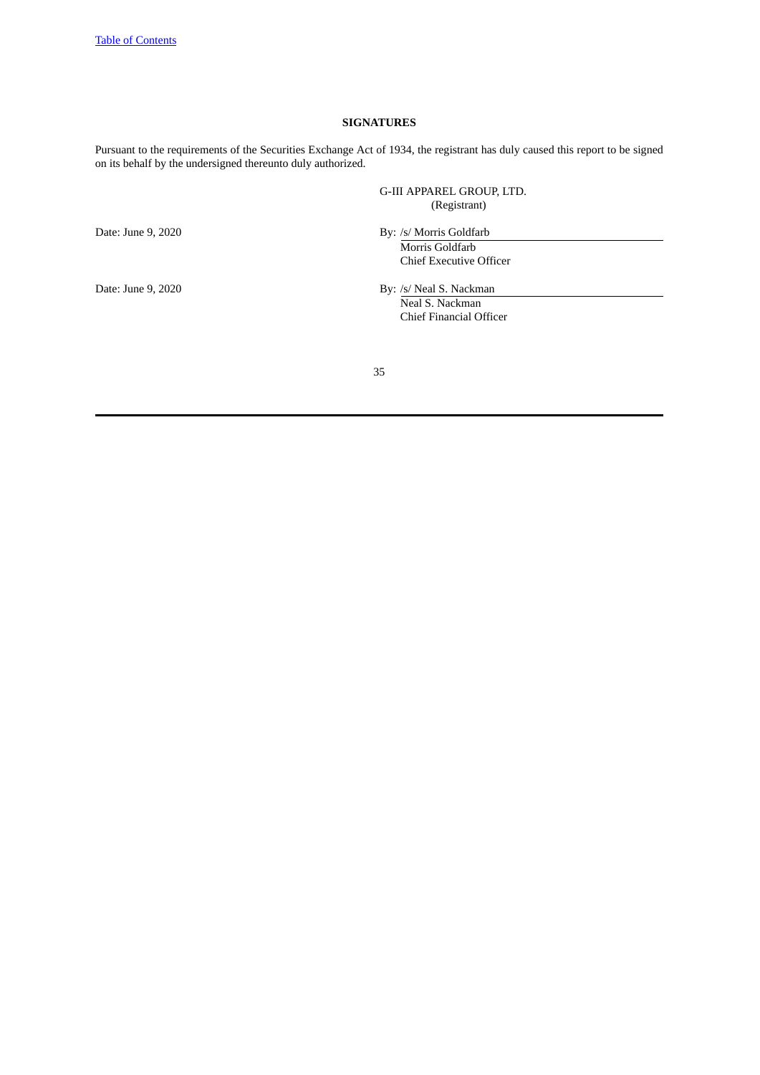# **SIGNATURES**

Pursuant to the requirements of the Securities Exchange Act of 1934, the registrant has duly caused this report to be signed on its behalf by the undersigned thereunto duly authorized.

G-III APPAREL GROUP, LTD. (Registrant)

Date: June 9, 2020 By: /s/ Morris Goldfarb Morris Goldfarb

Chief Executive Officer

Date: June 9, 2020 By: /s/ Neal S. Nackman Neal S. Nackman Chief Financial Officer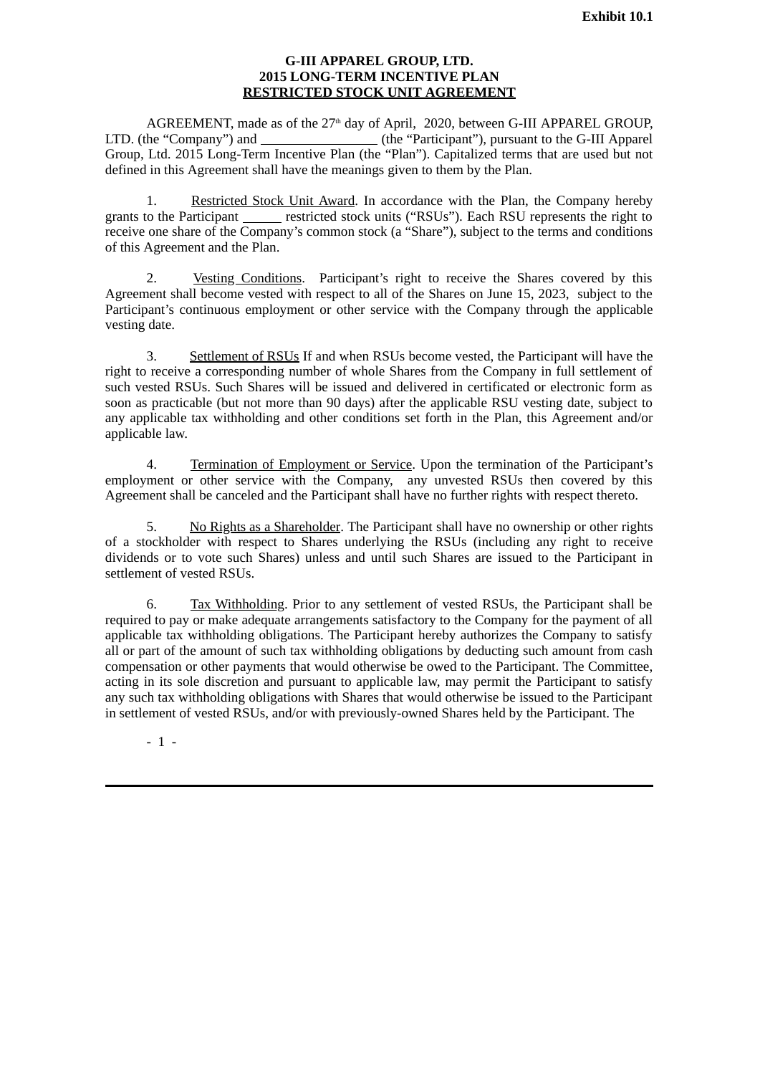# **G-III APPAREL GROUP, LTD. 2015 LONG-TERM INCENTIVE PLAN RESTRICTED STOCK UNIT AGREEMENT**

<span id="page-35-0"></span>AGREEMENT, made as of the  $27<sup>th</sup>$  day of April, 2020, between G-III APPAREL GROUP, LTD. (the "Company") and \_\_\_\_\_\_\_\_\_\_\_\_\_\_\_\_\_\_(the "Participant"), pursuant to the G-III Apparel Group, Ltd. 2015 Long-Term Incentive Plan (the "Plan"). Capitalized terms that are used but not defined in this Agreement shall have the meanings given to them by the Plan.

1. Restricted Stock Unit Award. In accordance with the Plan, the Company hereby grants to the Participant \_\_\_\_\_\_ restricted stock units ("RSUs"). Each RSU represents the right to receive one share of the Company's common stock (a "Share"), subject to the terms and conditions of this Agreement and the Plan.

2. Vesting Conditions. Participant's right to receive the Shares covered by this Agreement shall become vested with respect to all of the Shares on June 15, 2023, subject to the Participant's continuous employment or other service with the Company through the applicable vesting date.

3. Settlement of RSUs If and when RSUs become vested, the Participant will have the right to receive a corresponding number of whole Shares from the Company in full settlement of such vested RSUs. Such Shares will be issued and delivered in certificated or electronic form as soon as practicable (but not more than 90 days) after the applicable RSU vesting date, subject to any applicable tax withholding and other conditions set forth in the Plan, this Agreement and/or applicable law.

4. Termination of Employment or Service. Upon the termination of the Participant's employment or other service with the Company, any unvested RSUs then covered by this Agreement shall be canceled and the Participant shall have no further rights with respect thereto.

5. No Rights as a Shareholder. The Participant shall have no ownership or other rights of a stockholder with respect to Shares underlying the RSUs (including any right to receive dividends or to vote such Shares) unless and until such Shares are issued to the Participant in settlement of vested RSUs.

6. Tax Withholding. Prior to any settlement of vested RSUs, the Participant shall be required to pay or make adequate arrangements satisfactory to the Company for the payment of all applicable tax withholding obligations. The Participant hereby authorizes the Company to satisfy all or part of the amount of such tax withholding obligations by deducting such amount from cash compensation or other payments that would otherwise be owed to the Participant. The Committee, acting in its sole discretion and pursuant to applicable law, may permit the Participant to satisfy any such tax withholding obligations with Shares that would otherwise be issued to the Participant in settlement of vested RSUs, and/or with previously-owned Shares held by the Participant. The

- 1 -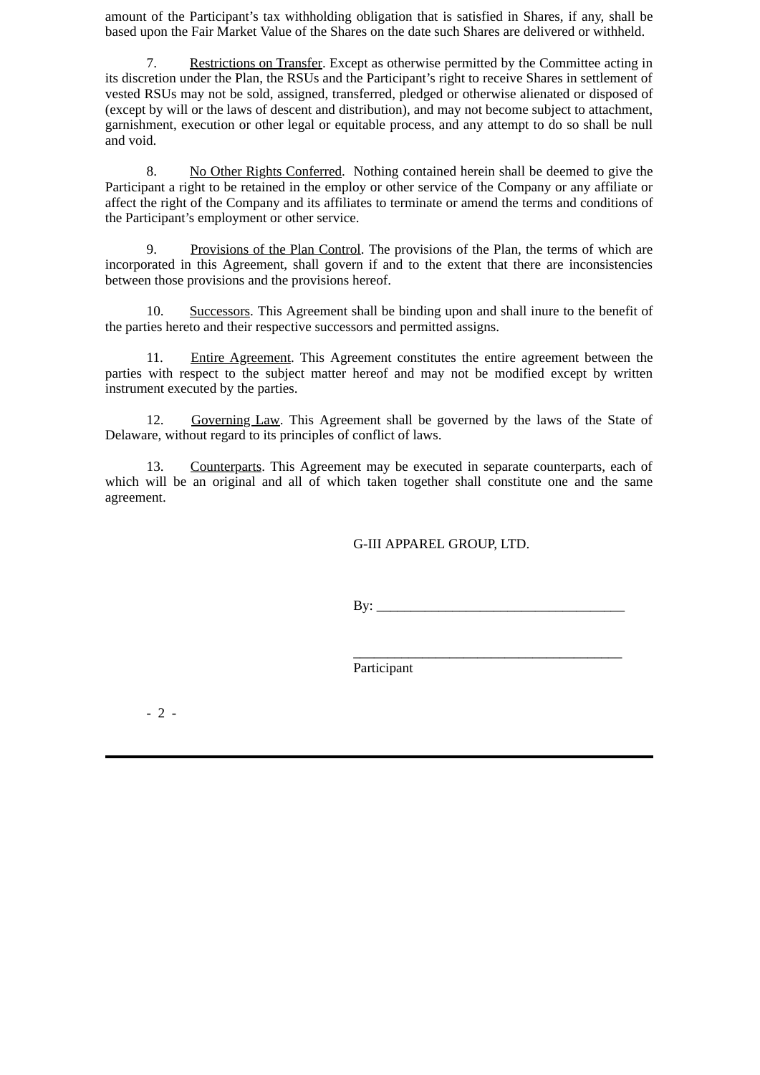amount of the Participant's tax withholding obligation that is satisfied in Shares, if any, shall be based upon the Fair Market Value of the Shares on the date such Shares are delivered or withheld.

7. Restrictions on Transfer. Except as otherwise permitted by the Committee acting in its discretion under the Plan, the RSUs and the Participant's right to receive Shares in settlement of vested RSUs may not be sold, assigned, transferred, pledged or otherwise alienated or disposed of (except by will or the laws of descent and distribution), and may not become subject to attachment, garnishment, execution or other legal or equitable process, and any attempt to do so shall be null and void.

8. No Other Rights Conferred. Nothing contained herein shall be deemed to give the Participant a right to be retained in the employ or other service of the Company or any affiliate or affect the right of the Company and its affiliates to terminate or amend the terms and conditions of the Participant's employment or other service.

9. Provisions of the Plan Control. The provisions of the Plan, the terms of which are incorporated in this Agreement, shall govern if and to the extent that there are inconsistencies between those provisions and the provisions hereof.

10. Successors. This Agreement shall be binding upon and shall inure to the benefit of the parties hereto and their respective successors and permitted assigns.

11. Entire Agreement. This Agreement constitutes the entire agreement between the parties with respect to the subject matter hereof and may not be modified except by written instrument executed by the parties.

12. Governing Law. This Agreement shall be governed by the laws of the State of Delaware, without regard to its principles of conflict of laws.

13. Counterparts. This Agreement may be executed in separate counterparts, each of which will be an original and all of which taken together shall constitute one and the same agreement.

# G-III APPAREL GROUP, LTD.

 $\mathbf{B} \mathbf{y}$ :

\_\_\_\_\_\_\_\_\_\_\_\_\_\_\_\_\_\_\_\_\_\_\_\_\_\_\_\_\_\_\_\_\_\_\_\_\_\_\_

Participant

- 2 -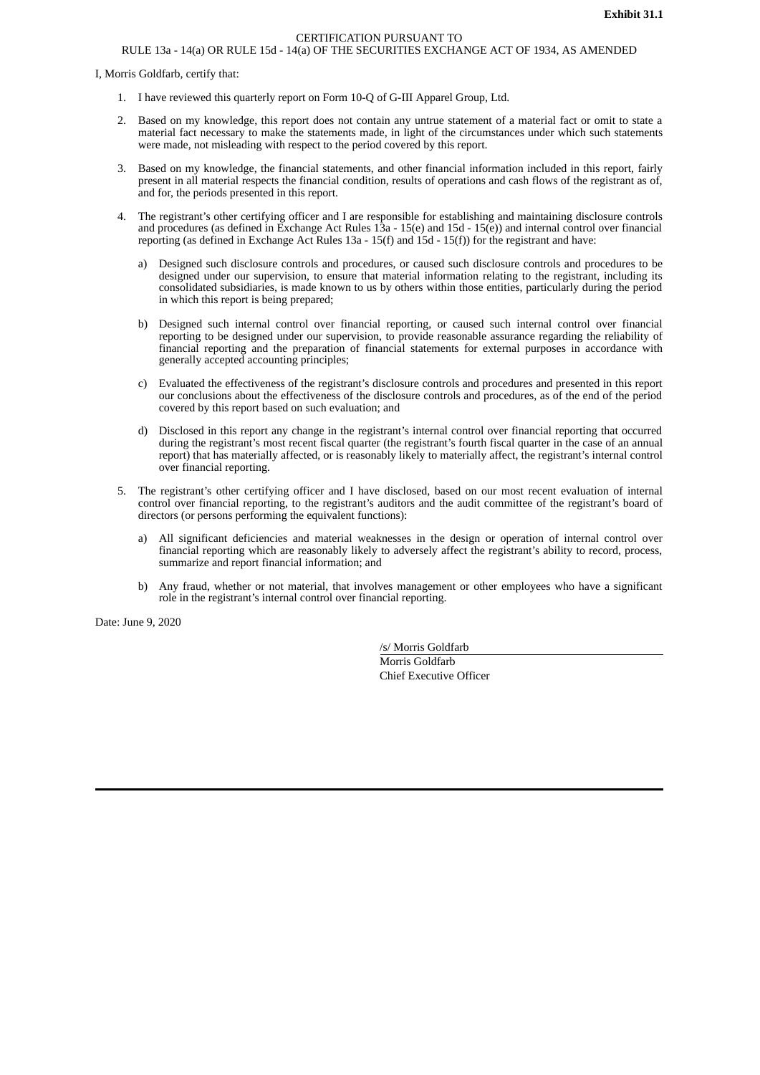# CERTIFICATION PURSUANT TO

# RULE 13a - 14(a) OR RULE 15d - 14(a) OF THE SECURITIES EXCHANGE ACT OF 1934, AS AMENDED

I, Morris Goldfarb, certify that:

- 1. I have reviewed this quarterly report on Form 10-Q of G-III Apparel Group, Ltd.
- 2. Based on my knowledge, this report does not contain any untrue statement of a material fact or omit to state a material fact necessary to make the statements made, in light of the circumstances under which such statements were made, not misleading with respect to the period covered by this report.
- 3. Based on my knowledge, the financial statements, and other financial information included in this report, fairly present in all material respects the financial condition, results of operations and cash flows of the registrant as of, and for, the periods presented in this report.
- 4. The registrant's other certifying officer and I are responsible for establishing and maintaining disclosure controls and procedures (as defined in Exchange Act Rules 13a - 15(e) and 15d - 15(e)) and internal control over financial reporting (as defined in Exchange Act Rules 13a - 15(f) and 15d - 15(f)) for the registrant and have:
	- a) Designed such disclosure controls and procedures, or caused such disclosure controls and procedures to be designed under our supervision, to ensure that material information relating to the registrant, including its consolidated subsidiaries, is made known to us by others within those entities, particularly during the period in which this report is being prepared;
	- b) Designed such internal control over financial reporting, or caused such internal control over financial reporting to be designed under our supervision, to provide reasonable assurance regarding the reliability of financial reporting and the preparation of financial statements for external purposes in accordance with generally accepted accounting principles;
	- c) Evaluated the effectiveness of the registrant's disclosure controls and procedures and presented in this report our conclusions about the effectiveness of the disclosure controls and procedures, as of the end of the period covered by this report based on such evaluation; and
	- d) Disclosed in this report any change in the registrant's internal control over financial reporting that occurred during the registrant's most recent fiscal quarter (the registrant's fourth fiscal quarter in the case of an annual report) that has materially affected, or is reasonably likely to materially affect, the registrant's internal control over financial reporting.
- 5. The registrant's other certifying officer and I have disclosed, based on our most recent evaluation of internal control over financial reporting, to the registrant's auditors and the audit committee of the registrant's board of directors (or persons performing the equivalent functions):
	- a) All significant deficiencies and material weaknesses in the design or operation of internal control over financial reporting which are reasonably likely to adversely affect the registrant's ability to record, process, summarize and report financial information; and
	- b) Any fraud, whether or not material, that involves management or other employees who have a significant role in the registrant's internal control over financial reporting.

Date: June 9, 2020

/s/ Morris Goldfarb Morris Goldfarb Chief Executive Officer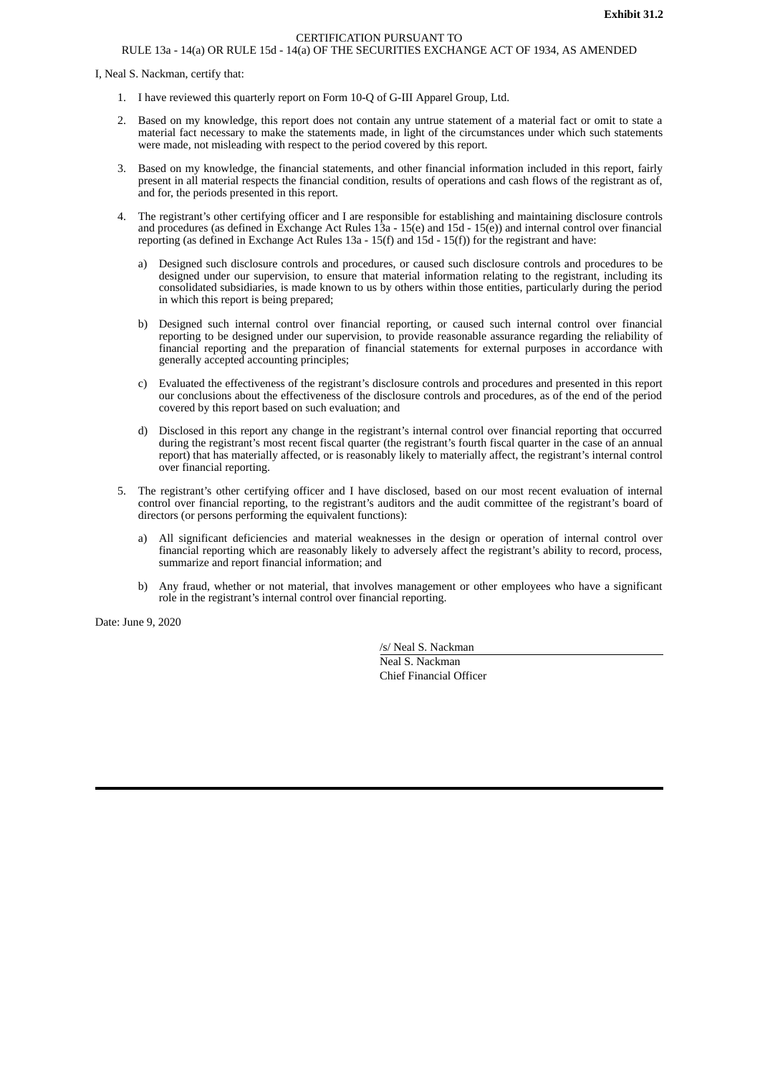# CERTIFICATION PURSUANT TO

# RULE 13a - 14(a) OR RULE 15d - 14(a) OF THE SECURITIES EXCHANGE ACT OF 1934, AS AMENDED

I, Neal S. Nackman, certify that:

- 1. I have reviewed this quarterly report on Form 10-Q of G-III Apparel Group, Ltd.
- 2. Based on my knowledge, this report does not contain any untrue statement of a material fact or omit to state a material fact necessary to make the statements made, in light of the circumstances under which such statements were made, not misleading with respect to the period covered by this report.
- 3. Based on my knowledge, the financial statements, and other financial information included in this report, fairly present in all material respects the financial condition, results of operations and cash flows of the registrant as of, and for, the periods presented in this report.
- 4. The registrant's other certifying officer and I are responsible for establishing and maintaining disclosure controls and procedures (as defined in Exchange Act Rules 13a - 15(e) and 15d - 15(e)) and internal control over financial reporting (as defined in Exchange Act Rules 13a - 15(f) and 15d - 15(f)) for the registrant and have:
	- a) Designed such disclosure controls and procedures, or caused such disclosure controls and procedures to be designed under our supervision, to ensure that material information relating to the registrant, including its consolidated subsidiaries, is made known to us by others within those entities, particularly during the period in which this report is being prepared;
	- b) Designed such internal control over financial reporting, or caused such internal control over financial reporting to be designed under our supervision, to provide reasonable assurance regarding the reliability of financial reporting and the preparation of financial statements for external purposes in accordance with generally accepted accounting principles;
	- c) Evaluated the effectiveness of the registrant's disclosure controls and procedures and presented in this report our conclusions about the effectiveness of the disclosure controls and procedures, as of the end of the period covered by this report based on such evaluation; and
	- d) Disclosed in this report any change in the registrant's internal control over financial reporting that occurred during the registrant's most recent fiscal quarter (the registrant's fourth fiscal quarter in the case of an annual report) that has materially affected, or is reasonably likely to materially affect, the registrant's internal control over financial reporting.
- 5. The registrant's other certifying officer and I have disclosed, based on our most recent evaluation of internal control over financial reporting, to the registrant's auditors and the audit committee of the registrant's board of directors (or persons performing the equivalent functions):
	- a) All significant deficiencies and material weaknesses in the design or operation of internal control over financial reporting which are reasonably likely to adversely affect the registrant's ability to record, process, summarize and report financial information; and
	- b) Any fraud, whether or not material, that involves management or other employees who have a significant role in the registrant's internal control over financial reporting.

Date: June 9, 2020

/s/ Neal S. Nackman Neal S. Nackman Chief Financial Officer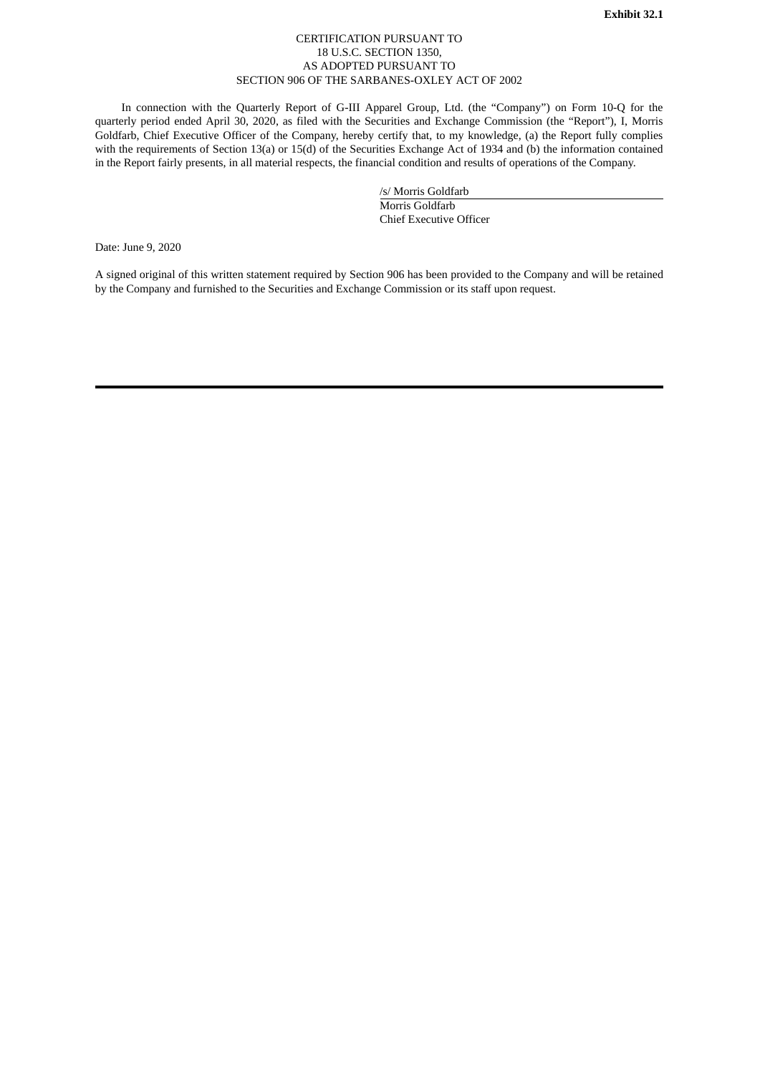# CERTIFICATION PURSUANT TO 18 U.S.C. SECTION 1350, AS ADOPTED PURSUANT TO SECTION 906 OF THE SARBANES-OXLEY ACT OF 2002

In connection with the Quarterly Report of G-III Apparel Group, Ltd. (the "Company") on Form 10-Q for the quarterly period ended April 30, 2020, as filed with the Securities and Exchange Commission (the "Report"), I, Morris Goldfarb, Chief Executive Officer of the Company, hereby certify that, to my knowledge, (a) the Report fully complies with the requirements of Section 13(a) or 15(d) of the Securities Exchange Act of 1934 and (b) the information contained in the Report fairly presents, in all material respects, the financial condition and results of operations of the Company.

> /s/ Morris Goldfarb Morris Goldfarb Chief Executive Officer

Date: June 9, 2020

A signed original of this written statement required by Section 906 has been provided to the Company and will be retained by the Company and furnished to the Securities and Exchange Commission or its staff upon request.